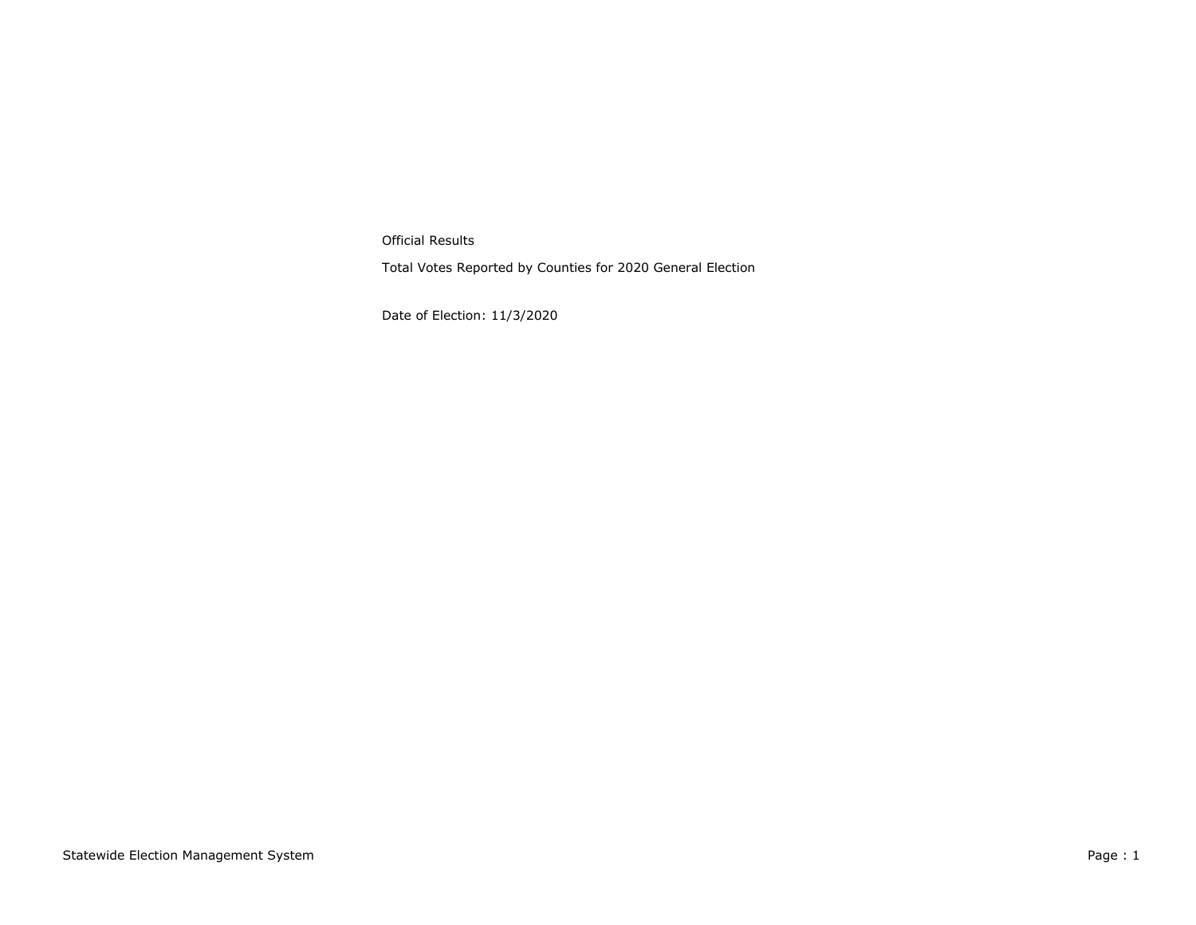Official Results

Total Votes Reported by Counties for 2020 General Election

Date of Election: 11/3/2020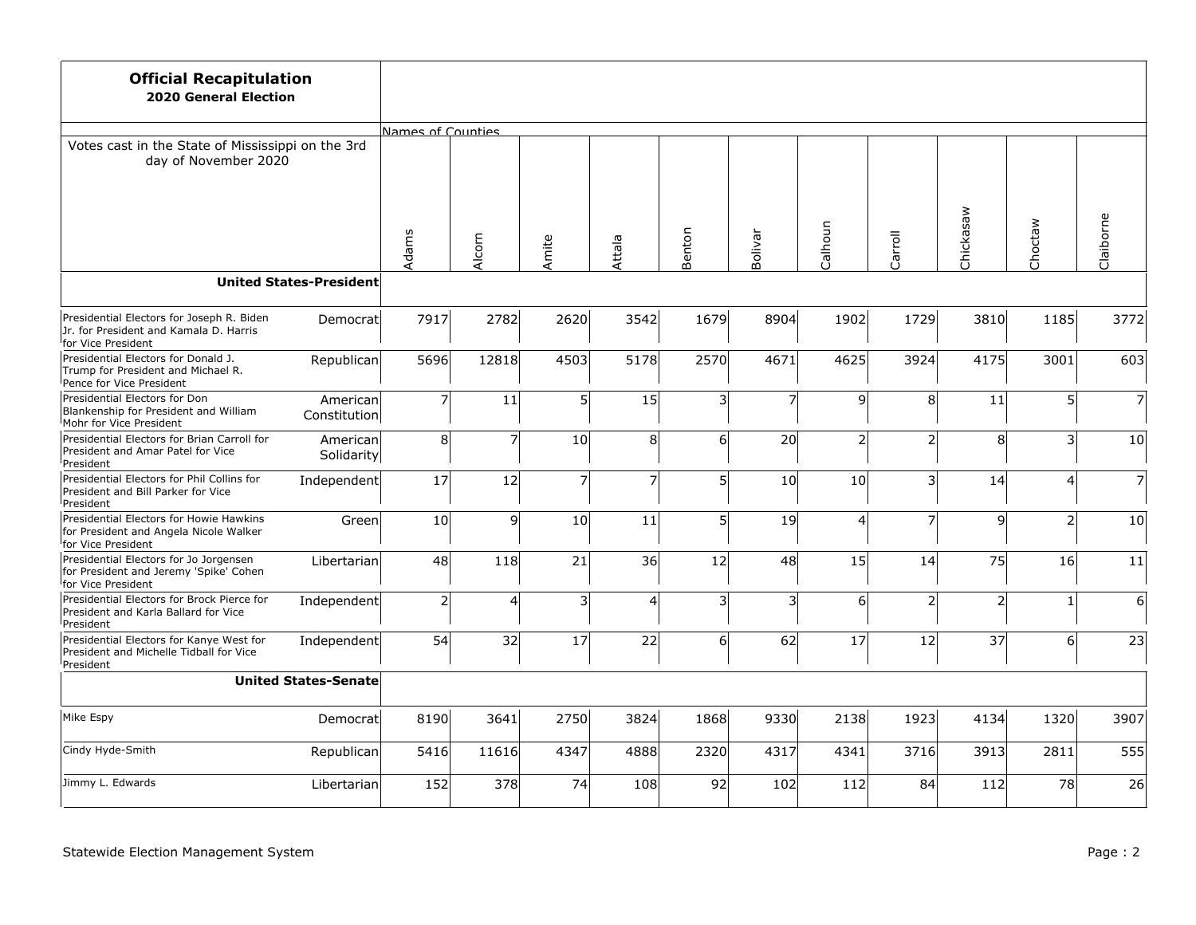| <b>Official Recapitulation</b><br><b>2020 General Election</b>                                                       |                                |                   |                |                |        |                 |                         |                |                |                |                 |                |
|----------------------------------------------------------------------------------------------------------------------|--------------------------------|-------------------|----------------|----------------|--------|-----------------|-------------------------|----------------|----------------|----------------|-----------------|----------------|
|                                                                                                                      |                                | Names of Counties |                |                |        |                 |                         |                |                |                |                 |                |
| Votes cast in the State of Mississippi on the 3rd<br>day of November 2020                                            |                                |                   |                |                |        |                 |                         |                |                |                |                 |                |
|                                                                                                                      |                                | Adams             | Alcorn         | Amite          | Attala | Benton          | Bolivar                 | Calhoun        | Carroll        | Chickasaw      | Choctaw         | Claiborne      |
|                                                                                                                      | <b>United States-President</b> |                   |                |                |        |                 |                         |                |                |                |                 |                |
| Presidential Electors for Joseph R. Biden<br>Jr. for President and Kamala D. Harris<br>for Vice President            | Democratl                      | 7917              | 2782           | 2620           | 3542   | 1679            | 8904                    | 1902           | 1729           | 3810           | 1185            | 3772           |
| Presidential Electors for Donald J.<br>Trump for President and Michael R.<br>Pence for Vice President                | Republican                     | 5696              | 12818          | 4503           | 5178   | 2570            | 4671                    | 4625           | 3924           | 4175           | 3001            | 603            |
| Presidential Electors for Don<br>Blankenship for President and William<br>Mohr for Vice President                    | American<br>Constitution       | $\overline{7}$    | 11             | 5              | 15     | $\overline{3}$  | $\overline{7}$          | 9              | 8 <sup>1</sup> | 11             | $\mathsf{S}$    | $\overline{7}$ |
| Presidential Electors for Brian Carroll for<br>President and Amar Patel for Vice<br>President                        | Americanl<br>Solidarity        | 8 <sup>1</sup>    | $\overline{7}$ | 10             | 8      | $6 \overline{}$ | 20                      | $\overline{2}$ | 2 <sup>1</sup> | 8              | $\overline{3}$  | 10             |
| Presidential Electors for Phil Collins for<br>President and Bill Parker for Vice<br><sup>l</sup> President           | Independent                    | 17                | 12             | $\overline{7}$ | 7      | 5 <sup>1</sup>  | 10 <sup>1</sup>         | 10             | $\overline{3}$ | 14             | $\vert 4 \vert$ | $\overline{7}$ |
| Presidential Electors for Howie Hawkins<br>for President and Angela Nicole Walker<br><sup>I</sup> for Vice President | Green                          | 10                | $\overline{9}$ | 10             | 11     | 5               | 19                      | 4              | $\overline{7}$ | 9              | $\overline{2}$  | 10             |
| Presidential Electors for Jo Jorgensen<br>for President and Jeremy 'Spike' Cohen<br>for Vice President               | Libertarian                    | 48                | 118            | 21             | 36     | 12              | 48                      | 15             | 14             | 75             | 16              | 11             |
| Presidential Electors for Brock Pierce for<br>President and Karla Ballard for Vice<br>President                      | Independent                    | $\overline{2}$    | 4              | 3              | 4      | 3               | $\overline{\mathsf{3}}$ | 6              | $\overline{2}$ | $\overline{2}$ | 1               | 6              |
| Presidential Electors for Kanye West for<br>President and Michelle Tidball for Vice<br>President                     | Independent                    | 54                | 32             | 17             | 22     | $6 \overline{}$ | 62                      | 17             | 12             | 37             | $6\vert$        | 23             |
|                                                                                                                      | <b>United States-Senate</b>    |                   |                |                |        |                 |                         |                |                |                |                 |                |
| Mike Espy                                                                                                            | Democrat                       | 8190              | 3641           | 2750           | 3824   | 1868            | 9330                    | 2138           | 1923           | 4134           | 1320            | 3907           |
| Cindy Hyde-Smith                                                                                                     | Republican                     | 5416              | 11616          | 4347           | 4888   | 2320            | 4317                    | 4341           | 3716           | 3913           | 2811            | 555            |
| Jimmy L. Edwards                                                                                                     | Libertarian                    | 152               | 378            | 74             | 108    | 92              | 102                     | 112            | 84             | 112            | 78              | 26             |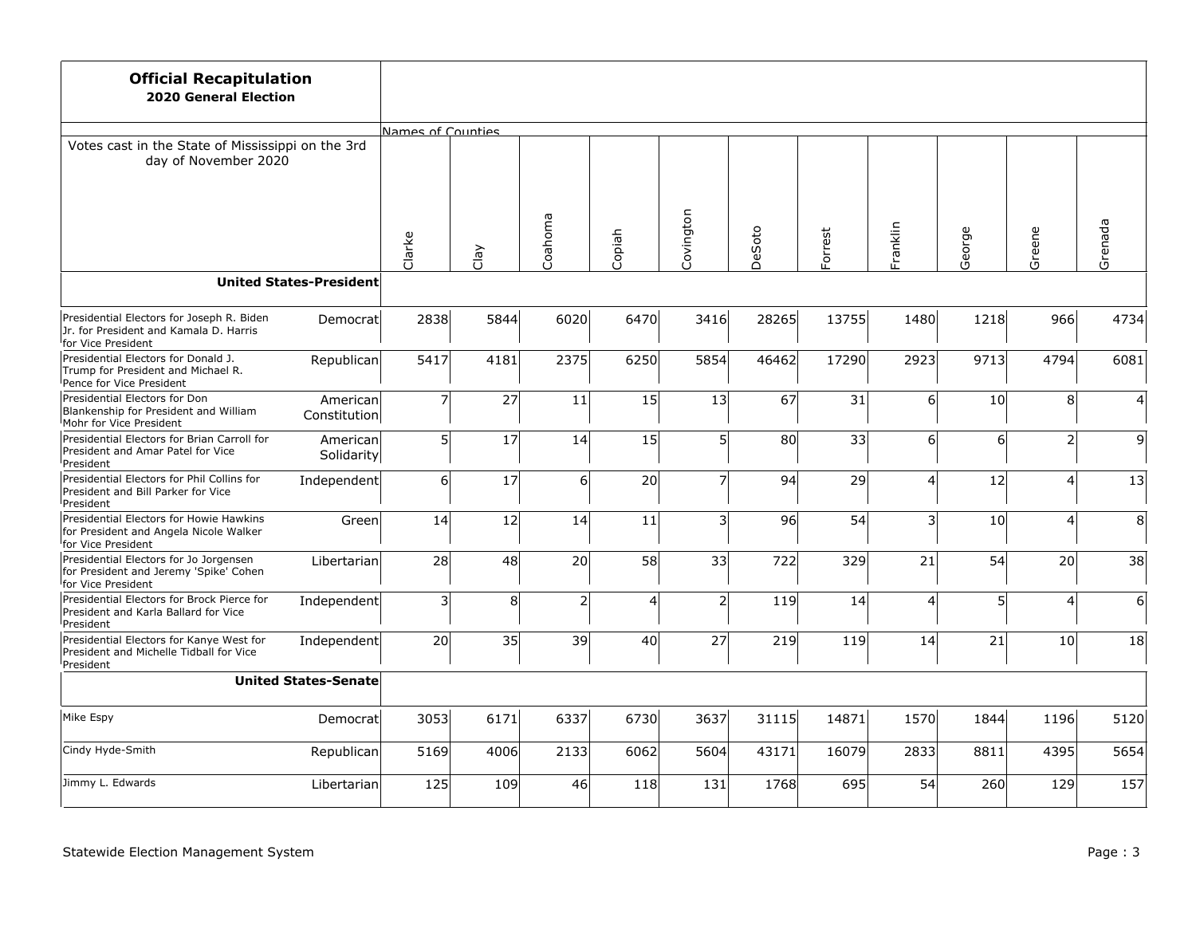| <b>Official Recapitulation</b><br><b>2020 General Election</b>                                                         |                                |                   |                |                |                         |                         |        |         |                 |        |                 |                 |
|------------------------------------------------------------------------------------------------------------------------|--------------------------------|-------------------|----------------|----------------|-------------------------|-------------------------|--------|---------|-----------------|--------|-----------------|-----------------|
|                                                                                                                        |                                | Names of Counties |                |                |                         |                         |        |         |                 |        |                 |                 |
| Votes cast in the State of Mississippi on the 3rd<br>day of November 2020                                              |                                |                   |                |                |                         |                         |        |         |                 |        |                 |                 |
|                                                                                                                        |                                | Clarke            | Clay           | Coahoma        | Copiah                  | Covington               | DeSoto | Forrest | Franklin        | George | Greene          | Grenada         |
|                                                                                                                        | <b>United States-President</b> |                   |                |                |                         |                         |        |         |                 |        |                 |                 |
| Presidential Electors for Joseph R. Biden<br>Jr. for President and Kamala D. Harris<br><sup>I</sup> for Vice President | Democrat                       | 2838              | 5844           | 6020           | 6470                    | 3416                    | 28265  | 13755   | 1480            | 1218   | 966             | 4734            |
| Presidential Electors for Donald J.<br>Trump for President and Michael R.<br>Pence for Vice President                  | Republican                     | 5417              | 4181           | 2375           | 6250                    | 5854                    | 46462  | 17290   | 2923            | 9713   | 4794            | 6081            |
| Presidential Electors for Don<br>Blankenship for President and William<br>Mohr for Vice President                      | American<br>Constitution       | $\overline{7}$    | 27             | 11             | 15                      | 13                      | 67     | 31      | 6 <sup>1</sup>  | 10     | 8 <sup>1</sup>  | $\Delta$        |
| Presidential Electors for Brian Carroll for<br>President and Amar Patel for Vice<br>President                          | American<br>Solidarity         | 5 <sup>1</sup>    | 17             | 14             | 15                      | 5 <sup>1</sup>          | 80     | 33      | 6 <sup>1</sup>  | 6      | 2 <sup>1</sup>  | 9               |
| Presidential Electors for Phil Collins for<br>President and Bill Parker for Vice<br>President                          | Independent                    | 6                 | 17             | 6              | 20                      | $\overline{7}$          | 94     | 29      | $\vert 4 \vert$ | 12     | $\overline{4}$  | 13              |
| Presidential Electors for Howie Hawkins<br>for President and Angela Nicole Walker<br>for Vice President                | Green                          | 14                | 12             | 14             | 11                      | $\overline{\mathbf{3}}$ | 96     | 54      | $\overline{3}$  | 10     | 4               | 8               |
| Presidential Electors for Jo Jorgensen<br>for President and Jeremy 'Spike' Cohen<br><sup>I</sup> for Vice President    | Libertarian                    | 28                | 48             | 20             | 58                      | 33                      | 722    | 329     | 21              | 54     | 20 <sup>1</sup> | 38              |
| Presidential Electors for Brock Pierce for<br>President and Karla Ballard for Vice<br>President                        | Independent                    | 3                 | 8 <sup>1</sup> | $\overline{2}$ | $\overline{\mathbf{A}}$ | $\overline{2}$          | 119    | 14      | $\vert 4 \vert$ | 5      | 4               | $6 \overline{}$ |
| Presidential Electors for Kanye West for<br>President and Michelle Tidball for Vice<br>President                       | Independent                    | 20                | 35             | 39             | 40                      | 27                      | 219    | 119     | 14              | 21     | 10 <sup>1</sup> | 18              |
|                                                                                                                        | <b>United States-Senate</b>    |                   |                |                |                         |                         |        |         |                 |        |                 |                 |
| Mike Espy                                                                                                              | Democrat                       | 3053              | 6171           | 6337           | 6730                    | 3637                    | 31115  | 14871   | 1570            | 1844   | 1196            | 5120            |
| Cindy Hyde-Smith                                                                                                       | Republican                     | 5169              | 4006           | 2133           | 6062                    | 5604                    | 43171  | 16079   | 2833            | 8811   | 4395            | 5654            |
| Jimmy L. Edwards                                                                                                       | Libertarian                    | <b>125</b>        | 109            | 46             | 118                     | 131                     | 1768   | 695     | 54              | 260    | 129             | 157             |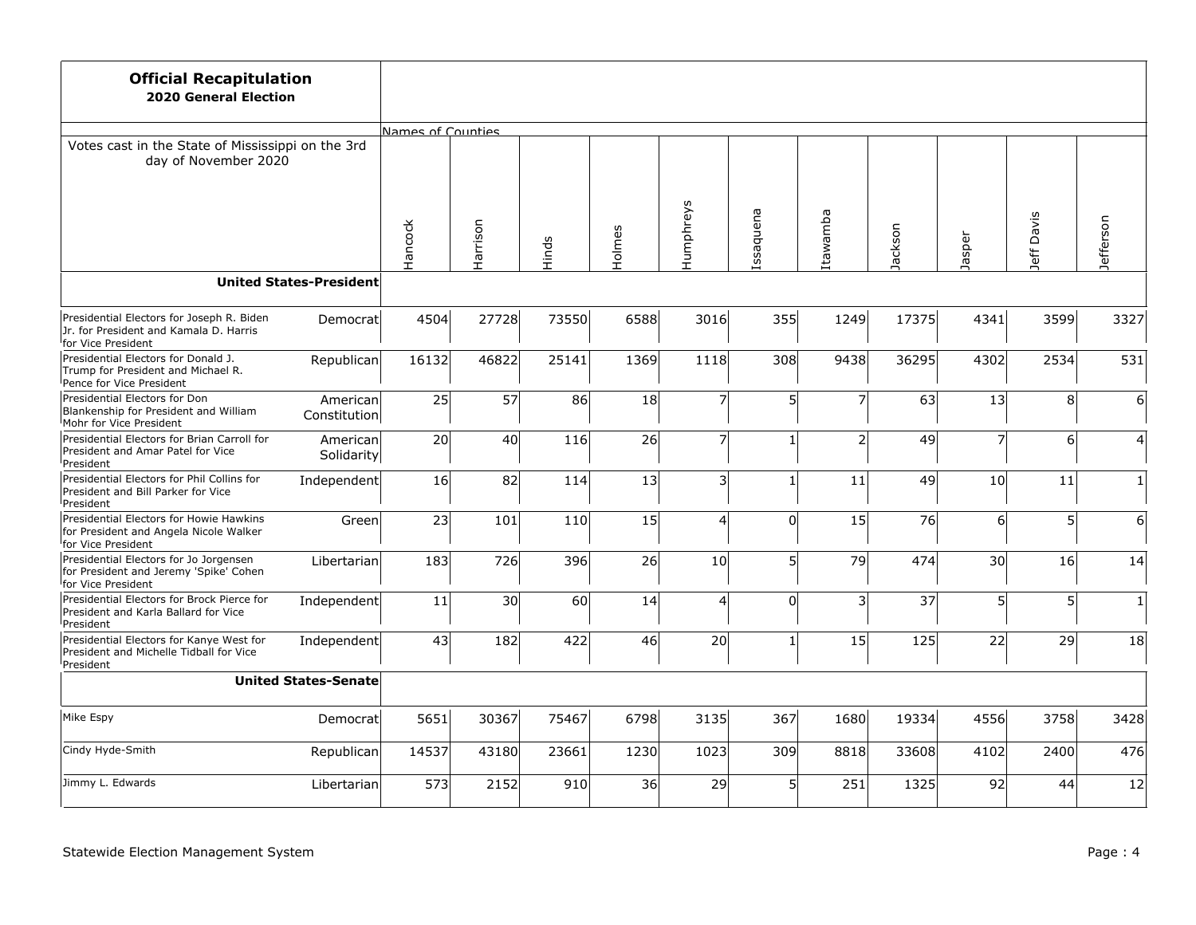| <b>Official Recapitulation</b><br><b>2020 General Election</b>                                                         |                                |                   |          |            |        |                |                |                |         |                 |                |              |
|------------------------------------------------------------------------------------------------------------------------|--------------------------------|-------------------|----------|------------|--------|----------------|----------------|----------------|---------|-----------------|----------------|--------------|
|                                                                                                                        |                                | Names of Counties |          |            |        |                |                |                |         |                 |                |              |
| Votes cast in the State of Mississippi on the 3rd<br>day of November 2020                                              |                                |                   |          |            |        |                |                |                |         |                 |                |              |
|                                                                                                                        |                                | Hancock           | Harrison | Hinds      | Holmes | Humphreys      | Issaquena      | Itawamba       | Jackson | Jasper          | Davis<br>Jeff  | Jefferson    |
|                                                                                                                        | <b>United States-President</b> |                   |          |            |        |                |                |                |         |                 |                |              |
| Presidential Electors for Joseph R. Biden<br>Jr. for President and Kamala D. Harris<br><sup>I</sup> for Vice President | Democrat                       | 4504              | 27728    | 73550      | 6588   | 3016           | 355            | 1249           | 17375   | 4341            | 3599           | 3327         |
| Presidential Electors for Donald J.<br>Trump for President and Michael R.<br>Pence for Vice President                  | Republican                     | 16132             | 46822    | 25141      | 1369   | 1118           | 308            | 9438           | 36295   | 4302            | 2534           | 531          |
| Presidential Electors for Don<br>Blankenship for President and William<br>Mohr for Vice President                      | American<br>Constitution       | 25                | 57       | 86         | 18     | $\overline{7}$ | 5 <sup>1</sup> | 7              | 63      | 13              | 8 <sup>1</sup> | 6            |
| Presidential Electors for Brian Carroll for<br>President and Amar Patel for Vice<br>President                          | American<br>Solidarity         | 20                | 40       | <b>116</b> | 26     | $\overline{7}$ | 1 <sup>1</sup> | $\overline{2}$ | 49      | $\overline{7}$  | $\epsilon$     | 4            |
| Presidential Electors for Phil Collins for<br>President and Bill Parker for Vice<br>President                          | Independent                    | 16                | 82       | 114        | 13     | 3              | 1 <sup>1</sup> | 11             | 49      | 10              | 11             | $\mathbf{1}$ |
| Presidential Electors for Howie Hawkins<br>for President and Angela Nicole Walker<br>for Vice President                | Green                          | 23                | 101      | 110        | 15     | $\overline{4}$ | $\Omega$       | 15             | 76      | 6               | $\mathsf{S}$   | 6            |
| Presidential Electors for Jo Jorgensen<br>for President and Jeremy 'Spike' Cohen<br><sup>I</sup> for Vice President    | Libertarian                    | 183               | 726      | 396        | 26     | 10             | 5 <sup>1</sup> | 79             | 474     | 30 <sup>2</sup> | 16             | 14           |
| Presidential Electors for Brock Pierce for<br>President and Karla Ballard for Vice<br>President                        | Independent                    | 11                | 30       | 60         | 14     | $\overline{4}$ | $\Omega$       | 3              | 37      | $\mathsf{S}$    | $\mathsf{S}$   | $\mathbf{1}$ |
| Presidential Electors for Kanye West for<br>President and Michelle Tidball for Vice<br>President                       | Independent                    | 43                | 182      | 422        | 46     | 20             | 1 <sup>1</sup> | 15             | 125     | 22              | 29             | 18           |
|                                                                                                                        | <b>United States-Senate</b>    |                   |          |            |        |                |                |                |         |                 |                |              |
| Mike Espy                                                                                                              | Democrat                       | 5651              | 30367    | 75467      | 6798   | 3135           | 367            | 1680           | 19334   | 4556            | 3758           | 3428         |
| Cindy Hyde-Smith                                                                                                       | Republican                     | 14537             | 43180    | 23661      | 1230   | 1023           | 309            | 8818           | 33608   | 4102            | 2400           | 476          |
| Jimmy L. Edwards                                                                                                       | Libertarian                    | 573               | 2152     | 910        | 36     | 29             | 5 <sup>1</sup> | 251            | 1325    | 92              | 44             | 12           |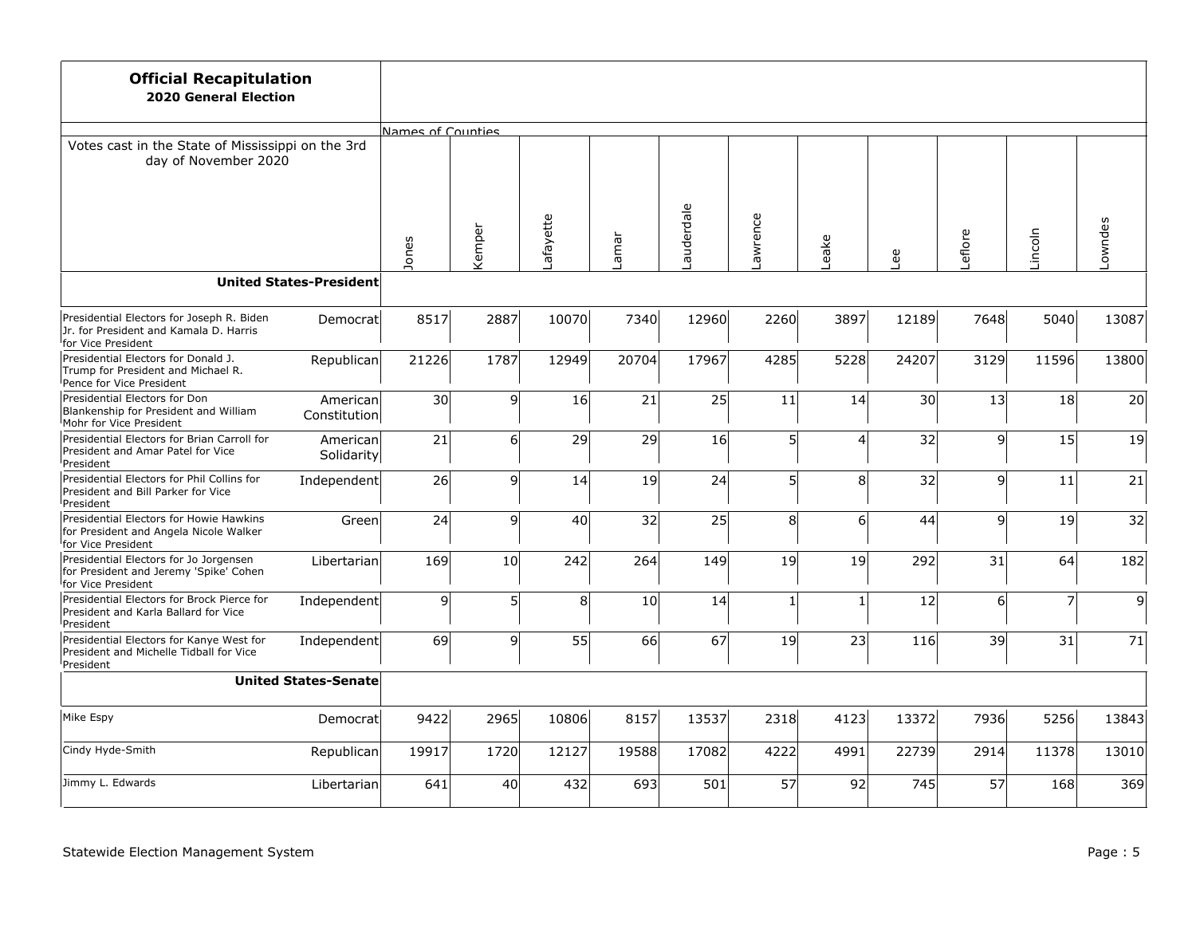| <b>Official Recapitulation</b><br><b>2020 General Election</b>                                                         |                                |                   |        |          |       |           |                |                |       |        |                 |         |
|------------------------------------------------------------------------------------------------------------------------|--------------------------------|-------------------|--------|----------|-------|-----------|----------------|----------------|-------|--------|-----------------|---------|
|                                                                                                                        |                                | Names of Counties |        |          |       |           |                |                |       |        |                 |         |
| Votes cast in the State of Mississippi on the 3rd<br>day of November 2020                                              |                                |                   |        |          |       |           |                |                |       |        |                 |         |
|                                                                                                                        |                                | Jones             | Kemper | afayette | Lamar | auderdale | Lawrence       | eake           | Lee   | eflore | Lincoln         | Lowndes |
|                                                                                                                        | <b>United States-President</b> |                   |        |          |       |           |                |                |       |        |                 |         |
| Presidential Electors for Joseph R. Biden<br>Jr. for President and Kamala D. Harris<br><sup>I</sup> for Vice President | Democrat                       | 8517              | 2887   | 10070    | 7340  | 12960     | 2260           | 3897           | 12189 | 7648   | 5040            | 13087   |
| Presidential Electors for Donald J.<br>Trump for President and Michael R.<br>Pence for Vice President                  | Republican                     | 21226             | 1787   | 12949    | 20704 | 17967     | 4285           | 5228           | 24207 | 3129   | 11596           | 13800   |
| Presidential Electors for Don<br>Blankenship for President and William<br>Mohr for Vice President                      | American<br>Constitution       | 30                | 9      | 16       | 21    | 25        | 11             | 14             | 30    | 13     | 18 <sup>°</sup> | 20      |
| Presidential Electors for Brian Carroll for<br>President and Amar Patel for Vice<br>President                          | American<br>Solidarity         | 21                | 6      | 29       | 29    | 16        | 5 <sup>1</sup> | 4              | 32    | 9      | 15              | 19      |
| Presidential Electors for Phil Collins for<br>President and Bill Parker for Vice<br>President                          | Independent                    | 26                | 9      | 14       | 19    | 24        | 5 <sup>1</sup> | 8 <sup>1</sup> | 32    | 9      | 11              | 21      |
| Presidential Electors for Howie Hawkins<br>for President and Angela Nicole Walker<br>for Vice President                | Green                          | 24                | 9      | 40       | 32    | 25        | 8 <sup>1</sup> | 6              | 44    | 9      | 19              | 32      |
| Presidential Electors for Jo Jorgensen<br>for President and Jeremy 'Spike' Cohen<br><sup>I</sup> for Vice President    | Libertarian                    | 169               | 10     | 242      | 264   | 149       | 19             | 19             | 292   | 31     | 64              | 182     |
| Presidential Electors for Brock Pierce for<br>President and Karla Ballard for Vice<br>President                        | Independent                    | 9                 | 5      | 8        | 10    | 14        | 1 <sup>1</sup> | $\mathbf{1}$   | 12    | 6      | $\overline{7}$  | 9       |
| Presidential Electors for Kanye West for<br>President and Michelle Tidball for Vice<br>President                       | Independent                    | 69                | 9      | 55       | 66    | 67        | 19             | 23             | 116   | 39     | 31              | 71      |
|                                                                                                                        | <b>United States-Senate</b>    |                   |        |          |       |           |                |                |       |        |                 |         |
| Mike Espy                                                                                                              | Democrat                       | 9422              | 2965   | 10806    | 8157  | 13537     | 2318           | 4123           | 13372 | 7936   | 5256            | 13843   |
| Cindy Hyde-Smith                                                                                                       | Republican                     | 19917             | 1720   | 12127    | 19588 | 17082     | 4222           | 4991           | 22739 | 2914   | 11378           | 13010   |
| Jimmy L. Edwards                                                                                                       | Libertarian                    | 641               | 40     | 432      | 693   | 501       | 57             | 92             | 745   | 57     | 168             | 369     |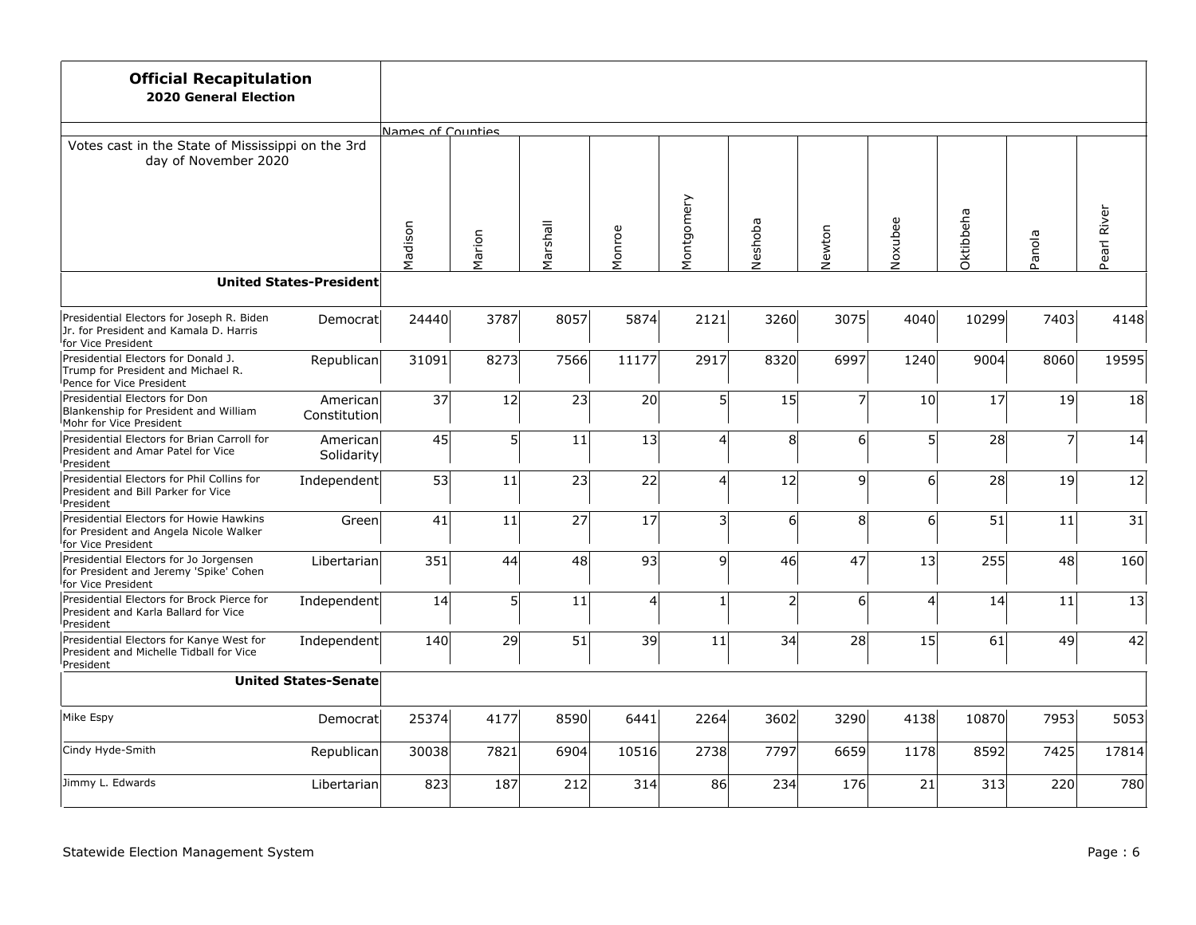| <b>Official Recapitulation</b><br><b>2020 General Election</b>                                                         |                                |                   |        |                 |        |                 |                |                |                |           |                |             |
|------------------------------------------------------------------------------------------------------------------------|--------------------------------|-------------------|--------|-----------------|--------|-----------------|----------------|----------------|----------------|-----------|----------------|-------------|
|                                                                                                                        |                                | Names of Counties |        |                 |        |                 |                |                |                |           |                |             |
| Votes cast in the State of Mississippi on the 3rd<br>day of November 2020                                              |                                |                   |        |                 |        |                 |                |                |                |           |                |             |
|                                                                                                                        |                                | Madison           | Marion | Marshall        | Monroe | Montgomery      | Neshoba        | Newton         | Noxubee        | Oktibbeha | Panola         | Pearl River |
|                                                                                                                        | <b>United States-President</b> |                   |        |                 |        |                 |                |                |                |           |                |             |
| Presidential Electors for Joseph R. Biden<br>Jr. for President and Kamala D. Harris<br><sup>I</sup> for Vice President | Democrat                       | 24440             | 3787   | 8057            | 5874   | 2121            | 3260           | 3075           | 4040           | 10299     | 7403           | 4148        |
| Presidential Electors for Donald J.<br>Trump for President and Michael R.<br>Pence for Vice President                  | Republican                     | 31091             | 8273   | 7566            | 11177  | 2917            | 8320           | 6997           | 1240           | 9004      | 8060           | 19595       |
| Presidential Electors for Don<br>Blankenship for President and William<br>Mohr for Vice President                      | American<br>Constitution       | 37                | 12     | 23              | 20     | $5\overline{)}$ | 15             | 7              | 10             | 17        | 19             | 18          |
| Presidential Electors for Brian Carroll for<br>President and Amar Patel for Vice<br>President                          | American<br>Solidarity         | 45                | 5      | 11              | 13     | $\overline{4}$  | 8 <sup>1</sup> | 6              | 5 <sup>1</sup> | 28        | $\overline{z}$ | 14          |
| Presidential Electors for Phil Collins for<br>President and Bill Parker for Vice<br>President                          | Independent                    | 53                | 11     | 23              | 22     | $\overline{4}$  | 12             | 9              | 6 <sup>1</sup> | 28        | 19             | 12          |
| Presidential Electors for Howie Hawkins<br>for President and Angela Nicole Walker<br>for Vice President                | Green                          | 41                | 11     | 27              | 17     | $\mathsf{S}$    | $6 \mid$       | 8 <sup>1</sup> | 6 <sup>1</sup> | 51        | 11             | 31          |
| Presidential Electors for Jo Jorgensen<br>for President and Jeremy 'Spike' Cohen<br><sup>I</sup> for Vice President    | Libertarian                    | 351               | 44     | 48              | 93     | 9               | 46             | 47             | 13             | 255       | 48             | 160         |
| Presidential Electors for Brock Pierce for<br>President and Karla Ballard for Vice<br>President                        | Independent                    | 14                | 5      | 11              | 4      | $\mathbf{1}$    | $\mathsf{2}$   | 6              | $\vert$        | 14        | 11             | 13          |
| Presidential Electors for Kanye West for<br>President and Michelle Tidball for Vice<br>President                       | Independent                    | 140               | 29     | $\overline{51}$ | 39     | 11              | 34             | 28             | 15             | 61        | 49             | 42          |
|                                                                                                                        | <b>United States-Senate</b>    |                   |        |                 |        |                 |                |                |                |           |                |             |
| Mike Espy                                                                                                              | Democrat                       | 25374             | 4177   | 8590            | 6441   | 2264            | 3602           | 3290           | 4138           | 10870     | 7953           | 5053        |
| Cindy Hyde-Smith                                                                                                       | Republican                     | 30038             | 7821   | 6904            | 10516  | 2738            | 7797           | 6659           | 1178           | 8592      | 7425           | 17814       |
| Jimmy L. Edwards                                                                                                       | Libertarian                    | 823               | 187    | 212             | 314    | 86              | 234            | 176            | 21             | 313       | 220            | 780         |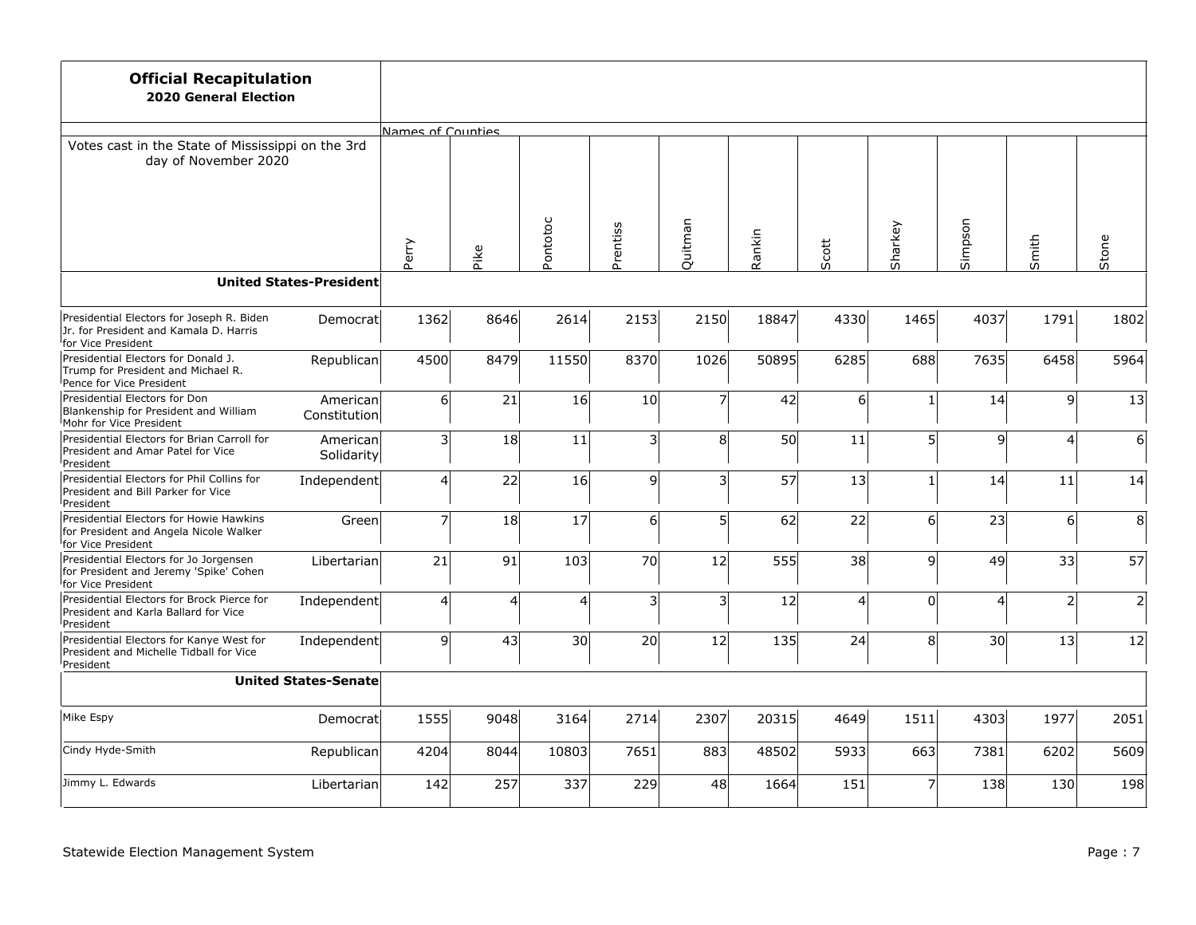| <b>Official Recapitulation</b><br><b>2020 General Election</b>                                                         |                                |                   |      |                |                |                         |        |          |                |         |                         |                |
|------------------------------------------------------------------------------------------------------------------------|--------------------------------|-------------------|------|----------------|----------------|-------------------------|--------|----------|----------------|---------|-------------------------|----------------|
|                                                                                                                        |                                | Names of Counties |      |                |                |                         |        |          |                |         |                         |                |
| Votes cast in the State of Mississippi on the 3rd<br>day of November 2020                                              |                                |                   |      |                |                |                         |        |          |                |         |                         |                |
|                                                                                                                        |                                | Perry             | Pike | Pontotoc       | Prentiss       | Quitman                 | Rankin | Scott    | Sharkey        | Simpson | Smith                   | Stone          |
|                                                                                                                        | <b>United States-President</b> |                   |      |                |                |                         |        |          |                |         |                         |                |
| Presidential Electors for Joseph R. Biden<br>Jr. for President and Kamala D. Harris<br><sup>I</sup> for Vice President | Democrat                       | 1362              | 8646 | 2614           | 2153           | 2150                    | 18847  | 4330     | 1465           | 4037    | 1791                    | 1802           |
| Presidential Electors for Donald J.<br>Trump for President and Michael R.<br>Pence for Vice President                  | Republican                     | 4500              | 8479 | 11550          | 8370           | 1026                    | 50895  | 6285     | 688            | 7635    | 6458                    | 5964           |
| Presidential Electors for Don<br>Blankenship for President and William<br>Mohr for Vice President                      | American<br>Constitution       | 6                 | 21   | 16             | 10             | 7                       | 42     | $6 \mid$ |                | 14      | 9                       | 13             |
| Presidential Electors for Brian Carroll for<br>President and Amar Patel for Vice<br>President                          | American<br>Solidarity         | 3 <sup>1</sup>    | 18   | 11             | $\overline{3}$ | 8                       | 50     | 11       | 5 <sup>1</sup> | 9       | $\overline{\mathbf{A}}$ | 6              |
| Presidential Electors for Phil Collins for<br>President and Bill Parker for Vice<br>President                          | Independent                    | $\vert 4 \vert$   | 22   | 16             | 9l             | $\overline{\mathbf{3}}$ | 57     | 13       |                | 14      | 11                      | 14             |
| Presidential Electors for Howie Hawkins<br>for President and Angela Nicole Walker<br>for Vice President                | Green                          | $\overline{z}$    | 18   | 17             | 6              | 5 <sup>1</sup>          | 62     | 22       | 6 <sup>1</sup> | 23      | 6 <sup>1</sup>          | 8              |
| Presidential Electors for Jo Jorgensen<br>for President and Jeremy 'Spike' Cohen<br><sup>I</sup> for Vice President    | Libertarian                    | 21                | 91   | 103            | 70             | 12                      | 555    | 38       | 9l             | 49      | 33                      | 57             |
| Presidential Electors for Brock Pierce for<br>President and Karla Ballard for Vice<br>President                        | Independent                    | $\vert 4 \vert$   | 4    | $\overline{4}$ | 3              | $\overline{\mathbf{3}}$ | 12     | 4        | $\Omega$       | 4       | $\overline{2}$          | $\overline{2}$ |
| Presidential Electors for Kanye West for<br>President and Michelle Tidball for Vice<br>President                       | Independent                    | 9                 | 43   | 30             | 20             | 12                      | 135    | 24       | 8 <sup>1</sup> | 30      | 13                      | 12             |
|                                                                                                                        | <b>United States-Senate</b>    |                   |      |                |                |                         |        |          |                |         |                         |                |
| Mike Espy                                                                                                              | Democrat                       | 1555              | 9048 | 3164           | 2714           | 2307                    | 20315  | 4649     | 1511           | 4303    | 1977                    | 2051           |
| Cindy Hyde-Smith                                                                                                       | Republican                     | 4204              | 8044 | 10803          | 7651           | 883                     | 48502  | 5933     | 663            | 7381    | 6202                    | 5609           |
| Jimmy L. Edwards                                                                                                       | Libertarian                    | 142               | 257  | 337            | 229            | 48                      | 1664   | 151      |                | 138     | 130                     | 198            |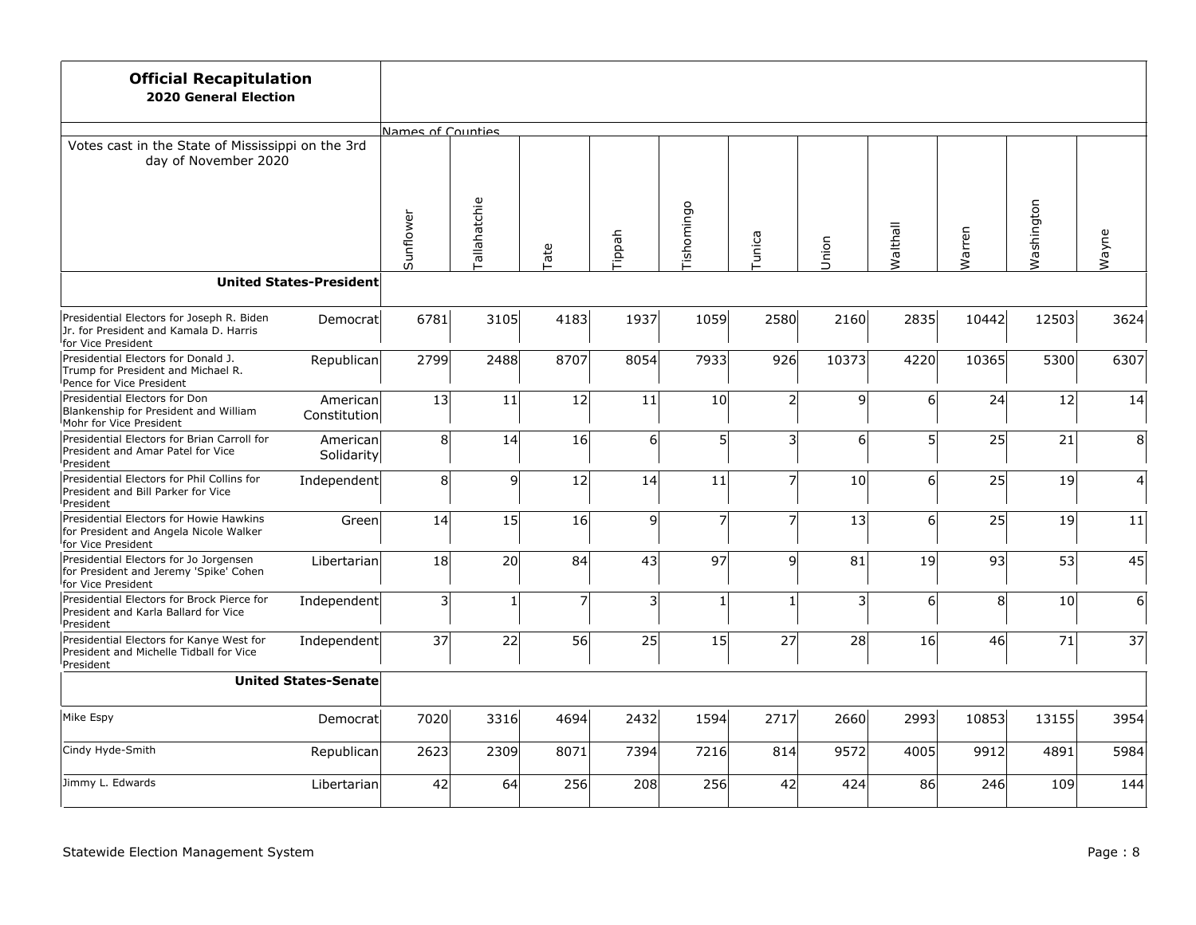| <b>Official Recapitulation</b><br><b>2020 General Election</b>                                                         |                                |                         |                     |      |                  |                 |                         |       |                |        |            |                |
|------------------------------------------------------------------------------------------------------------------------|--------------------------------|-------------------------|---------------------|------|------------------|-----------------|-------------------------|-------|----------------|--------|------------|----------------|
|                                                                                                                        |                                | Names of Counties       |                     |      |                  |                 |                         |       |                |        |            |                |
| Votes cast in the State of Mississippi on the 3rd<br>day of November 2020                                              |                                |                         |                     |      |                  |                 |                         |       |                |        |            |                |
|                                                                                                                        |                                | Sunflower               | <b>Tallahatchie</b> | Tate | Tippah           | Tishomingo      | Tunica                  | Union | Malthall       | Warren | Washington | Wayne          |
|                                                                                                                        | <b>United States-President</b> |                         |                     |      |                  |                 |                         |       |                |        |            |                |
| Presidential Electors for Joseph R. Biden<br>Jr. for President and Kamala D. Harris<br><sup>I</sup> for Vice President | Democratl                      | 6781                    | 3105                | 4183 | 1937             | 1059            | 2580                    | 2160  | 2835           | 10442  | 12503      | 3624           |
| Presidential Electors for Donald J.<br>Trump for President and Michael R.<br>Pence for Vice President                  | Republican                     | 2799                    | 2488                | 8707 | 8054             | 7933            | 926                     | 10373 | 4220           | 10365  | 5300       | 6307           |
| Presidential Electors for Don<br>Blankenship for President and William<br>Mohr for Vice President                      | Americanl<br>Constitution      | 13                      | 11                  | 12   | 11               | 10 <sup>1</sup> | $\mathsf{2}$            | 9     | 6 <sup>1</sup> | 24     | 12         | 14             |
| Presidential Electors for Brian Carroll for<br>President and Amar Patel for Vice<br><sup>I</sup> President             | Americanl<br>Solidarity        | 8                       | 14                  | 16   | $6 \overline{6}$ | 5 <sup>1</sup>  | $\overline{\mathsf{3}}$ | 6     | 5 <sup>1</sup> | 25     | 21         | 8              |
| Presidential Electors for Phil Collins for<br>President and Bill Parker for Vice<br><sup>l</sup> President             | Independent                    | 8 <sup>1</sup>          | $\mathsf{g}$        | 12   | 14               | 11              | $\overline{7}$          | 10    | 6 <sup>1</sup> | 25     | 19         | $\overline{4}$ |
| Presidential Electors for Howie Hawkins<br>for President and Angela Nicole Walker<br><sup>I</sup> for Vice President   | Green                          | 14                      | 15                  | 16   | $\overline{9}$   | 7               | $\overline{7}$          | 13    | 6 <sup>1</sup> | 25     | 19         | 11             |
| Presidential Electors for Jo Jorgensen<br>for President and Jeremy 'Spike' Cohen<br>for Vice President                 | Libertarian                    | 18                      | 20                  | 84   | 43               | 97              | $\mathsf{q}$            | 81    | 19             | 93     | 53         | 45             |
| Presidential Electors for Brock Pierce for<br>President and Karla Ballard for Vice<br><sup>I</sup> President           | Independent                    | $\overline{\mathbf{3}}$ | 1                   | 7    | 3                | $\mathbf{1}$    | 1                       | 3     | 6 <sup>1</sup> | 8      | 10         | $6 \mid$       |
| Presidential Electors for Kanye West for<br>President and Michelle Tidball for Vice<br>President                       | Independent                    | 37                      | 22                  | 56   | 25               | 15              | 27                      | 28    | 16             | 46     | 71         | 37             |
|                                                                                                                        | <b>United States-Senate</b>    |                         |                     |      |                  |                 |                         |       |                |        |            |                |
| Mike Espy                                                                                                              | Democratl                      | 7020                    | 3316                | 4694 | 2432             | 1594            | 2717                    | 2660  | 2993           | 10853  | 13155      | 3954           |
| Cindy Hyde-Smith                                                                                                       | Republican                     | 2623                    | 2309                | 8071 | 7394             | 7216            | 814                     | 9572  | 4005           | 9912   | 4891       | 5984           |
| Jimmy L. Edwards                                                                                                       | Libertarian                    | 42                      | 64                  | 256  | 208              | 256             | 42                      | 424   | 86             | 246    | 109        | 144            |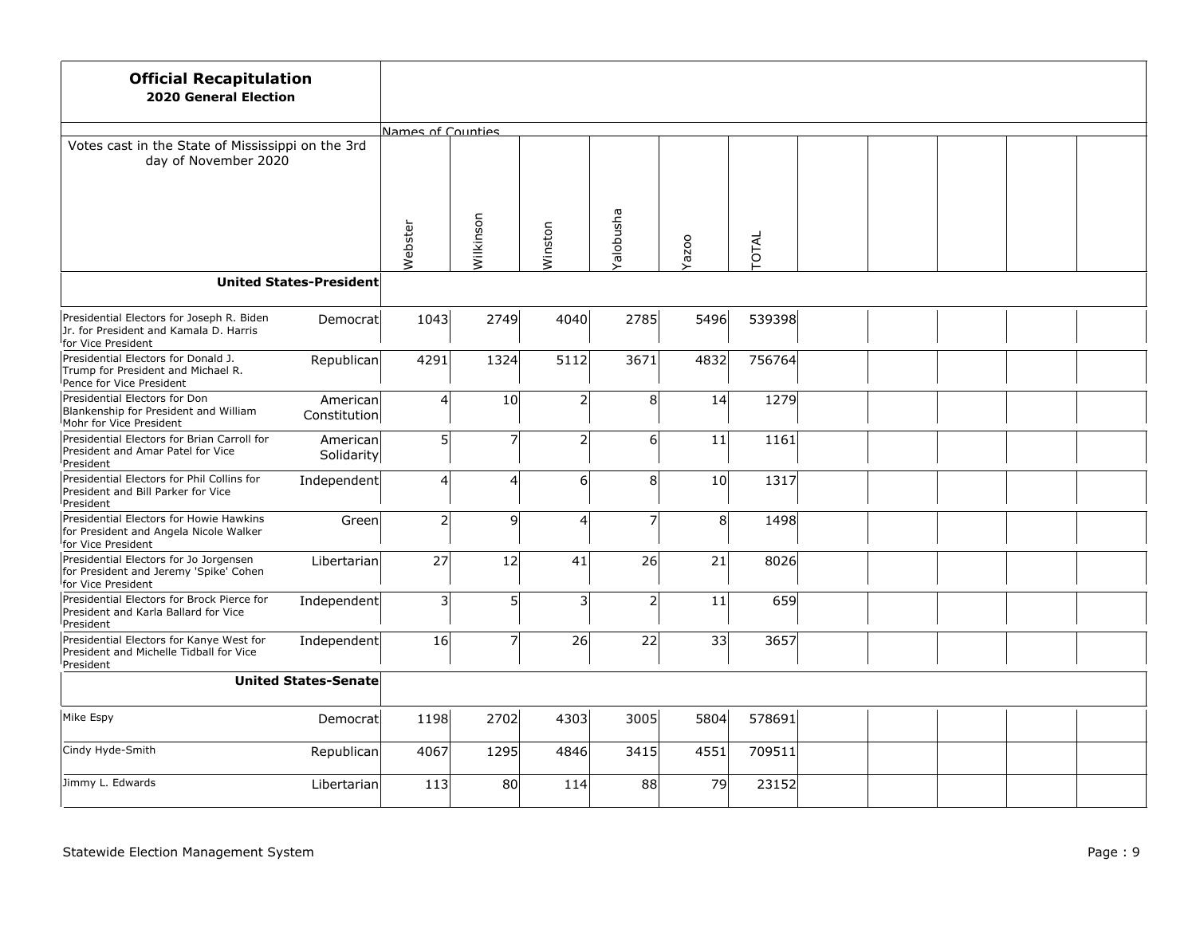| <b>Official Recapitulation</b><br><b>2020 General Election</b>                                                         |                                |                   |                |         |                  |                |        |  |  |  |
|------------------------------------------------------------------------------------------------------------------------|--------------------------------|-------------------|----------------|---------|------------------|----------------|--------|--|--|--|
|                                                                                                                        |                                | Names of Counties |                |         |                  |                |        |  |  |  |
| Votes cast in the State of Mississippi on the 3rd<br>day of November 2020                                              |                                |                   |                |         |                  |                |        |  |  |  |
|                                                                                                                        |                                | Webster           | Wilkinson      | Winston | <b>Edsudoley</b> | Yazoo          | TOTAL  |  |  |  |
|                                                                                                                        | <b>United States-President</b> |                   |                |         |                  |                |        |  |  |  |
| Presidential Electors for Joseph R. Biden<br>Jr. for President and Kamala D. Harris<br><sup>I</sup> for Vice President | Democrat                       | 1043              | 2749           | 4040    | 2785             | 5496           | 539398 |  |  |  |
| Presidential Electors for Donald J.<br>Trump for President and Michael R.<br>Pence for Vice President                  | Republican                     | 4291              | 1324           | 5112    | 3671             | 4832           | 756764 |  |  |  |
| Presidential Electors for Don<br>Blankenship for President and William<br>Mohr for Vice President                      | American<br>Constitution       | $\vert 4 \vert$   | 10             | 2       | 8                | 14             | 1279   |  |  |  |
| Presidential Electors for Brian Carroll for<br>President and Amar Patel for Vice<br>President                          | American<br>Solidarity         | 5                 | $\overline{7}$ | 2       | $6 \overline{6}$ | 11             | 1161   |  |  |  |
| Presidential Electors for Phil Collins for<br>President and Bill Parker for Vice<br>President                          | Independent                    | $\vert 4 \vert$   | $\overline{4}$ | 61      | 8                | 10             | 1317   |  |  |  |
| Presidential Electors for Howie Hawkins<br>for President and Angela Nicole Walker<br>for Vice President                | Green                          | $2\vert$          | 9              | 4       | $\overline{z}$   | 8 <sup>1</sup> | 1498   |  |  |  |
| Presidential Electors for Jo Jorgensen<br>for President and Jeremy 'Spike' Cohen<br><sup>I</sup> for Vice President    | Libertarian                    | 27                | 12             | 41      | 26               | 21             | 8026   |  |  |  |
| Presidential Electors for Brock Pierce for<br>President and Karla Ballard for Vice<br>President                        | Independent                    | 3                 | 5              | 3       | $\overline{2}$   | 11             | 659    |  |  |  |
| Presidential Electors for Kanye West for<br>President and Michelle Tidball for Vice<br>President                       | Independent                    | 16                | 7              | 26      | 22               | 33             | 3657   |  |  |  |
|                                                                                                                        | <b>United States-Senate</b>    |                   |                |         |                  |                |        |  |  |  |
| Mike Espy                                                                                                              | Democrat                       | 1198              | 2702           | 4303    | 3005             | 5804           | 578691 |  |  |  |
| Cindy Hyde-Smith                                                                                                       | Republican                     | 4067              | 1295           | 4846    | 3415             | 4551           | 709511 |  |  |  |
| Jimmy L. Edwards                                                                                                       | Libertarian                    | 113               | 80             | 114     | 88               | 79             | 23152  |  |  |  |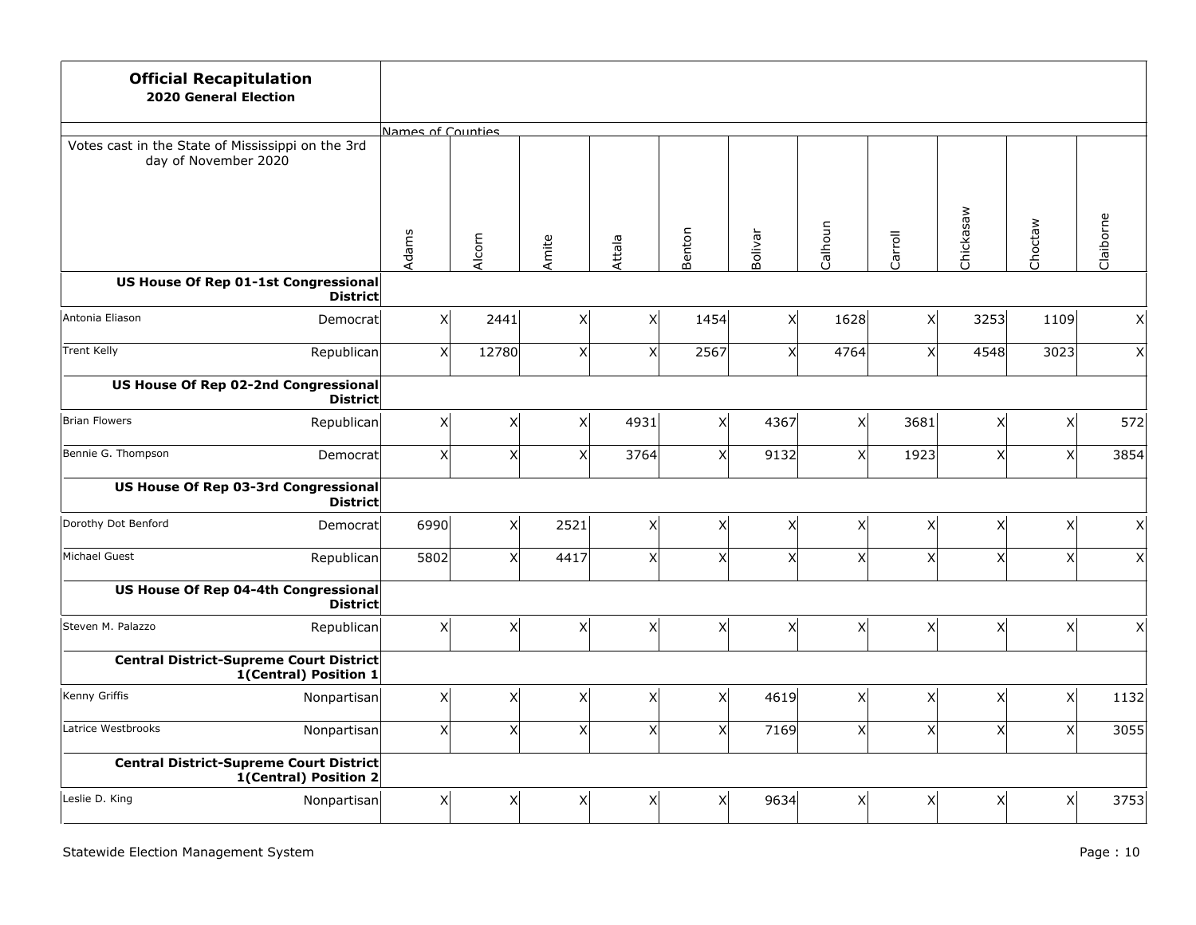| <b>Official Recapitulation</b><br><b>2020 General Election</b>            |                 |                   |              |       |                |        |         |                |         |                         |                |                 |
|---------------------------------------------------------------------------|-----------------|-------------------|--------------|-------|----------------|--------|---------|----------------|---------|-------------------------|----------------|-----------------|
|                                                                           |                 | Names of Counties |              |       |                |        |         |                |         |                         |                |                 |
| Votes cast in the State of Mississippi on the 3rd<br>day of November 2020 |                 |                   |              |       |                |        |         |                |         |                         |                |                 |
|                                                                           |                 | Adams             | Alcorn       | Amite | Attala         | Benton | Bolivar | Calhoun        | Carroll | Chickasaw               | Choctaw        | Claiborne       |
| US House Of Rep 01-1st Congressional                                      | <b>District</b> |                   |              |       |                |        |         |                |         |                         |                |                 |
| Antonia Eliason                                                           | Democrat        | x                 | 2441         | x     | X              | 1454   | x       | 1628           | x       | 3253                    | 1109           | X               |
| <b>Trent Kelly</b>                                                        | Republican      | x                 | 12780        | x     | x <sub>l</sub> | 2567   | x       | 4764           | x       | 4548                    | 3023           | x               |
| US House Of Rep 02-2nd Congressional                                      | <b>District</b> |                   |              |       |                |        |         |                |         |                         |                |                 |
| Brian Flowers                                                             | Republican      | x                 | X            | x     | 4931           | X      | 4367    | x              | 3681    | X                       | x              | 572             |
| Bennie G. Thompson                                                        | Democrat        | $\vert x \vert$   | $\mathsf{x}$ | X     | 3764           | X      | 9132    | x <sub>l</sub> | 1923    | $\mathsf{X}$            | x <sup>1</sup> | 3854            |
| US House Of Rep 03-3rd Congressional                                      | <b>District</b> |                   |              |       |                |        |         |                |         |                         |                |                 |
| Dorothy Dot Benford                                                       | Democratl       | 6990              | $\times$     | 2521  | X              | X      | X       | x              | x       | X                       | x              | $\vert X \vert$ |
| Michael Guest                                                             | Republican      | 5802              | $\mathsf{x}$ | 4417  | x <sub>l</sub> | X      | x       | x <sup>1</sup> | x       | $\overline{\mathsf{x}}$ | x <sup>1</sup> | x               |
| US House Of Rep 04-4th Congressional                                      | <b>District</b> |                   |              |       |                |        |         |                |         |                         |                |                 |
| Steven M. Palazzo                                                         | Republican      | $\vert x \vert$   | X            | x     | X              | Χ      | X       | x              | x       | X                       | x <sup>1</sup> | x               |
| <b>Central District-Supreme Court District</b><br>1(Central) Position 1   |                 |                   |              |       |                |        |         |                |         |                         |                |                 |
| Kenny Griffis                                                             | Nonpartisan     | x                 | X            | x     | X              | X      | 4619    | x <sub>l</sub> | x       | X                       | x              | 1132            |
| Latrice Westbrooks                                                        | Nonpartisan     | x                 | $\mathsf{X}$ | x     | X              | X      | 7169    | X              | X       | X                       | x <sub>l</sub> | 3055            |
| <b>Central District-Supreme Court District</b><br>1(Central) Position 2   |                 |                   |              |       |                |        |         |                |         |                         |                |                 |
| Leslie D. King                                                            | Nonpartisan     | x                 | X            | x     | X              | Χ      | 9634    | x              | x       | X                       | x              | 3753            |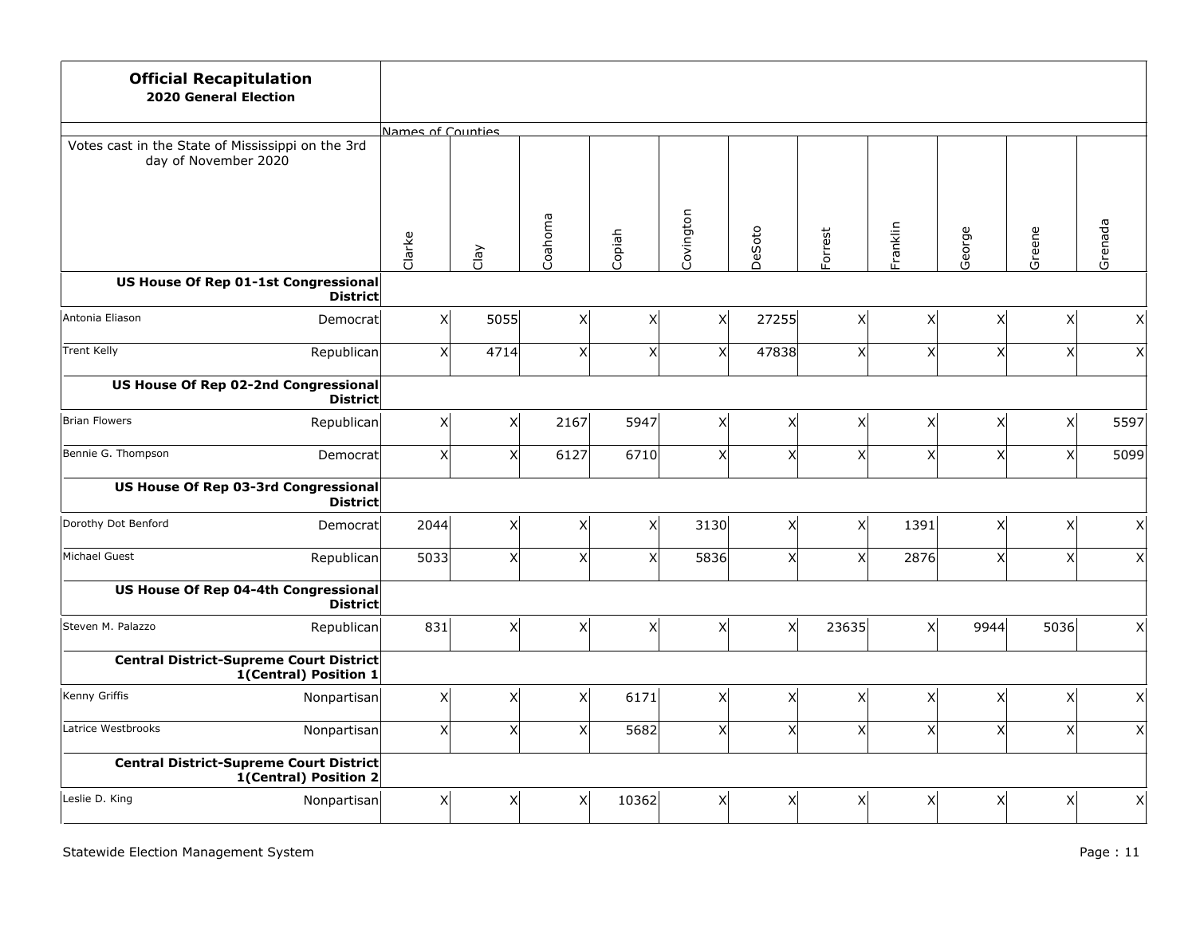| <b>Official Recapitulation</b><br><b>2020 General Election</b>            |                   |              |          |                |           |          |                           |                |                           |                |              |
|---------------------------------------------------------------------------|-------------------|--------------|----------|----------------|-----------|----------|---------------------------|----------------|---------------------------|----------------|--------------|
|                                                                           | Names of Counties |              |          |                |           |          |                           |                |                           |                |              |
| Votes cast in the State of Mississippi on the 3rd<br>day of November 2020 |                   |              |          |                |           |          |                           |                |                           |                |              |
|                                                                           | Clarke            | Clay         | Coahoma  | Copiah         | Covington | DeSoto   | Forrest                   | Franklin       | George                    | Greene         | Grenada      |
| US House Of Rep 01-1st Congressional<br><b>District</b>                   |                   |              |          |                |           |          |                           |                |                           |                |              |
| Antonia Eliason<br>Democrat                                               | x                 | 5055         | x        | X              | Χ         | 27255    | x                         | x              | X                         | x              | Χ            |
| <b>Trent Kelly</b><br>Republican                                          | $\vert x \vert$   | 4714         | x        | X              | X         | 47838    | x                         | X              | $\boldsymbol{\mathsf{X}}$ | x <sup>1</sup> | $\mathsf{X}$ |
| US House Of Rep 02-2nd Congressional<br><b>District</b>                   |                   |              |          |                |           |          |                           |                |                           |                |              |
| Brian Flowers<br>Republican                                               | x                 | $\times$     | 2167     | 5947           | Χ         | $\times$ | x                         | x              | $\boldsymbol{\mathsf{X}}$ | x <sup>1</sup> | 5597         |
| Bennie G. Thompson<br>Democrat                                            | x                 | $\mathsf{x}$ | 6127     | 6710           | X         | x        | x <sup>1</sup>            | x              | $\mathsf{x}$              | x              | 5099         |
| US House Of Rep 03-3rd Congressional<br><b>District</b>                   |                   |              |          |                |           |          |                           |                |                           |                |              |
| Dorothy Dot Benford<br>Democrat                                           | 2044              | $\mathsf{X}$ | x        | $\pmb{\times}$ | 3130      | x        | x                         | 1391           | X                         | x              | x            |
| Michael Guest<br>Republican                                               | 5033              | $\mathsf{x}$ | x        | $\mathsf{x}$   | 5836      | x        | x <sub>l</sub>            | 2876           | $\mathsf{x}$              | x <sup>1</sup> | $\mathsf{X}$ |
| US House Of Rep 04-4th Congressional<br><b>District</b>                   |                   |              |          |                |           |          |                           |                |                           |                |              |
| Steven M. Palazzo<br>Republican                                           | 831               | X            | $x\vert$ | X              | X         | x        | 23635                     | x <sup>1</sup> | 9944                      | 5036           | x            |
| <b>Central District-Supreme Court District</b><br>1(Central) Position 1   |                   |              |          |                |           |          |                           |                |                           |                |              |
| Kenny Griffis<br>Nonpartisan                                              | x                 | X            | x        | 6171           | X         | X        | x                         | x              | $\boldsymbol{\mathsf{X}}$ | x              | X            |
| Latrice Westbrooks<br>Nonpartisan                                         | x                 | $\mathsf{X}$ | X        | 5682           | X         | x        | $\boldsymbol{\mathsf{x}}$ | x              | $\mathsf{x}$              | x <sup>1</sup> | $\mathsf{X}$ |
| <b>Central District-Supreme Court District</b><br>1(Central) Position 2   |                   |              |          |                |           |          |                           |                |                           |                |              |
| Leslie D. King<br>Nonpartisan                                             | x                 | X            | x        | 10362          | Χ         | X        | x                         | x              | X                         | x <sup>1</sup> | x            |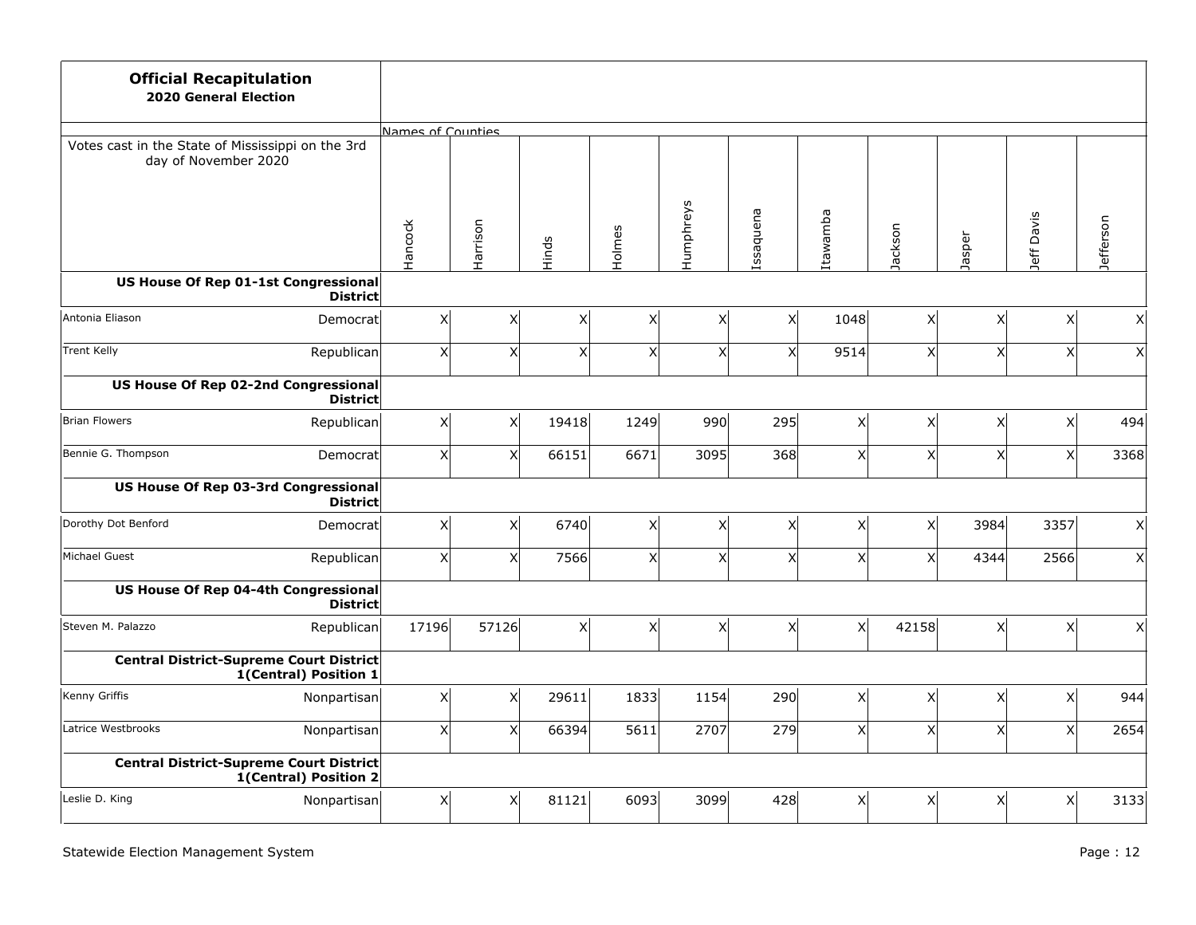| <b>Official Recapitulation</b><br><b>2020 General Election</b>            |                   |          |       |                |                         |                         |          |                 |                 |              |           |
|---------------------------------------------------------------------------|-------------------|----------|-------|----------------|-------------------------|-------------------------|----------|-----------------|-----------------|--------------|-----------|
|                                                                           | Names of Counties |          |       |                |                         |                         |          |                 |                 |              |           |
| Votes cast in the State of Mississippi on the 3rd<br>day of November 2020 |                   |          |       |                |                         |                         |          |                 |                 |              |           |
|                                                                           | Hancock           | Harrison | Hinds | Holmes         | Humphreys               | Issaquena               | Itawamba | Jackson         | Jasper          | Jeff Davis   | Jefferson |
| US House Of Rep 01-1st Congressional<br><b>District</b>                   |                   |          |       |                |                         |                         |          |                 |                 |              |           |
| Antonia Eliason<br>Democrat                                               | x                 | X        | Χ     | $\mathsf{X}$   | X                       | x                       | 1048     | x               | X               | X            | x         |
| <b>Trent Kelly</b><br>Republican                                          | X                 | X        | X     | X              | X                       | $\overline{\mathsf{x}}$ | 9514     | $\vert x \vert$ | $\mathsf{X}$    | X            | x         |
| US House Of Rep 02-2nd Congressional<br><b>District</b>                   |                   |          |       |                |                         |                         |          |                 |                 |              |           |
| Brian Flowers<br>Republican                                               | x                 | X        | 19418 | 1249           | 990                     | 295                     | x        | $\vert x \vert$ | X               | Χ            | 494       |
| Bennie G. Thompson<br>Democrat                                            | x                 | $\times$ | 66151 | 6671           | 3095                    | 368                     | x        | x               | $\mathsf{X}$    | $\mathsf{x}$ | 3368      |
| <b>US House Of Rep 03-3rd Congressional</b><br><b>District</b>            |                   |          |       |                |                         |                         |          |                 |                 |              |           |
| Dorothy Dot Benford<br>Democrat                                           | x                 | x        | 6740  | x <sup>1</sup> | $\mathsf{X}$            | x                       | x        | x               | 3984            | 3357         | x         |
| Michael Guest<br>Republican                                               | x                 | $\times$ | 7566  | x <sub>l</sub> | $\overline{\mathsf{x}}$ | x <sub>l</sub>          | x        | $\mathsf{x}$    | 4344            | 2566         | x         |
| US House Of Rep 04-4th Congressional<br><b>District</b>                   |                   |          |       |                |                         |                         |          |                 |                 |              |           |
| Steven M. Palazzo<br>Republican                                           | 17196             | 57126    | x     | x <sub>l</sub> | X                       | x                       | x        | 42158           | $\vert x \vert$ | X            | x         |
| <b>Central District-Supreme Court District</b><br>1(Central) Position 1   |                   |          |       |                |                         |                         |          |                 |                 |              |           |
| Kenny Griffis<br>Nonpartisan                                              | x                 | X        | 29611 | 1833           | 1154                    | 290                     | x        | $\vert x \vert$ | $\mathsf{X}$    | $\mathsf X$  | 944       |
| Latrice Westbrooks<br>Nonpartisan                                         | x                 | X        | 66394 | 5611           | 2707                    | 279                     | x        | x               | $\mathsf{X}$    | $\mathsf{x}$ | 2654      |
| <b>Central District-Supreme Court District</b><br>1(Central) Position 2   |                   |          |       |                |                         |                         |          |                 |                 |              |           |
| Leslie D. King<br>Nonpartisan                                             | x                 | X        | 81121 | 6093           | 3099                    | 428                     | x        | x               | $\mathsf{X}$    | X            | 3133      |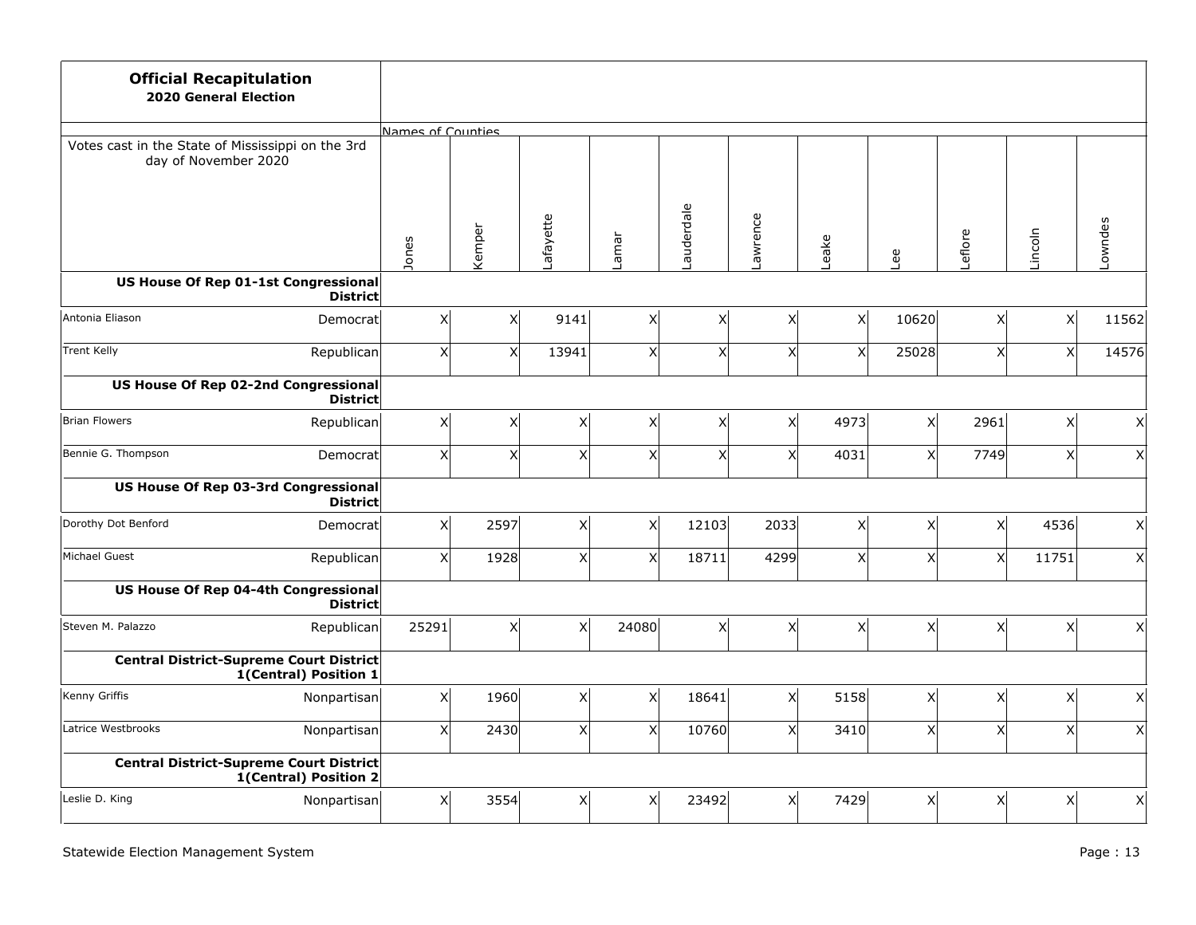| <b>Official Recapitulation</b><br><b>2020 General Election</b>            |                   |              |           |                |            |                |                |                |                           |                |                    |
|---------------------------------------------------------------------------|-------------------|--------------|-----------|----------------|------------|----------------|----------------|----------------|---------------------------|----------------|--------------------|
|                                                                           | Names of Counties |              |           |                |            |                |                |                |                           |                |                    |
| Votes cast in the State of Mississippi on the 3rd<br>day of November 2020 |                   |              |           |                |            |                |                |                |                           |                |                    |
|                                                                           | Jones             | Kemper       | Lafayette | Lamar          | Lauderdale | Lawrence       | Leake          | Lee            | eflore                    | Lincoln        | Lowndes            |
| US House Of Rep 01-1st Congressional<br><b>District</b>                   |                   |              |           |                |            |                |                |                |                           |                |                    |
| Antonia Eliason<br>Democrat                                               | x                 | X            | 9141      | X              | Χ          | X              | x <sub>l</sub> | 10620          | X                         | x              | 11562              |
| <b>Trent Kelly</b><br>Republican                                          | $\vert x \vert$   | X            | 13941     | X              | X          | X              | x <sub>l</sub> | 25028          | $\mathsf{X}$              | x <sup>1</sup> | 14576              |
| US House Of Rep 02-2nd Congressional<br><b>District</b>                   |                   |              |           |                |            |                |                |                |                           |                |                    |
| Brian Flowers<br>Republican                                               | x                 | X            | x         | X              | X          | x              | 4973           | x              | 2961                      | x              | $\vert X \vert$    |
| Bennie G. Thompson<br>Democrat                                            | x                 | $\mathsf{x}$ | x         | x <sub>l</sub> | X          | x <sup>1</sup> | 4031           | x <sup>1</sup> | 7749                      | x <sup>1</sup> | x                  |
| US House Of Rep 03-3rd Congressional<br><b>District</b>                   |                   |              |           |                |            |                |                |                |                           |                |                    |
| Dorothy Dot Benford<br>Democrat                                           | x                 | 2597         | x         | x <sub>l</sub> | 12103      | 2033           | x              | x <sup>1</sup> | $\mathsf{x}$              | 4536           | $\pmb{\mathsf{X}}$ |
| Michael Guest<br>Republican                                               | x                 | 1928         | x         | x <sup>1</sup> | 18711      | 4299           | x <sup>1</sup> | xl             | $\boldsymbol{\mathsf{X}}$ | 11751          | x                  |
| US House Of Rep 04-4th Congressional<br><b>District</b>                   |                   |              |           |                |            |                |                |                |                           |                |                    |
| Steven M. Palazzo<br>Republican                                           | 25291             | X            | x         | 24080          | X          | $\times$       | x              | x              | X                         | x              | $\vert X \vert$    |
| <b>Central District-Supreme Court District</b><br>1(Central) Position 1   |                   |              |           |                |            |                |                |                |                           |                |                    |
| Kenny Griffis<br>Nonpartisan                                              | x                 | 1960         | x         | χ              | 18641      | x <sub>l</sub> | 5158           | x              | $\boldsymbol{\mathsf{X}}$ | x              | X                  |
| Latrice Westbrooks<br>Nonpartisan                                         | x                 | 2430         | x         | x <sub>l</sub> | 10760      | x              | 3410           | x              | $\mathsf{x}$              | x <sup>1</sup> | $\mathsf{X}$       |
| <b>Central District-Supreme Court District</b><br>1(Central) Position 2   |                   |              |           |                |            |                |                |                |                           |                |                    |
| Leslie D. King<br>Nonpartisan                                             | x                 | 3554         | x         | X              | 23492      | X              | 7429           | x              | X                         | x <sup>1</sup> | x                  |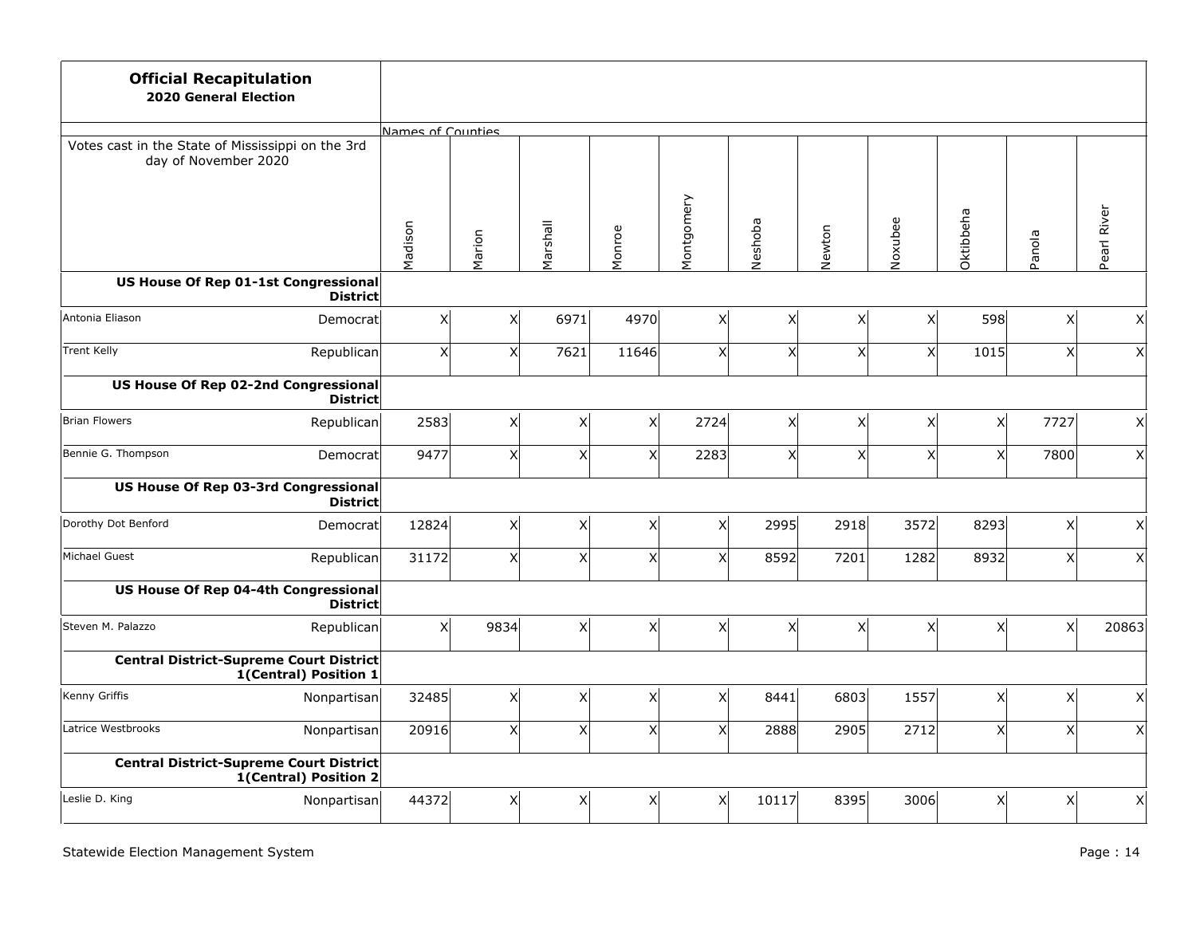| <b>Official Recapitulation</b><br><b>2020 General Election</b>            |                                                                  |                   |                |          |                    |                |                |                           |                 |                    |                    |             |
|---------------------------------------------------------------------------|------------------------------------------------------------------|-------------------|----------------|----------|--------------------|----------------|----------------|---------------------------|-----------------|--------------------|--------------------|-------------|
|                                                                           |                                                                  | Names of Counties |                |          |                    |                |                |                           |                 |                    |                    |             |
| Votes cast in the State of Mississippi on the 3rd<br>day of November 2020 |                                                                  |                   |                |          |                    |                |                |                           |                 |                    |                    |             |
|                                                                           |                                                                  | Madison           | Marion         | Marshall | Monroe             | Montgomery     | Neshoba        | Newton                    | Noxubee         | Oktibbeha          | Panola             | Pearl River |
| US House Of Rep 01-1st Congressional                                      | <b>District</b>                                                  |                   |                |          |                    |                |                |                           |                 |                    |                    |             |
| Antonia Eliason                                                           | Democratl                                                        | X                 | $\times$       | 6971     | 4970               | $\pmb{\times}$ | x              | X                         | x               | 598                | X                  | x           |
| <b>Trent Kelly</b>                                                        | Republican                                                       | X                 | x <sub>l</sub> | 7621     | 11646              | $\mathsf{X}$   | x              | $\boldsymbol{\mathsf{X}}$ | x               | 1015               | X                  | $\times$    |
| US House Of Rep 02-2nd Congressional                                      | <b>District</b>                                                  |                   |                |          |                    |                |                |                           |                 |                    |                    |             |
| Brian Flowers                                                             | Republican                                                       | 2583              | x <sub>l</sub> | x        | $\times$           | 2724           | x              | X                         | x               | x                  | 7727               | x           |
| Bennie G. Thompson                                                        | Democratl                                                        | 9477              | xl             | x        | $\times$           | 2283           | x <sup>1</sup> | x <sup>1</sup>            | x               | x <sup>1</sup>     | 7800               | $\times$    |
| US House Of Rep 03-3rd Congressional                                      | <b>District</b>                                                  |                   |                |          |                    |                |                |                           |                 |                    |                    |             |
| Dorothy Dot Benford                                                       | Democratl                                                        | 12824             | Χl             | x        | $\pmb{\mathsf{X}}$ | x              | 2995           | 2918                      | 3572            | 8293               | $\pmb{\mathsf{X}}$ | x           |
| Michael Guest                                                             | Republican                                                       | 31172             | x <sup>1</sup> | x        | X                  | $\mathsf{x}$   | 8592           | 7201                      | 1282            | 8932               | $\mathsf{x}$       | x           |
| US House Of Rep 04-4th Congressional                                      | <b>District</b>                                                  |                   |                |          |                    |                |                |                           |                 |                    |                    |             |
| Steven M. Palazzo                                                         | Republican                                                       | $\times$          | 9834           | x        | $\pmb{\mathsf{X}}$ | $\pmb{\times}$ | x              | $\boldsymbol{\mathsf{X}}$ | $\vert x \vert$ | $\pmb{\mathsf{X}}$ | $\mathsf X$        | 20863       |
| Central District-Supreme Court District                                   | 1(Central) Position 1                                            |                   |                |          |                    |                |                |                           |                 |                    |                    |             |
| Kenny Griffis                                                             | Nonpartisan                                                      | 32485             | $\times$       | x        | X                  | X              | 8441           | 6803                      | 1557            | X                  | X                  | x           |
| Latrice Westbrooks                                                        | Nonpartisan                                                      | 20916             | x <sub>l</sub> | x        | X                  | x              | 2888           | 2905                      | 2712            | $\mathsf{X}$       | $\mathsf X$        | x           |
|                                                                           | Central District-Supreme Court District<br>1(Central) Position 2 |                   |                |          |                    |                |                |                           |                 |                    |                    |             |
| Leslie D. King                                                            | Nonpartisan                                                      | 44372             | Χl             | x        | X                  | X              | 10117          | 8395                      | 3006            | X                  | X                  | $\times$    |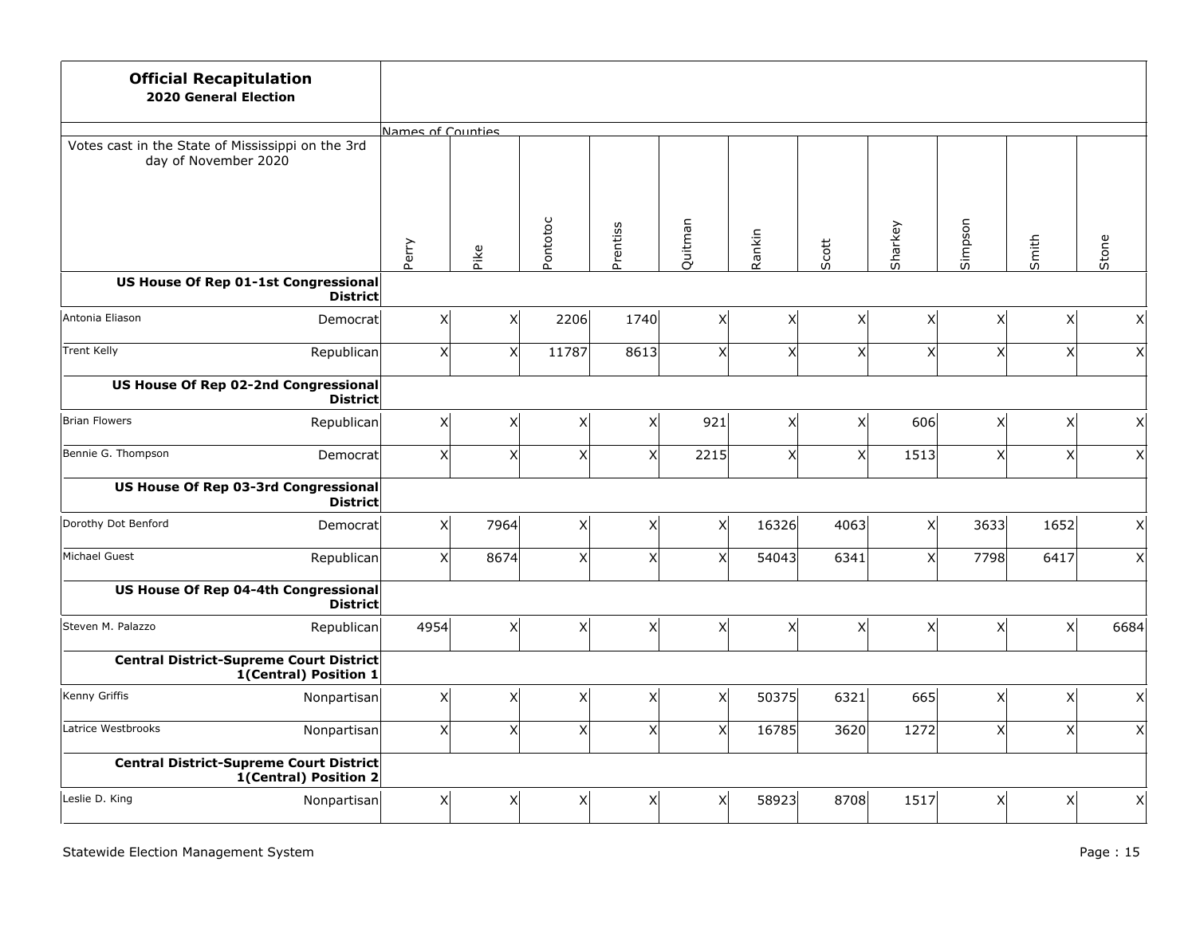| <b>Official Recapitulation</b><br><b>2020 General Election</b>            |                 |                 |                   |          |              |                           |                           |                |                |                           |                 |                 |
|---------------------------------------------------------------------------|-----------------|-----------------|-------------------|----------|--------------|---------------------------|---------------------------|----------------|----------------|---------------------------|-----------------|-----------------|
|                                                                           |                 |                 | Names of Counties |          |              |                           |                           |                |                |                           |                 |                 |
| Votes cast in the State of Mississippi on the 3rd<br>day of November 2020 |                 |                 |                   |          |              |                           |                           |                |                |                           |                 |                 |
|                                                                           | Perry           |                 | Pike              | Pontotoc | Prentiss     | Quitman                   | Rankin                    | Scott          | Sharkey        | Simpson                   | Smith           | Stone           |
| US House Of Rep 01-1st Congressional                                      | <b>District</b> |                 |                   |          |              |                           |                           |                |                |                           |                 |                 |
| Antonia Eliason                                                           | Democratl       | x               | X                 | 2206     | 1740         | X                         | X                         | $\mathsf{X}$   | x              | X                         | x               | $\times$        |
| <b>Trent Kelly</b>                                                        | Republican      | X               | X                 | 11787    | 8613         | X                         | $\overline{\mathsf{x}}$   | X              | x              | X                         | x               | $\mathsf{x}$    |
| US House Of Rep 02-2nd Congressional                                      | <b>District</b> |                 |                   |          |              |                           |                           |                |                |                           |                 |                 |
| Brian Flowers<br>Republican                                               |                 | $\vert x \vert$ | X                 | χ        | $\mathsf{x}$ | 921                       | $\mathsf{x}$              | X              | 606            | X                         | x               | $\mathsf{X}$    |
| Bennie G. Thompson                                                        | Democratl       | x               | $\times$          | xl       | $\times$     | 2215                      | $\times$                  | x <sup>1</sup> | 1513           | $\mathsf{x}$              | x <sup>1</sup>  | $\mathsf{x}$    |
| US House Of Rep 03-3rd Congressional                                      | <b>District</b> |                 |                   |          |              |                           |                           |                |                |                           |                 |                 |
| Dorothy Dot Benford                                                       | Democrat        | x               | 7964              | Χļ       | $\times$     | Χ                         | 16326                     | 4063           | x              | 3633                      | 1652            | $\mathsf{X}$    |
| Michael Guest<br>Republican                                               |                 | x               | 8674              | x        | $\times$     | X                         | 54043                     | 6341           | x <sub>l</sub> | 7798                      | 6417            | $\mathsf{x}$    |
| US House Of Rep 04-4th Congressional                                      | <b>District</b> |                 |                   |          |              |                           |                           |                |                |                           |                 |                 |
| Steven M. Palazzo                                                         | Republican      | 4954            | x                 | χ        | x            | $\boldsymbol{\mathsf{X}}$ | $\boldsymbol{\mathsf{X}}$ | x              | x              | X                         | $\vert x \vert$ | 6684            |
| <b>Central District-Supreme Court District</b><br>1(Central) Position 1   |                 |                 |                   |          |              |                           |                           |                |                |                           |                 |                 |
| Kenny Griffis<br>Nonpartisan                                              |                 | x               | X                 | x        | $\times$     | $\mathsf{x}$              | 50375                     | 6321           | 665            | X                         | x               | $\times$        |
| Latrice Westbrooks<br>Nonpartisan                                         |                 | $\vert x \vert$ | $\mathsf{x}$      | $x\vert$ | $\times$     | X                         | 16785                     | 3620           | 1272           | $\boldsymbol{\mathsf{X}}$ | x               | $\vert x \vert$ |
| <b>Central District-Supreme Court District</b><br>1(Central) Position 2   |                 |                 |                   |          |              |                           |                           |                |                |                           |                 |                 |
| Leslie D. King<br>Nonpartisan                                             |                 | x               | X                 | X        | X            | X                         | 58923                     | 8708           | 1517           | X                         | x               | $\mathsf{x}$    |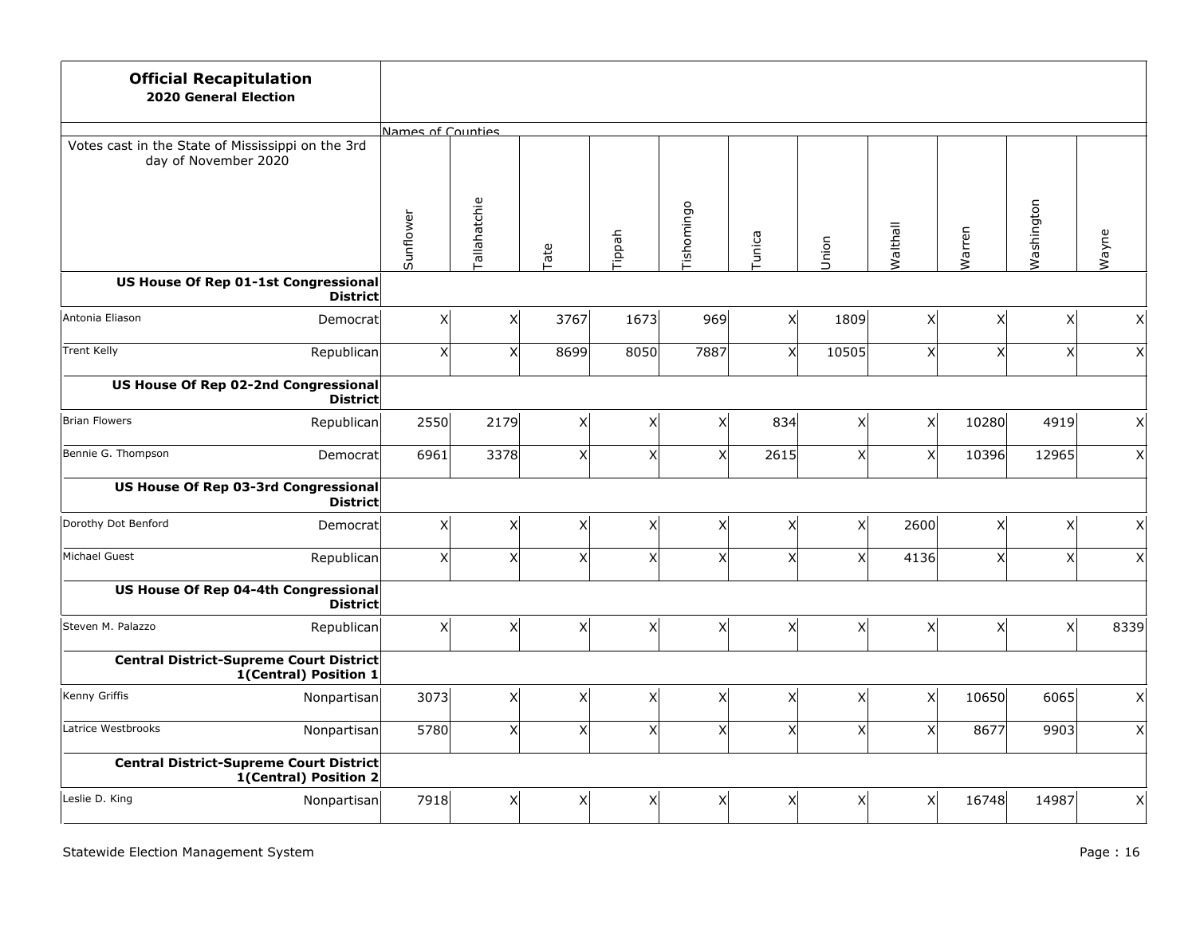| <b>Official Recapitulation</b><br><b>2020 General Election</b>            |                   |              |          |                |            |              |                           |                |                           |                |                    |
|---------------------------------------------------------------------------|-------------------|--------------|----------|----------------|------------|--------------|---------------------------|----------------|---------------------------|----------------|--------------------|
|                                                                           | Names of Counties |              |          |                |            |              |                           |                |                           |                |                    |
| Votes cast in the State of Mississippi on the 3rd<br>day of November 2020 |                   |              |          |                |            |              |                           |                |                           |                |                    |
|                                                                           | Sunflower         | Tallahatchie | Tate     | Tippah         | Tishomingo | Tunica       | Union                     | Walthall       | Warren                    | Washington     | Wayne              |
| US House Of Rep 01-1st Congressional<br><b>District</b>                   |                   |              |          |                |            |              |                           |                |                           |                |                    |
| Antonia Eliason<br>Democrat                                               | x                 | X            | 3767     | 1673           | 969        | $\mathsf{x}$ | 1809                      | x              | X                         | x              | Χ                  |
| <b>Trent Kelly</b><br>Republican                                          | $\vert x \vert$   | X            | 8699     | 8050           | 7887       | $\times$     | 10505                     | $\times$       | $\boldsymbol{\mathsf{X}}$ | x <sup>1</sup> | $\mathsf{X}$       |
| US House Of Rep 02-2nd Congressional<br><b>District</b>                   |                   |              |          |                |            |              |                           |                |                           |                |                    |
| Brian Flowers<br>Republican                                               | 2550              | 2179         | x        | $\times$       | Χ          | 834          | x                         | x <sup>1</sup> | 10280                     | 4919           | $\vert X \vert$    |
| Bennie G. Thompson<br>Democrat                                            | 6961              | 3378         | x        | x <sub>l</sub> | X          | 2615         | x <sub>l</sub>            | x <sup>1</sup> | 10396                     | 12965          | x                  |
| <b>US House Of Rep 03-3rd Congressional</b><br><b>District</b>            |                   |              |          |                |            |              |                           |                |                           |                |                    |
| Dorothy Dot Benford<br>Democrat                                           | x                 | X            | x        | X              | Χ          | X            | x                         | 2600           | X                         | x              | $\pmb{\mathsf{X}}$ |
| Michael Guest<br>Republican                                               | x                 | $\times$     | x        | $\mathsf{x}$   | X          | x            | x <sub>l</sub>            | 4136           | $\mathsf{x}$              | x <sup>1</sup> | $\mathsf{X}$       |
| US House Of Rep 04-4th Congressional<br><b>District</b>                   |                   |              |          |                |            |              |                           |                |                           |                |                    |
| Steven M. Palazzo<br>Republican                                           | $\vert x \vert$   | X            | $x\vert$ | X              | X          | $\times$     | x                         | x              | X                         | x <sub>l</sub> | 8339               |
| <b>Central District-Supreme Court District</b><br>1(Central) Position 1   |                   |              |          |                |            |              |                           |                |                           |                |                    |
| Kenny Griffis<br>Nonpartisan                                              | 3073              | X            | x        | X              | X          | X            | x                         | x              | 10650                     | 6065           | $\vert X \vert$    |
| Latrice Westbrooks<br>Nonpartisan                                         | 5780              | $\mathsf{X}$ | x        | X              | X          | x            | $\boldsymbol{\mathsf{x}}$ | x              | 8677                      | 9903           | x                  |
| <b>Central District-Supreme Court District</b><br>1(Central) Position 2   |                   |              |          |                |            |              |                           |                |                           |                |                    |
| Leslie D. King<br>Nonpartisan                                             | 7918              | $\mathsf{X}$ | X        | Χ              | Χ          | X            | x                         | x              | 16748                     | 14987          | x                  |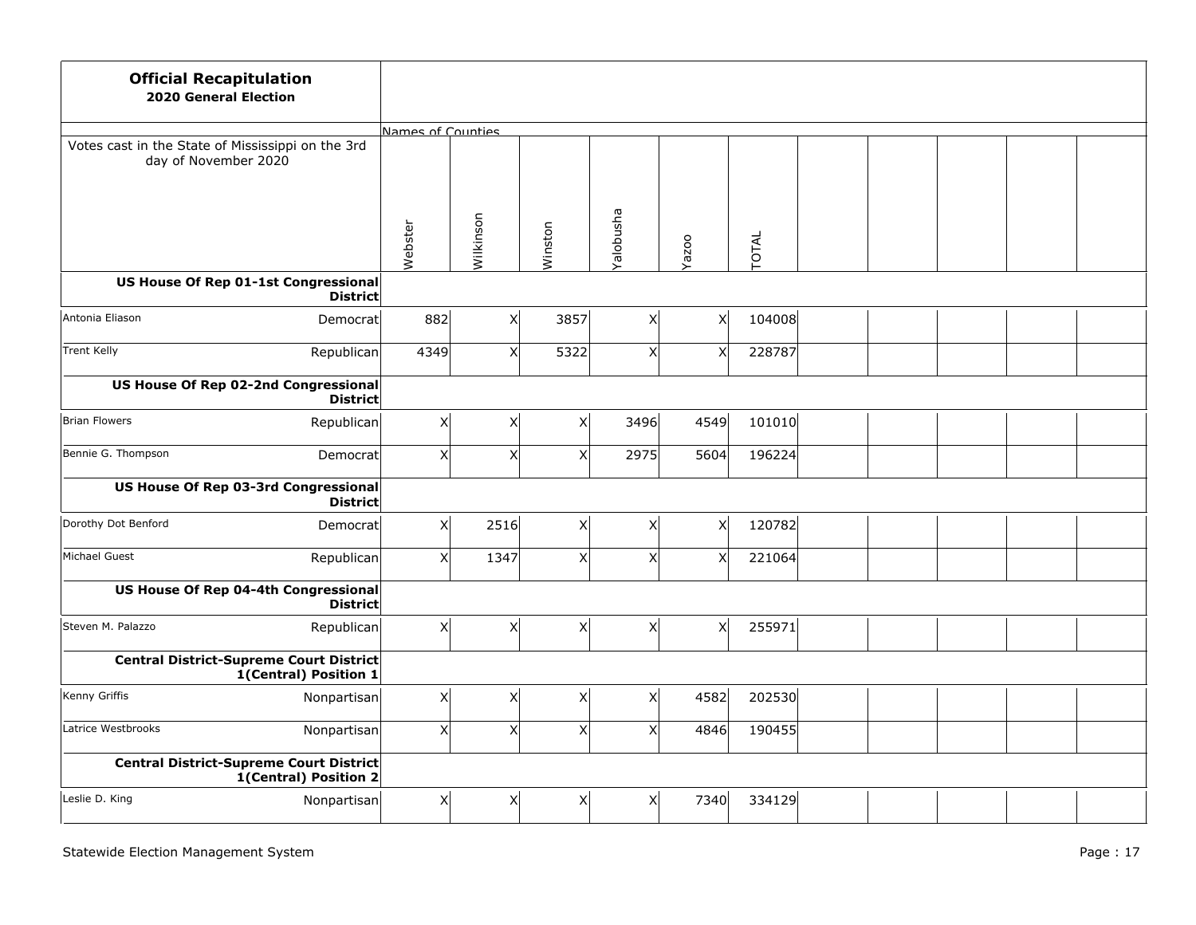| <b>Official Recapitulation</b><br><b>2020 General Election</b>            |                   |              |         |                |              |        |  |  |  |
|---------------------------------------------------------------------------|-------------------|--------------|---------|----------------|--------------|--------|--|--|--|
|                                                                           | Names of Counties |              |         |                |              |        |  |  |  |
| Votes cast in the State of Mississippi on the 3rd<br>day of November 2020 |                   |              |         |                |              |        |  |  |  |
|                                                                           | Webster           | Wilkinson    | Winston | Yalobusha      | Yazoo        | TOTAL  |  |  |  |
| US House Of Rep 01-1st Congressional<br><b>District</b>                   |                   |              |         |                |              |        |  |  |  |
| Antonia Eliason<br>Democrat                                               | 882               | $\mathsf{X}$ | 3857    | Χ              | X            | 104008 |  |  |  |
| <b>Trent Kelly</b><br>Republican                                          | 4349              | $\mathsf{x}$ | 5322    | $\times$       | X            | 228787 |  |  |  |
| US House Of Rep 02-2nd Congressional<br><b>District</b>                   |                   |              |         |                |              |        |  |  |  |
| Brian Flowers<br>Republican                                               | $\vert x \vert$   | X            | x       | 3496           | 4549         | 101010 |  |  |  |
| Bennie G. Thompson<br>Democratl                                           | x                 | X            | x       | 2975           | 5604         | 196224 |  |  |  |
| US House Of Rep 03-3rd Congressional<br><b>District</b>                   |                   |              |         |                |              |        |  |  |  |
| Dorothy Dot Benford<br>Democrat                                           | x                 | 2516         | x       | x <sub>l</sub> | $\mathsf{X}$ | 120782 |  |  |  |
| Michael Guest<br>Republican                                               | x                 | 1347         | x       | x <sub>l</sub> | X            | 221064 |  |  |  |
| US House Of Rep 04-4th Congressional<br><b>District</b>                   |                   |              |         |                |              |        |  |  |  |
| Steven M. Palazzo<br>Republican                                           | x                 | $\mathsf X$  | x       | χ              | $\mathsf{X}$ | 255971 |  |  |  |
| <b>Central District-Supreme Court District</b><br>1(Central) Position 1   |                   |              |         |                |              |        |  |  |  |
| Kenny Griffis<br>Nonpartisan                                              | x                 | $\mathsf X$  | x       | x <sub>l</sub> | 4582         | 202530 |  |  |  |
| Latrice Westbrooks<br>Nonpartisan                                         | x                 | $\mathsf{x}$ | x       | x <sub>l</sub> | 4846         | 190455 |  |  |  |
| Central District-Supreme Court District<br>1(Central) Position 2          |                   |              |         |                |              |        |  |  |  |
| Leslie D. King<br>Nonpartisan                                             | x                 | X            | x       | X              | 7340         | 334129 |  |  |  |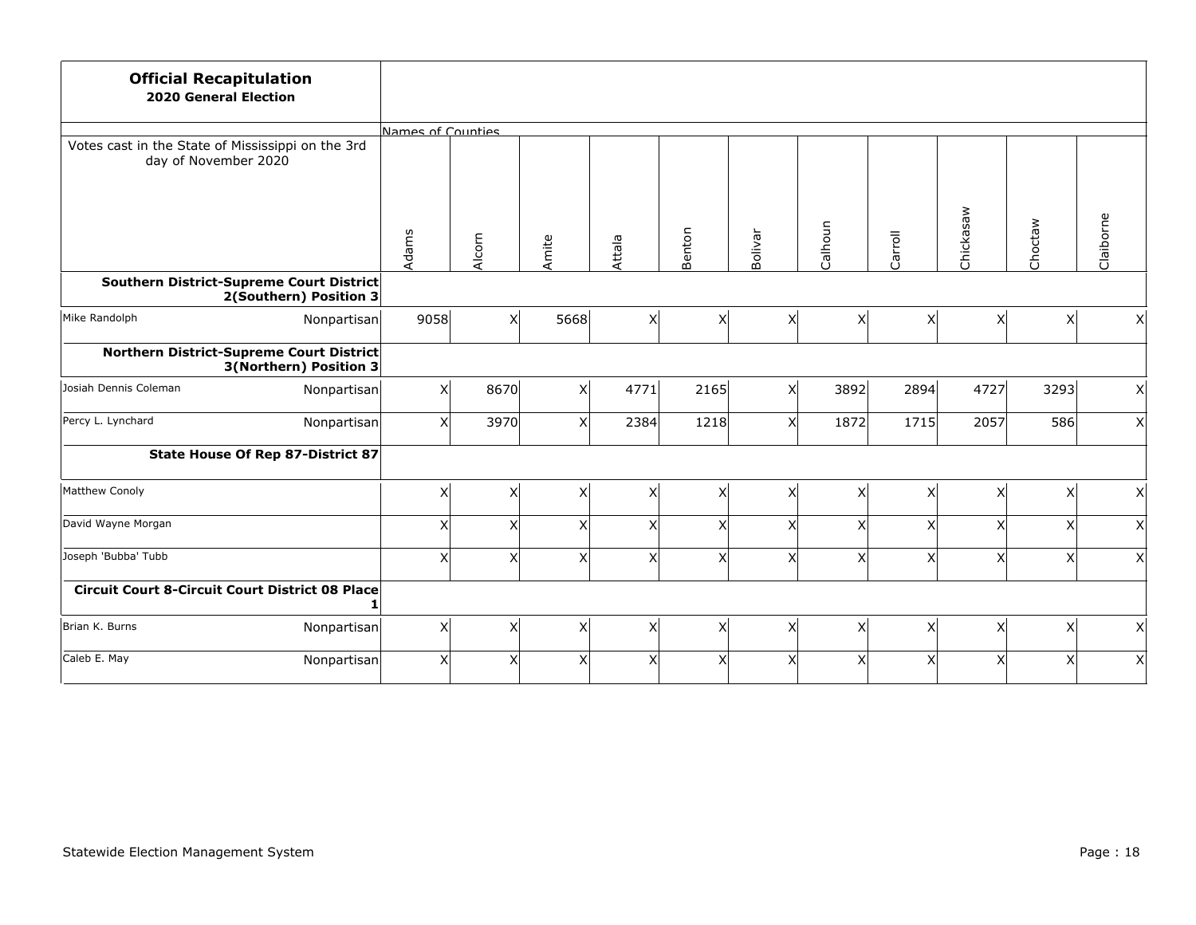| <b>Official Recapitulation</b><br><b>2020 General Election</b>            |                   |                |                |                           |                           |                 |         |          |                           |         |                           |
|---------------------------------------------------------------------------|-------------------|----------------|----------------|---------------------------|---------------------------|-----------------|---------|----------|---------------------------|---------|---------------------------|
|                                                                           | Names of Counties |                |                |                           |                           |                 |         |          |                           |         |                           |
| Votes cast in the State of Mississippi on the 3rd<br>day of November 2020 |                   |                |                |                           |                           |                 |         |          |                           |         |                           |
|                                                                           | Adams             | Alcorn         | Amite          | Attala                    | Benton                    | Bolivar         | Calhoun | Carroll  | Chickasaw                 | Choctaw | Claiborne                 |
| Southern District-Supreme Court District<br>2(Southern) Position 3        |                   |                |                |                           |                           |                 |         |          |                           |         |                           |
| Mike Randolph<br>Nonpartisan                                              | 9058              | x <sup>1</sup> | 5668           | $\mathsf{X}$              | $\boldsymbol{\mathsf{x}}$ | x <sub>l</sub>  | x       | x        | $\boldsymbol{\mathsf{x}}$ | x       | x                         |
| Northern District-Supreme Court District<br>3(Northern) Position 3        |                   |                |                |                           |                           |                 |         |          |                           |         |                           |
| Josiah Dennis Coleman<br>Nonpartisan                                      | x                 | 8670           | $\mathsf{X}$   | 4771                      | 2165                      | x               | 3892    | 2894     | 4727                      | 3293    | x <sub>l</sub>            |
| Percy L. Lynchard<br>Nonpartisan                                          | $\vert x \vert$   | 3970           | X              | 2384                      | 1218                      | $\vert x \vert$ | 1872    | 1715     | 2057                      | 586     | x <sub>l</sub>            |
| State House Of Rep 87-District 87                                         |                   |                |                |                           |                           |                 |         |          |                           |         |                           |
| Matthew Conoly                                                            | $\mathsf{x}$      | X              | $\pmb{\times}$ | $\times$                  | Χ                         | X               | Χ       | $\times$ | X                         | хI      | $\mathsf{x}$              |
| David Wayne Morgan                                                        | $\boldsymbol{X}$  | $\times$       | X              | $\times$                  | X                         | x               | Χ       | X        | X                         | X       | $\boldsymbol{\mathsf{X}}$ |
| Joseph 'Bubba' Tubb                                                       | $\mathsf{X}$      | x <sup>1</sup> | $\mathsf{x}$   | $\boldsymbol{\mathsf{X}}$ | $\mathsf{x}$              | x               | X       | X        | X                         | X       | $\mathsf{x}$              |
| <b>Circuit Court 8-Circuit Court District 08 Place</b>                    |                   |                |                |                           |                           |                 |         |          |                           |         |                           |
| Brian K. Burns<br>Nonpartisan                                             | $\mathsf{x}$      | x              | $\mathsf{X}$   | X                         | X                         | x <sub>l</sub>  | x       | X        | X                         | x       | x <sub>l</sub>            |
| Caleb E. May<br>Nonpartisan                                               | $\mathsf{x}$      | $\times$       | X              | X                         | X                         | x               | X       | $\times$ | X                         | χ       | $\boldsymbol{\mathsf{X}}$ |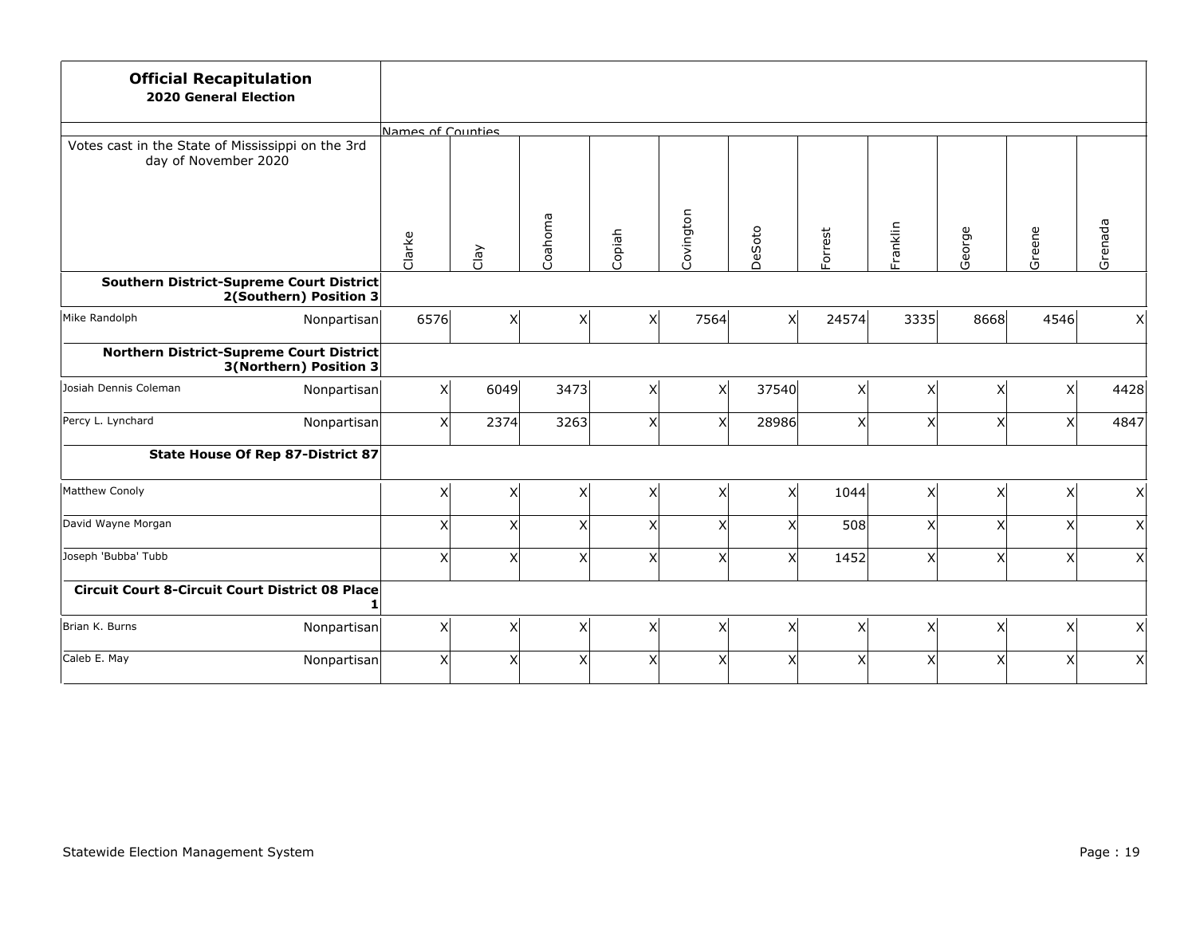| <b>Official Recapitulation</b><br><b>2020 General Election</b>            |                                   |                   |          |                         |              |           |                |         |          |        |                |                           |
|---------------------------------------------------------------------------|-----------------------------------|-------------------|----------|-------------------------|--------------|-----------|----------------|---------|----------|--------|----------------|---------------------------|
|                                                                           |                                   | Names of Counties |          |                         |              |           |                |         |          |        |                |                           |
| Votes cast in the State of Mississippi on the 3rd<br>day of November 2020 |                                   |                   |          |                         |              |           |                |         |          |        |                |                           |
|                                                                           |                                   | Clarke            | Clay     | Coahoma                 | Copiah       | Covington | DeSoto         | Forrest | Franklin | George | Greene         | Grenada                   |
| Southern District-Supreme Court District                                  | 2(Southern) Position 3            |                   |          |                         |              |           |                |         |          |        |                |                           |
| Mike Randolph                                                             | Nonpartisan                       | 6576              | x        | $\overline{\mathsf{x}}$ | $\mathsf{x}$ | 7564      | x <sup>1</sup> | 24574   | 3335     | 8668   | 4546           | x                         |
| Northern District-Supreme Court District                                  | 3(Northern) Position 3            |                   |          |                         |              |           |                |         |          |        |                |                           |
| Josiah Dennis Coleman                                                     | Nonpartisan                       | x                 | 6049     | 3473                    | $\times$     | X         | 37540          | x       | $\times$ | X      | x <sup>1</sup> | 4428                      |
| Percy L. Lynchard                                                         | Nonpartisan                       | $\mathsf{x}$      | 2374     | 3263                    | X            | X         | 28986          | x       | Χ        | X      | хI             | 4847                      |
|                                                                           | State House Of Rep 87-District 87 |                   |          |                         |              |           |                |         |          |        |                |                           |
| Matthew Conoly                                                            |                                   | $\mathsf{x}$      | X        | X                       | $\times$     | X         | x <sub>l</sub> | 1044    | $\times$ | X      | $\times$       | $\boldsymbol{\mathsf{X}}$ |
| David Wayne Morgan                                                        |                                   | $\pmb{\times}$    | $\times$ | X                       | $\times$     | X         | $\times$       | 508     | X        | X      | χ              | $\boldsymbol{\mathsf{X}}$ |
| Joseph 'Bubba' Tubb                                                       |                                   | $\pmb{\times}$    | $\times$ | X                       | $\times$     | X         | x <sub>l</sub> | 1452    | X        | X      | X              | $\mathsf{x}$              |
| <b>Circuit Court 8-Circuit Court District 08 Place</b>                    |                                   |                   |          |                         |              |           |                |         |          |        |                |                           |
| Brian K. Burns                                                            | Nonpartisan                       | $\mathsf{x}$      | x        | X                       | X            | X         | X              | x       | X        | X      | x              | x                         |
| Caleb E. May                                                              | Nonpartisan                       | $\mathsf{x}$      | $\times$ | X                       | $\times$     | X         | x              | X       | $\times$ | X      | χ              | $\boldsymbol{\mathsf{X}}$ |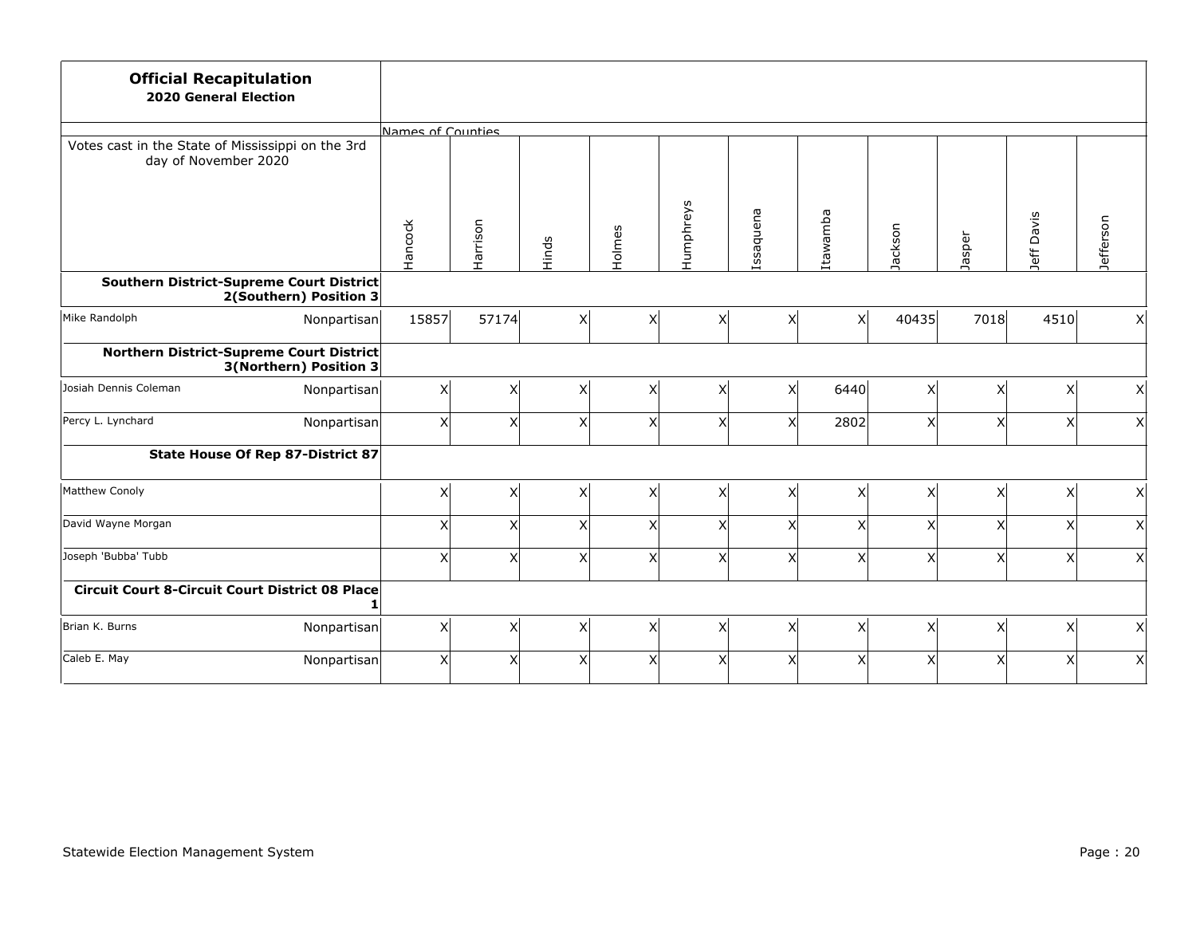| <b>Official Recapitulation</b><br><b>2020 General Election</b>            |                        |                   |          |       |                         |           |           |                |                |                           |                |           |
|---------------------------------------------------------------------------|------------------------|-------------------|----------|-------|-------------------------|-----------|-----------|----------------|----------------|---------------------------|----------------|-----------|
|                                                                           |                        | Names of Counties |          |       |                         |           |           |                |                |                           |                |           |
| Votes cast in the State of Mississippi on the 3rd<br>day of November 2020 |                        |                   |          |       |                         |           |           |                |                |                           |                |           |
|                                                                           |                        | Hancock           | Harrison | Hinds | Holmes                  | Humphreys | Issaquena | Itawamba       | Jackson        | Jasper                    | Jeff Davis     | Jefferson |
| Southern District-Supreme Court District                                  | 2(Southern) Position 3 |                   |          |       |                         |           |           |                |                |                           |                |           |
| Mike Randolph                                                             | Nonpartisan            | 15857             | 57174    | x     | $\overline{\mathsf{x}}$ | X         | X         | x <sup>1</sup> | 40435          | 7018                      | 4510           | x         |
| Northern District-Supreme Court District                                  | 3(Northern) Position 3 |                   |          |       |                         |           |           |                |                |                           |                |           |
| Josiah Dennis Coleman                                                     | Nonpartisan            | x                 | X        | x     | $\overline{\mathsf{x}}$ | X         | x         | 6440           | x <sup>1</sup> | X                         | x <sup>1</sup> | x         |
| Percy L. Lynchard                                                         | Nonpartisan            | x                 | X        | x     | X                       | X         | X         | 2802           | x              | $\boldsymbol{\mathsf{X}}$ | x <sub>l</sub> | x         |
| <b>State House Of Rep 87-District 87</b>                                  |                        |                   |          |       |                         |           |           |                |                |                           |                |           |
| Matthew Conoly                                                            |                        | x                 | X        | x     | X                       | Χ         | X         | X              | X              | X                         | x <sub>l</sub> | x         |
| David Wayne Morgan                                                        |                        | x                 | X        | x     | X                       | Χ         | X         | X              | X              | $\boldsymbol{\mathsf{X}}$ | x <sub>l</sub> | x         |
| Joseph 'Bubba' Tubb                                                       |                        | $\mathsf{x}$      | X        | x     | X                       | Χ         | X         | X              | X              | $\boldsymbol{\mathsf{X}}$ | x <sub>l</sub> | x         |
| <b>Circuit Court 8-Circuit Court District 08 Place</b>                    |                        |                   |          |       |                         |           |           |                |                |                           |                |           |
| Brian K. Burns                                                            | Nonpartisan            | x                 | X        | x     | X                       | X         | Χ         | x              | x              | $\mathsf{X}$              | x              | x         |
| Caleb E. May                                                              | Nonpartisan            | $\vert x \vert$   | X        | x     | X                       | Χ         | X         | $\times$       | X              | $\boldsymbol{\mathsf{X}}$ | x <sup>1</sup> | x         |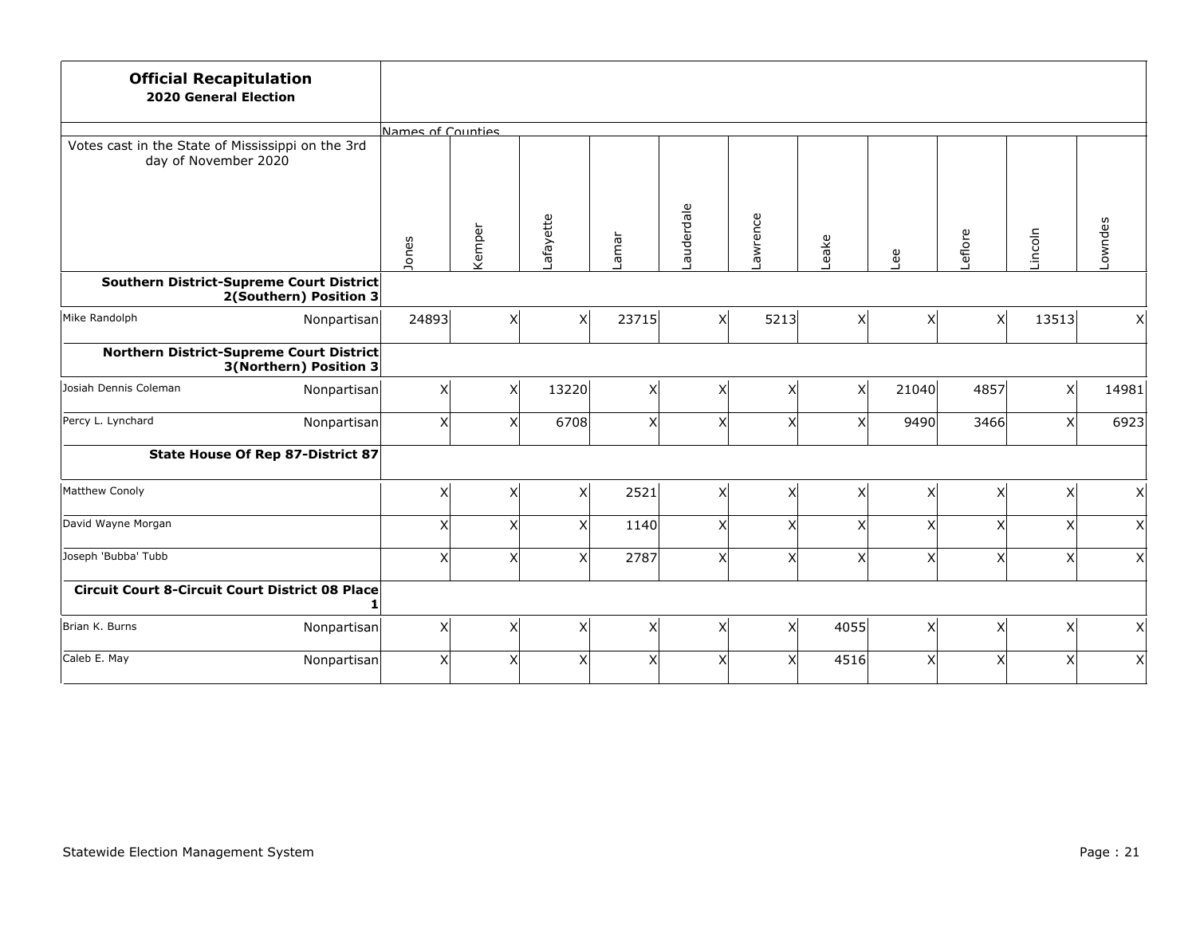| <b>Official Recapitulation</b><br><b>2020 General Election</b>            |                        |                   |                 |                         |       |                |          |                |                |                           |                |         |
|---------------------------------------------------------------------------|------------------------|-------------------|-----------------|-------------------------|-------|----------------|----------|----------------|----------------|---------------------------|----------------|---------|
|                                                                           |                        | Names of Counties |                 |                         |       |                |          |                |                |                           |                |         |
| Votes cast in the State of Mississippi on the 3rd<br>day of November 2020 |                        |                   |                 |                         |       |                |          |                |                |                           |                |         |
|                                                                           |                        | Jones             | Kemper          | Lafayette               | Lamar | Lauderdale     | Lawrence | Leake          | Lee            | Leflore                   | Lincoln        | Lowndes |
| Southern District-Supreme Court District                                  | 2(Southern) Position 3 |                   |                 |                         |       |                |          |                |                |                           |                |         |
| Mike Randolph                                                             | Nonpartisan            | 24893             | $\mathsf{x}$    | $\overline{\mathsf{x}}$ | 23715 | x <sup>1</sup> | 5213     | x              | x <sup>1</sup> | $\times$                  | 13513          | x       |
| <b>Northern District-Supreme Court District</b>                           | 3(Northern) Position 3 |                   |                 |                         |       |                |          |                |                |                           |                |         |
| Josiah Dennis Coleman                                                     | Nonpartisan            | x                 | $\times$        | 13220                   | x     | $\mathsf{x}$   | x        | x <sup>1</sup> | 21040          | 4857                      | x <sup>1</sup> | 14981   |
| Percy L. Lynchard                                                         | Nonpartisan            | x                 | X               | 6708                    | X     | X              | X        | X              | 9490           | 3466                      | X              | 6923    |
| <b>State House Of Rep 87-District 87</b>                                  |                        |                   |                 |                         |       |                |          |                |                |                           |                |         |
| Matthew Conoly                                                            |                        | x                 | X               | $\mathsf{X}$            | 2521  | $\mathsf{x}$   | Χ        | X              | x              | X                         | X              | x       |
| David Wayne Morgan                                                        |                        | x                 | $\times$        | X                       | 1140  | $\mathsf{x}$   | X        | X              | $\times$       | X                         | x <sub>l</sub> | x       |
| Joseph 'Bubba' Tubb                                                       |                        | x                 | $\vert x \vert$ | $\pmb{\mathsf{X}}$      | 2787  | X              | X        | X              | Χ              | X                         | x <sub>l</sub> | x       |
| <b>Circuit Court 8-Circuit Court District 08 Place</b>                    |                        |                   |                 |                         |       |                |          |                |                |                           |                |         |
| Brian K. Burns                                                            | Nonpartisan            | x                 | $\vert x \vert$ | X                       | X     | $\mathsf{x}$   | x        | 4055           | x <sub>l</sub> | $\mathsf{X}$              | x              | x       |
| Caleb E. May                                                              | Nonpartisan            | x                 | X               | $\mathsf{X}$            | X     | Χ              | X        | 4516           | X              | $\boldsymbol{\mathsf{X}}$ | X              | x       |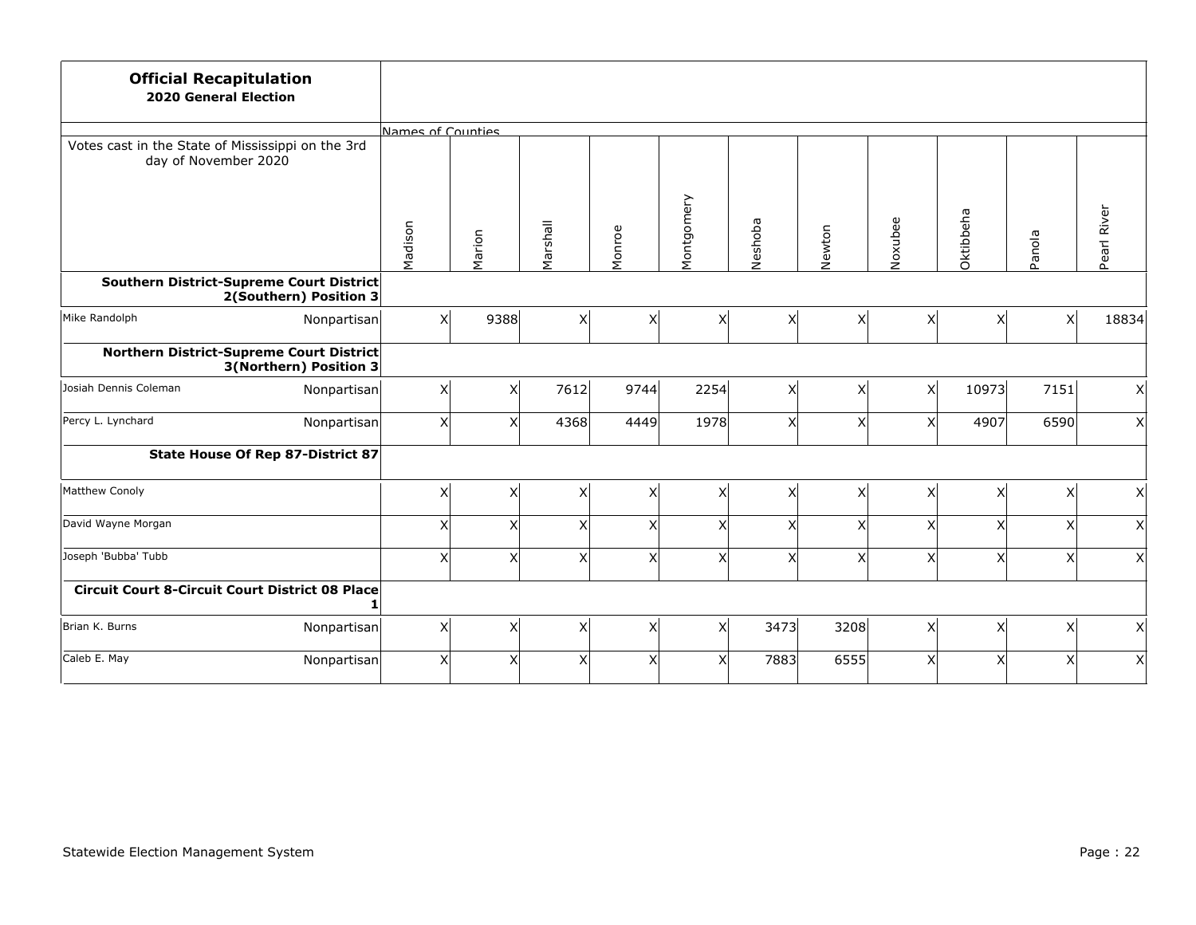| <b>Official Recapitulation</b><br><b>2020 General Election</b>            |                   |                      |          |                |            |         |        |              |                           |                |              |
|---------------------------------------------------------------------------|-------------------|----------------------|----------|----------------|------------|---------|--------|--------------|---------------------------|----------------|--------------|
|                                                                           | Names of Counties |                      |          |                |            |         |        |              |                           |                |              |
| Votes cast in the State of Mississippi on the 3rd<br>day of November 2020 |                   |                      |          |                |            |         |        |              |                           |                |              |
|                                                                           | Madison           | Marion               | Marshall | Monroe         | Montgomery | Neshoba | Newton | Noxubee      | Oktibbeha                 | Panola         | Pearl River  |
| Southern District-Supreme Court District<br>2(Southern) Position 3        |                   |                      |          |                |            |         |        |              |                           |                |              |
| Mike Randolph<br>Nonpartisan                                              |                   | x<br>9388            | x        | x              | X          | X       | x      | x            | $\overline{\mathsf{x}}$   | x <sup>1</sup> | 18834        |
| Northern District-Supreme Court District<br>3(Northern) Position 3        |                   |                      |          |                |            |         |        |              |                           |                |              |
| Josiah Dennis Coleman<br>Nonpartisan                                      |                   | x<br>X               | 7612     | 9744           | 2254       | X       | x      | x            | 10973                     | 7151           | x            |
| Percy L. Lynchard<br>Nonpartisan                                          |                   | $\vert x \vert$<br>X | 4368     | 4449           | 1978       | X       | χ      | X            | 4907                      | 6590           | x            |
| <b>State House Of Rep 87-District 87</b>                                  |                   |                      |          |                |            |         |        |              |                           |                |              |
| Matthew Conoly                                                            |                   | x<br>X               | x        | X              | X          | X       | x      | χ            | $\boldsymbol{\mathsf{X}}$ | x              | x            |
| David Wayne Morgan                                                        |                   | x<br>X               | x        | X              | Χ          | X       | X      | X            | $\mathsf{x}$              | x <sup>1</sup> | $\mathsf{X}$ |
| Joseph 'Bubba' Tubb                                                       |                   | x<br>X               | x        | X              | X          | X       | X      | $\mathsf{X}$ | $\mathsf{x}$              | x              | x            |
| <b>Circuit Court 8-Circuit Court District 08 Place</b>                    |                   |                      |          |                |            |         |        |              |                           |                |              |
| Brian K. Burns<br>Nonpartisan                                             |                   | $\mathsf{x}$<br>X    | x        | x <sub>l</sub> | X          | 3473    | 3208   | x            | $\mathsf{X}$              | x              | x            |
| Caleb E. May<br>Nonpartisan                                               |                   | x<br>$\times$        | x        | X              | Χ          | 7883    | 6555   | $\times$     | X                         | x <sup>1</sup> | x            |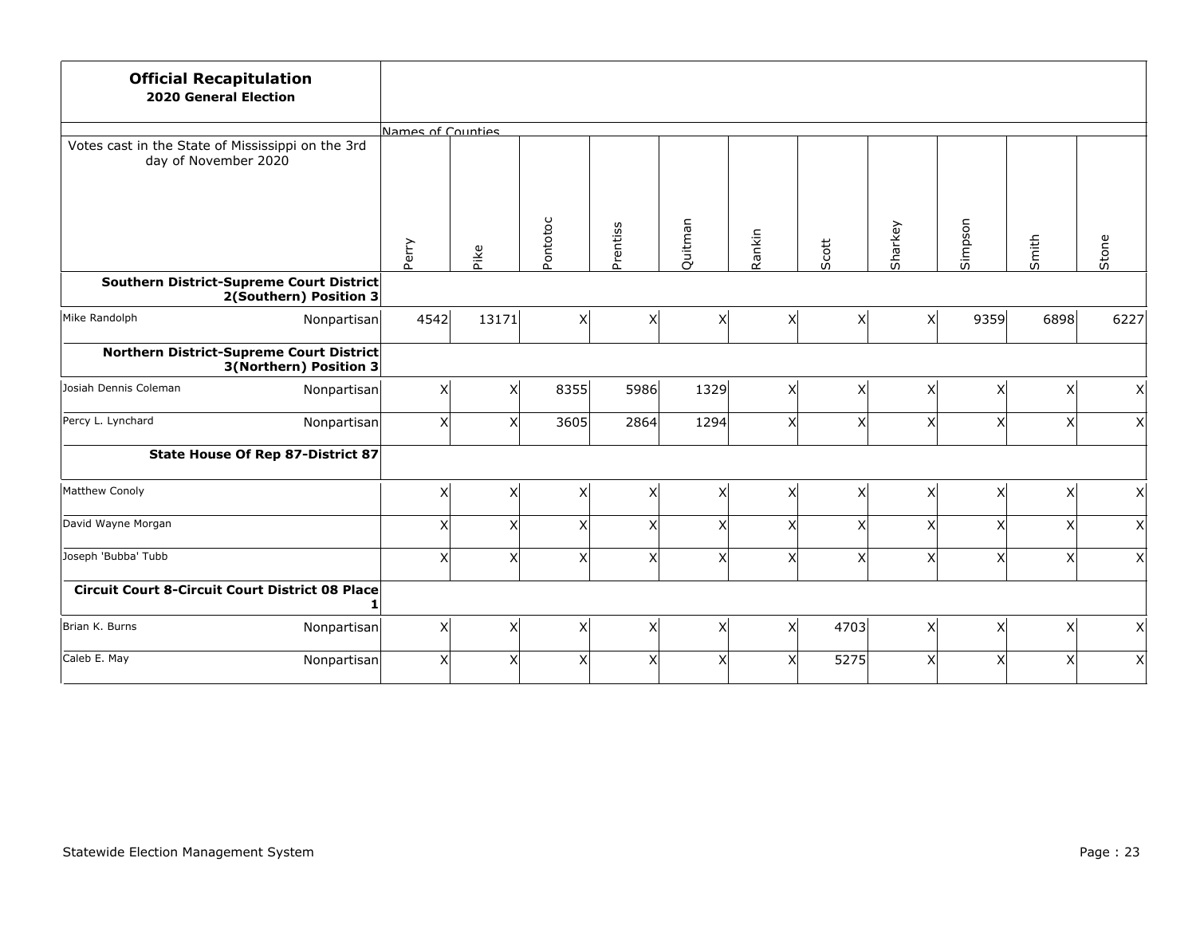| <b>Official Recapitulation</b><br><b>2020 General Election</b>            |                   |              |                |                |         |          |       |                |                         |                |              |
|---------------------------------------------------------------------------|-------------------|--------------|----------------|----------------|---------|----------|-------|----------------|-------------------------|----------------|--------------|
|                                                                           | Names of Counties |              |                |                |         |          |       |                |                         |                |              |
| Votes cast in the State of Mississippi on the 3rd<br>day of November 2020 |                   |              |                |                |         |          |       |                |                         |                |              |
|                                                                           | Perry             | Pike         | Pontotoc       | Prentiss       | Quitman | Rankin   | Scott | Sharkey        | Simpson                 | Smith          | Stone        |
| Southern District-Supreme Court District<br>2(Southern) Position 3        |                   |              |                |                |         |          |       |                |                         |                |              |
| Mike Randolph<br>Nonpartisan                                              | 4542              | 13171        | x              | X              | X       | $\times$ | x     | x <sup>1</sup> | 9359                    | 6898           | 6227         |
| Northern District-Supreme Court District<br>3(Northern) Position 3        |                   |              |                |                |         |          |       |                |                         |                |              |
| Josiah Dennis Coleman<br>Nonpartisan                                      | x                 | X            | 8355           | 5986           | 1329    | X        | x     | x <sup>1</sup> | X                       | x <sup>1</sup> | x            |
| Percy L. Lynchard<br>Nonpartisan                                          | $\vert x \vert$   | $\times$     | 3605           | 2864           | 1294    | $\times$ | x     | X              | X                       | x <sub>l</sub> | x            |
| <b>State House Of Rep 87-District 87</b>                                  |                   |              |                |                |         |          |       |                |                         |                |              |
| Matthew Conoly                                                            | x                 | X            | x              | X              | X       | X        | x     | x              | $\mathsf{X}$            | x              | x            |
| David Wayne Morgan                                                        | $\times$          | $\times$     | x              | $\times$       | X       | $\times$ | X     | $\times$       | $\overline{\mathsf{x}}$ | x <sup>1</sup> | $\mathsf{X}$ |
| Joseph 'Bubba' Tubb                                                       | x                 | $\mathsf{X}$ | x              | X              | X       | X        | X     | $\mathsf{X}$   | $\mathsf{x}$            | x              | x            |
| <b>Circuit Court 8-Circuit Court District 08 Place</b>                    |                   |              |                |                |         |          |       |                |                         |                |              |
| Brian K. Burns<br>Nonpartisan                                             | $\mathsf{x}$      | X            | x              | x <sub>l</sub> | X       | x        | 4703  | x              | $\mathsf{x}$            | x <sup>1</sup> | x            |
| Caleb E. May<br>Nonpartisan                                               | $\times$          | $\times$     | x <sub>l</sub> | X              | X       | X        | 5275  | $\times$       | X                       | x <sup>1</sup> | x            |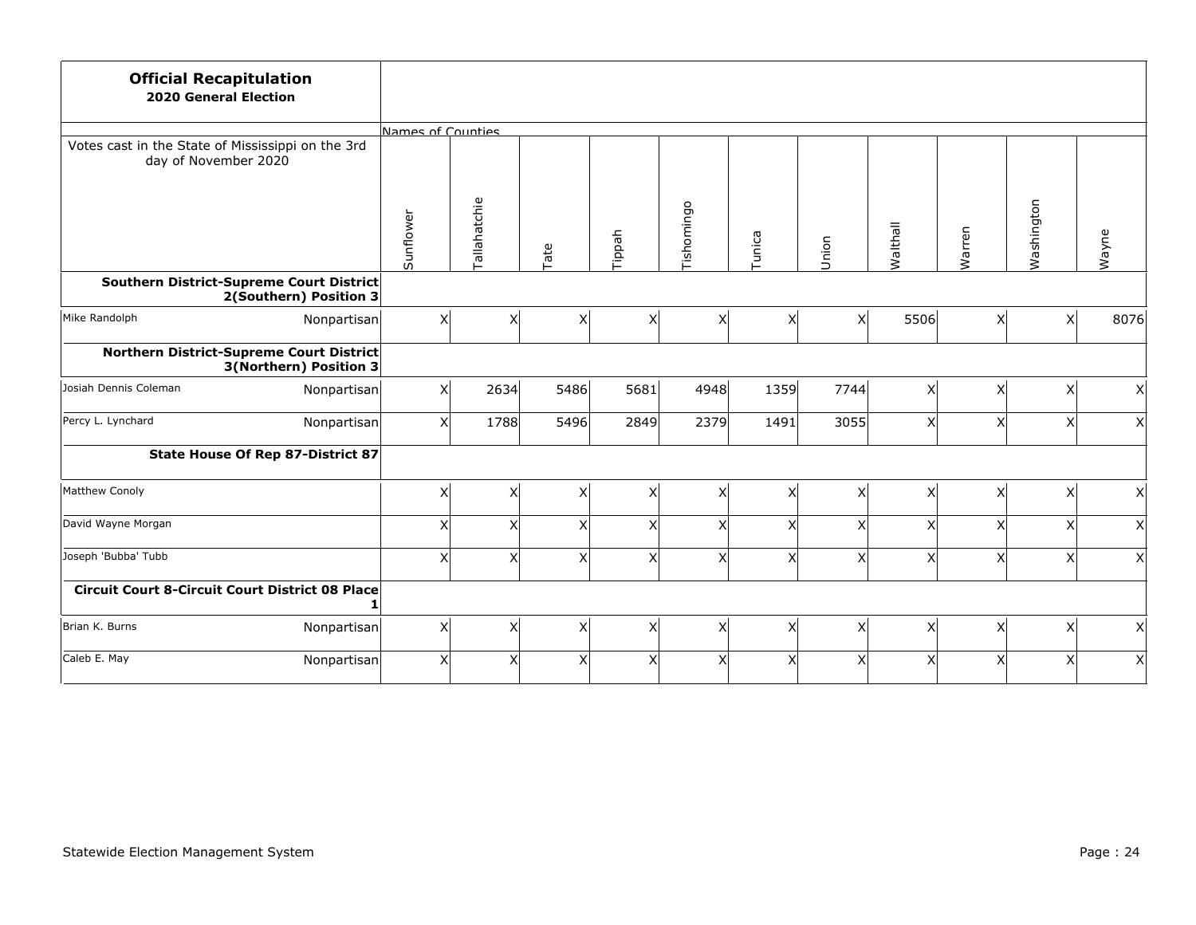| <b>Official Recapitulation</b><br><b>2020 General Election</b>            |                                   |                   |              |                         |                 |                           |        |                         |          |                         |                |                           |
|---------------------------------------------------------------------------|-----------------------------------|-------------------|--------------|-------------------------|-----------------|---------------------------|--------|-------------------------|----------|-------------------------|----------------|---------------------------|
|                                                                           |                                   | Names of Counties |              |                         |                 |                           |        |                         |          |                         |                |                           |
| Votes cast in the State of Mississippi on the 3rd<br>day of November 2020 |                                   |                   |              |                         |                 |                           |        |                         |          |                         |                |                           |
|                                                                           |                                   | Sunflower         | Tallahatchie | Tate                    | Tippah          | Tishomingo                | Tunica | Union                   | Walthall | Warren                  | Washington     | Wayne                     |
| Southern District-Supreme Court District                                  | 2(Southern) Position 3            |                   |              |                         |                 |                           |        |                         |          |                         |                |                           |
| Mike Randolph                                                             | Nonpartisan                       | x                 | x            | $\overline{\mathsf{x}}$ | $\mathsf{\chi}$ | $\boldsymbol{\mathsf{x}}$ | x      | $\overline{\mathsf{x}}$ | 5506     | $\mathsf{x}$            | x <sup>1</sup> | 8076                      |
| Northern District-Supreme Court District                                  | 3(Northern) Position 3            |                   |              |                         |                 |                           |        |                         |          |                         |                |                           |
| Josiah Dennis Coleman                                                     | Nonpartisan                       | x                 | 2634         | 5486                    | 5681            | 4948                      | 1359   | 7744                    | x        | X                       | x <sup>1</sup> | $\boldsymbol{\mathsf{X}}$ |
| Percy L. Lynchard                                                         | Nonpartisan                       | $\mathsf{x}$      | 1788         | 5496                    | 2849            | 2379                      | 1491   | 3055                    | X        | X                       | χ              | $\boldsymbol{\mathsf{X}}$ |
|                                                                           | State House Of Rep 87-District 87 |                   |              |                         |                 |                           |        |                         |          |                         |                |                           |
| Matthew Conoly                                                            |                                   | $\vert x \vert$   | X            | $\pmb{\times}$          | $\times$        | Χ                         | x      | Χ                       | $\times$ | X                       | хI             | $\mathsf{x}$              |
| David Wayne Morgan                                                        |                                   | $\mathsf X$       | x            | X                       | X               | $\mathsf{x}$              | x      | X                       | X        | $\overline{\mathsf{x}}$ | xl             | $\overline{\mathsf{x}}$   |
| Joseph 'Bubba' Tubb                                                       |                                   | x                 | $\times$     | X                       | $\times$        | X                         | x      | Χ                       | X        | X                       | X              | $\boldsymbol{\mathsf{X}}$ |
| <b>Circuit Court 8-Circuit Court District 08 Place</b>                    |                                   |                   |              |                         |                 |                           |        |                         |          |                         |                |                           |
| Brian K. Burns                                                            | Nonpartisan                       | $\mathsf{x}$      | x            | $\mathsf{X}$            | X               | X                         | x      | x                       | X        | X                       | x              | x                         |
| Caleb E. May                                                              | Nonpartisan                       | $\mathsf{x}$      | $\times$     | X                       | $\times$        | X                         | x      | X                       | $\times$ | X                       | χ              | $\mathsf{x}$              |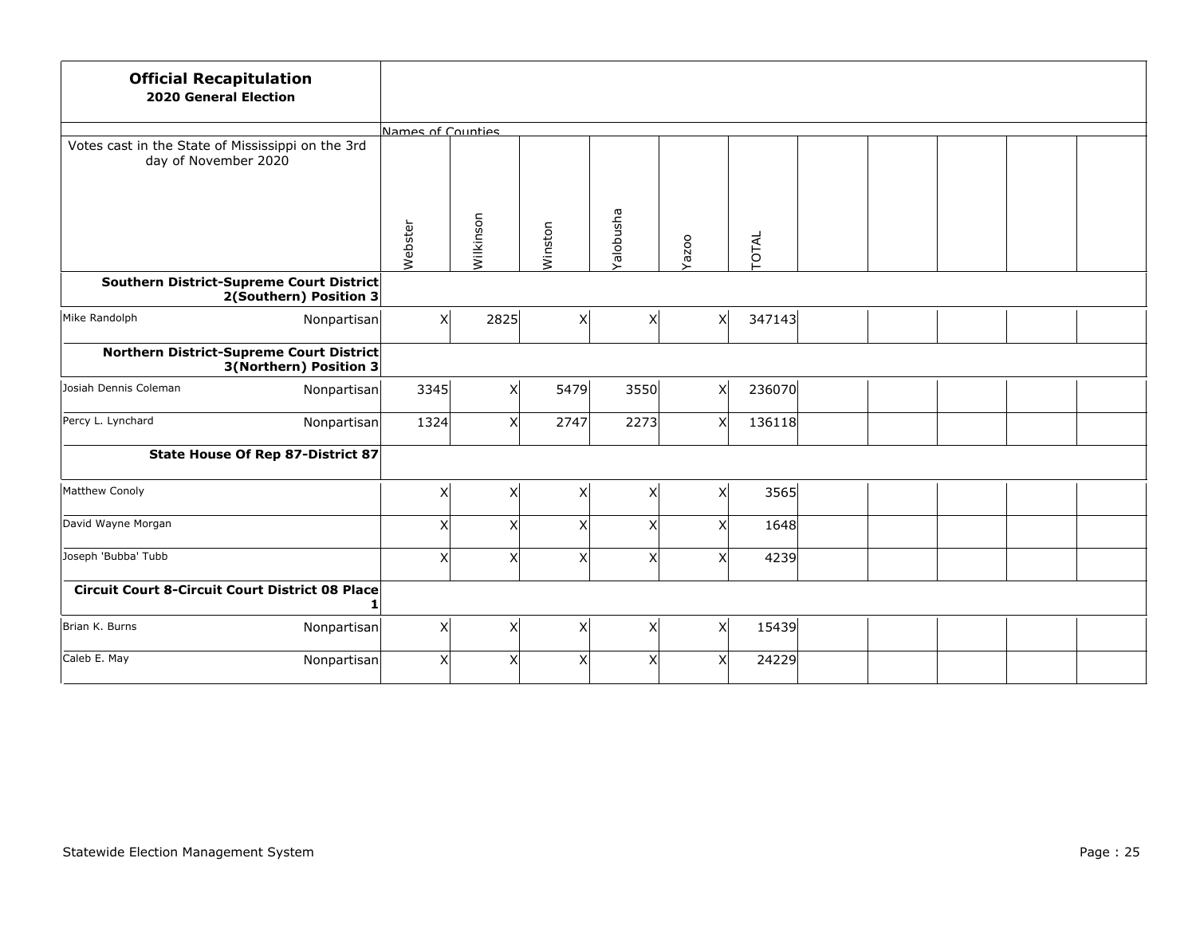| <b>Official Recapitulation</b><br><b>2020 General Election</b>            |                   |              |                |                |       |        |  |  |  |
|---------------------------------------------------------------------------|-------------------|--------------|----------------|----------------|-------|--------|--|--|--|
|                                                                           | Names of Counties |              |                |                |       |        |  |  |  |
| Votes cast in the State of Mississippi on the 3rd<br>day of November 2020 |                   |              |                |                |       |        |  |  |  |
|                                                                           | Webster           | Wilkinson    | Winston        | Yalobusha      | Yazoo | TOTAL  |  |  |  |
| Southern District-Supreme Court District<br>2(Southern) Position 3        |                   |              |                |                |       |        |  |  |  |
| Mike Randolph<br>Nonpartisan                                              | x                 | 2825         | x              | x              | X     | 347143 |  |  |  |
| Northern District-Supreme Court District<br>3(Northern) Position 3        |                   |              |                |                |       |        |  |  |  |
| Josiah Dennis Coleman<br>Nonpartisan                                      | 3345              | $\mathsf{X}$ | 5479           | 3550           | X     | 236070 |  |  |  |
| Percy L. Lynchard<br>Nonpartisan                                          | 1324              | $\times$     | 2747           | 2273           | X     | 136118 |  |  |  |
| <b>State House Of Rep 87-District 87</b>                                  |                   |              |                |                |       |        |  |  |  |
| Matthew Conoly                                                            | x                 | $\mathsf{X}$ | x              | $\pmb{\times}$ | X     | 3565   |  |  |  |
| David Wayne Morgan                                                        | $\times$          | $\times$     | x              | $\times$       | X     | 1648   |  |  |  |
| Joseph 'Bubba' Tubb                                                       | x                 | X            | x              | X              | Χ     | 4239   |  |  |  |
| <b>Circuit Court 8-Circuit Court District 08 Place</b>                    |                   |              |                |                |       |        |  |  |  |
| Brian K. Burns<br>Nonpartisan                                             | $\mathsf{X}$      | X            | x              | x <sub>l</sub> | X     | 15439  |  |  |  |
| Caleb E. May<br>Nonpartisan                                               | x                 | X            | x <sub>l</sub> | X              | X     | 24229  |  |  |  |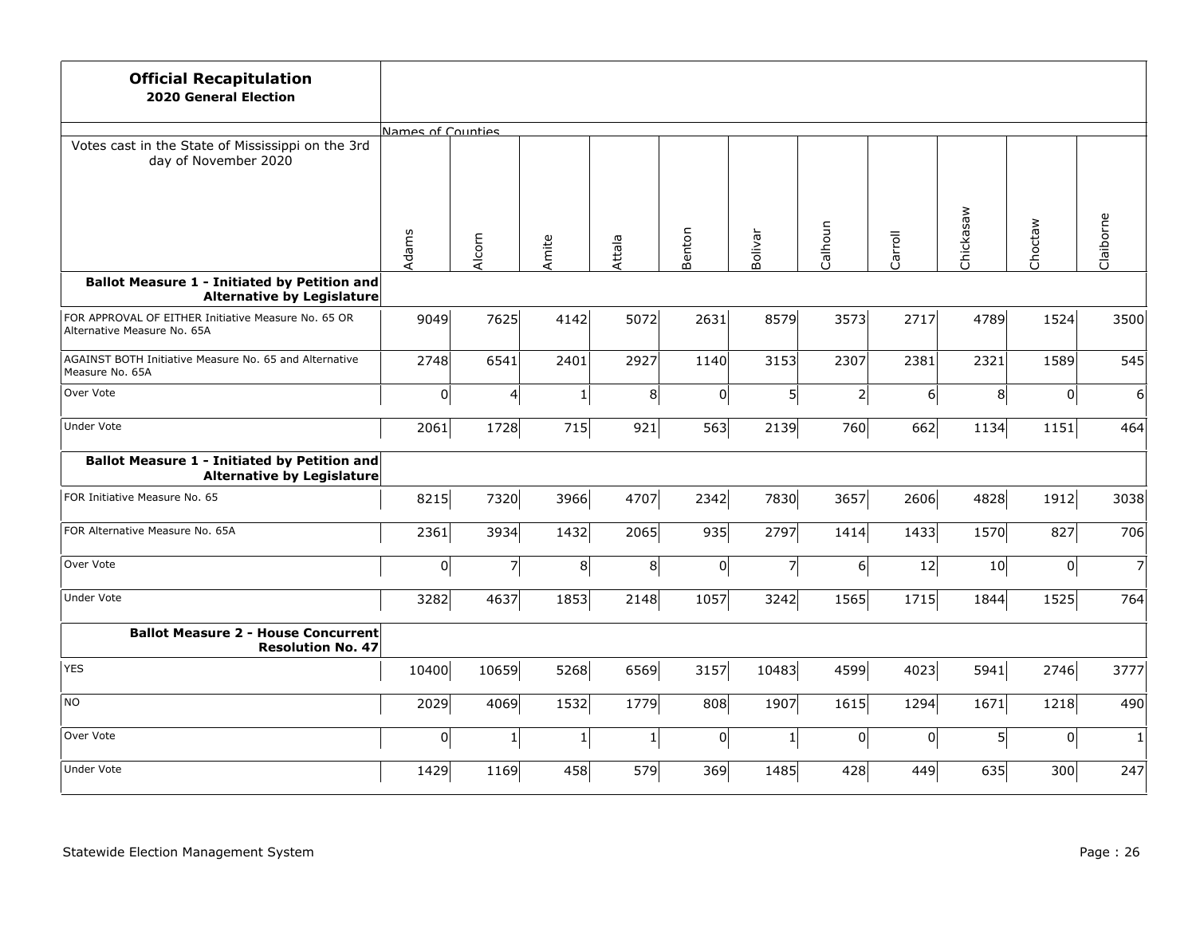| <b>Official Recapitulation</b><br><b>2020 General Election</b>                           |                   |                |                |              |                |                |                |         |           |         |                |
|------------------------------------------------------------------------------------------|-------------------|----------------|----------------|--------------|----------------|----------------|----------------|---------|-----------|---------|----------------|
|                                                                                          | Names of Counties |                |                |              |                |                |                |         |           |         |                |
| Votes cast in the State of Mississippi on the 3rd<br>day of November 2020                |                   |                |                |              |                |                |                |         | Chickasaw | Choctaw | Claiborne      |
|                                                                                          | Adams             | Alcorn         | Amite          | Attala       | Benton         | Bolivar        | Calhoun        | Carroll |           |         |                |
|                                                                                          |                   |                |                |              |                |                |                |         |           |         |                |
| <b>Ballot Measure 1 - Initiated by Petition and</b><br><b>Alternative by Legislature</b> |                   |                |                |              |                |                |                |         |           |         |                |
| FOR APPROVAL OF EITHER Initiative Measure No. 65 OR<br>Alternative Measure No. 65A       | 9049              | 7625           | 4142           | 5072         | 2631           | 8579           | 3573           | 2717    | 4789      | 1524    | 3500           |
| AGAINST BOTH Initiative Measure No. 65 and Alternative<br>Measure No. 65A                | 2748              | 6541           | 2401           | 2927         | 1140           | 3153           | 2307           | 2381    | 2321      | 1589    | 545            |
| Over Vote                                                                                | 0                 | $\overline{a}$ | $\mathbf 1$    | 8            | $\overline{0}$ | $\mathsf{S}$   | $\overline{2}$ | 6       | 8         | 0       | $6 \mid$       |
| <b>Under Vote</b>                                                                        | 2061              | 1728           | 715            | 921          | 563            | 2139           | 760            | 662     | 1134      | 1151    | 464            |
| Ballot Measure 1 - Initiated by Petition and<br>Alternative by Legislature               |                   |                |                |              |                |                |                |         |           |         |                |
| FOR Initiative Measure No. 65                                                            | 8215              | 7320           | 3966           | 4707         | 2342           | 7830           | 3657           | 2606    | 4828      | 1912    | 3038           |
| FOR Alternative Measure No. 65A                                                          | 2361              | 3934           | 1432           | 2065         | 935            | 2797           | 1414           | 1433    | 1570      | 827     | 706            |
| Over Vote                                                                                | 0                 | $\overline{z}$ | 8 <sup>1</sup> | 8            | 0              | $\overline{7}$ | 6              | 12      | 10        | 0       | $\overline{7}$ |
| <b>Under Vote</b>                                                                        | 3282              | 4637           | 1853           | 2148         | 1057           | 3242           | 1565           | 1715    | 1844      | 1525    | 764            |
| <b>Ballot Measure 2 - House Concurrent</b><br><b>Resolution No. 47</b>                   |                   |                |                |              |                |                |                |         |           |         |                |
| <b>YES</b>                                                                               | 10400             | 10659          | 5268           | 6569         | 3157           | 10483          | 4599           | 4023    | 5941      | 2746    | 3777           |
| <b>NO</b>                                                                                | 2029              | 4069           | 1532           | 1779         | 808            | 1907           | 1615           | 1294    | 1671      | 1218    | 490            |
| Over Vote                                                                                | 0                 | $\mathbf{1}$   | $1\vert$       | $\mathbf{1}$ | 0              | $\mathbf 1$    | 0              | 0       | 5         | 0       | $\mathbf{1}$   |
| <b>Under Vote</b>                                                                        | 1429              | 1169           | 458            | 579          | 369            | 1485           | 428            | 449     | 635       | 300     | 247            |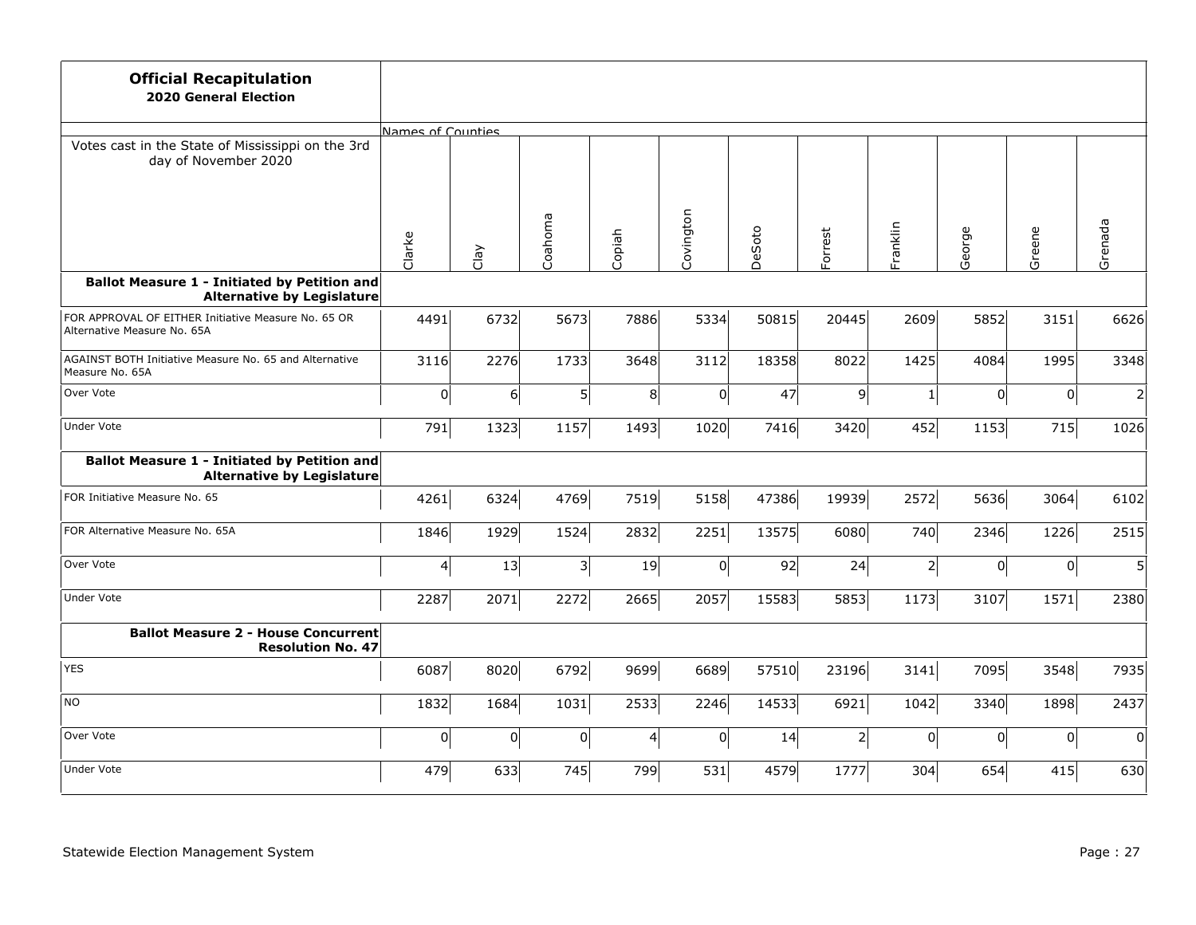| <b>Official Recapitulation</b><br><b>2020 General Election</b>                           |                         |          |                         |                 |                |        |          |          |        |        |                |
|------------------------------------------------------------------------------------------|-------------------------|----------|-------------------------|-----------------|----------------|--------|----------|----------|--------|--------|----------------|
|                                                                                          | Names of Counties       |          |                         |                 |                |        |          |          |        |        |                |
| Votes cast in the State of Mississippi on the 3rd<br>day of November 2020                |                         |          |                         |                 |                |        |          |          |        |        |                |
|                                                                                          | Clarke                  | Clay     | Coahoma                 | Copiah          | Covington      | DeSoto | Forrest  | Franklin | George | Greene | Grenada        |
| <b>Ballot Measure 1 - Initiated by Petition and</b><br><b>Alternative by Legislature</b> |                         |          |                         |                 |                |        |          |          |        |        |                |
| FOR APPROVAL OF EITHER Initiative Measure No. 65 OR<br>Alternative Measure No. 65A       | 4491                    | 6732     | 5673                    | 7886            | 5334           | 50815  | 20445    | 2609     | 5852   | 3151   | 6626           |
| AGAINST BOTH Initiative Measure No. 65 and Alternative<br>Measure No. 65A                | 3116                    | 2276     | 1733                    | 3648            | 3112           | 18358  | 8022     | 1425     | 4084   | 1995   | 3348           |
| Over Vote                                                                                | $\overline{0}$          | $6\vert$ | 5                       | 8               | $\overline{0}$ | 47     | 9        | $1\vert$ | 0      | 0      | $\overline{2}$ |
| Under Vote                                                                               | 791                     | 1323     | 1157                    | 1493            | 1020           | 7416   | 3420     | 452      | 1153   | 715    | 1026           |
| <b>Ballot Measure 1 - Initiated by Petition and</b><br><b>Alternative by Legislature</b> |                         |          |                         |                 |                |        |          |          |        |        |                |
| FOR Initiative Measure No. 65                                                            | 4261                    | 6324     | 4769                    | 7519            | 5158           | 47386  | 19939    | 2572     | 5636   | 3064   | 6102           |
| FOR Alternative Measure No. 65A                                                          | 1846                    | 1929     | 1524                    | 2832            | 2251           | 13575  | 6080     | 740      | 2346   | 1226   | 2515           |
| Over Vote                                                                                | $\overline{\mathbf{r}}$ | 13       | $\overline{\mathbf{3}}$ | 19              | $\overline{0}$ | 92     | 24       | $2\vert$ | 0      | 0      | $\mathsf{S}$   |
| <b>Under Vote</b>                                                                        | 2287                    | 2071     | 2272                    | 2665            | 2057           | 15583  | 5853     | 1173     | 3107   | 1571   | 2380           |
| <b>Ballot Measure 2 - House Concurrent</b><br><b>Resolution No. 47</b>                   |                         |          |                         |                 |                |        |          |          |        |        |                |
| <b>YES</b>                                                                               | 6087                    | 8020     | 6792                    | 9699            | 6689           | 57510  | 23196    | 3141     | 7095   | 3548   | 7935           |
| <b>NO</b>                                                                                | 1832                    | 1684     | 1031                    | 2533            | 2246           | 14533  | 6921     | 1042     | 3340   | 1898   | 2437           |
| Over Vote                                                                                | $\overline{0}$          | 0        | $\pmb{0}$               | $\vert 4 \vert$ | $\overline{0}$ | 14     | $2\vert$ | 0        | 0      | 0      | 0              |
| <b>Under Vote</b>                                                                        | 479                     | 633      | 745                     | 799             | 531            | 4579   | 1777     | 304      | 654    | 415    | 630            |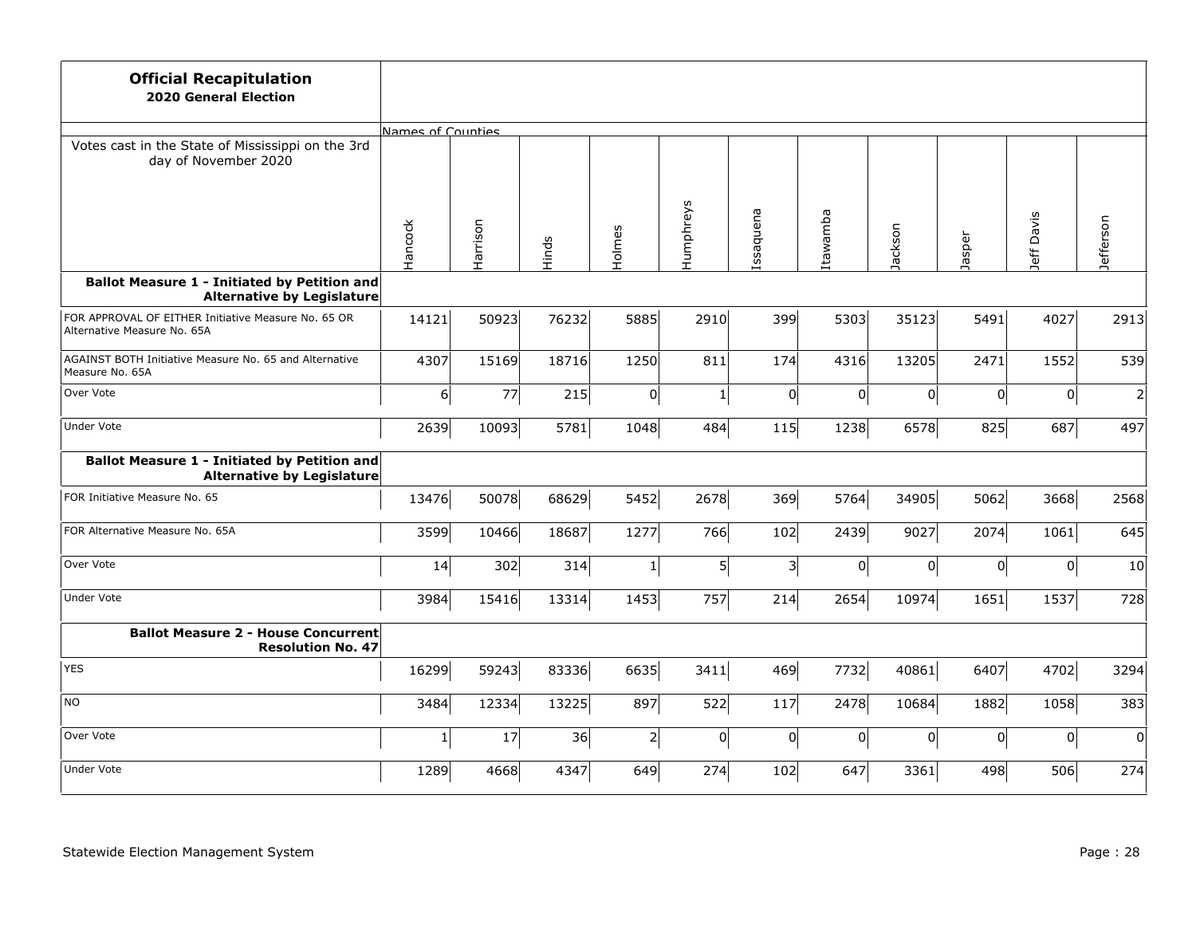| <b>Official Recapitulation</b><br><b>2020 General Election</b>                           |                   |          |       |                           |                |                |          |         |        |             |                  |
|------------------------------------------------------------------------------------------|-------------------|----------|-------|---------------------------|----------------|----------------|----------|---------|--------|-------------|------------------|
|                                                                                          | Names of Counties |          |       |                           |                |                |          |         |        |             |                  |
| Votes cast in the State of Mississippi on the 3rd<br>day of November 2020                |                   |          |       |                           |                |                |          |         |        | Davis       |                  |
|                                                                                          | Hancock           | Harrison | Hinds | Holmes                    | Humphreys      | Issaquena      | Itawamba | Jackson | Jasper | Jeff.       | <b>Jefferson</b> |
| <b>Ballot Measure 1 - Initiated by Petition and</b><br><b>Alternative by Legislature</b> |                   |          |       |                           |                |                |          |         |        |             |                  |
| FOR APPROVAL OF EITHER Initiative Measure No. 65 OR<br>Alternative Measure No. 65A       | 14121             | 50923    | 76232 | 5885                      | 2910           | 399            | 5303     | 35123   | 5491   | 4027        | 2913             |
| AGAINST BOTH Initiative Measure No. 65 and Alternative<br>Measure No. 65A                | 4307              | 15169    | 18716 | 1250                      | 811            | 174            | 4316     | 13205   | 2471   | 1552        | 539              |
| Over Vote                                                                                | $6\vert$          | 77       | 215   | 0                         | $\mathbf{1}$   | $\overline{0}$ | 0        | 0       | 0      | $\mathbf 0$ | $\overline{2}$   |
| Under Vote                                                                               | 2639              | 10093    | 5781  | 1048                      | 484            | 115            | 1238     | 6578    | 825    | 687         | 497              |
| <b>Ballot Measure 1 - Initiated by Petition and</b><br><b>Alternative by Legislature</b> |                   |          |       |                           |                |                |          |         |        |             |                  |
| FOR Initiative Measure No. 65                                                            | 13476             | 50078    | 68629 | 5452                      | 2678           | 369            | 5764     | 34905   | 5062   | 3668        | 2568             |
| FOR Alternative Measure No. 65A                                                          | 3599              | 10466    | 18687 | 1277                      | 766            | 102            | 2439     | 9027    | 2074   | 1061        | 645              |
| Over Vote                                                                                | 14                | 302      | 314   | $\ensuremath{\mathbf{1}}$ | $\overline{5}$ | $3\vert$       | 0        | 0       | 0      | 0           | 10               |
| <b>Under Vote</b>                                                                        | 3984              | 15416    | 13314 | 1453                      | 757            | 214            | 2654     | 10974   | 1651   | 1537        | 728              |
| <b>Ballot Measure 2 - House Concurrent</b><br><b>Resolution No. 47</b>                   |                   |          |       |                           |                |                |          |         |        |             |                  |
| <b>YES</b>                                                                               | 16299             | 59243    | 83336 | 6635                      | 3411           | 469            | 7732     | 40861   | 6407   | 4702        | 3294             |
| NO                                                                                       | 3484              | 12334    | 13225 | 897                       | 522            | 117            | 2478     | 10684   | 1882   | 1058        | 383              |
| Over Vote                                                                                | $1\vert$          | $17\,$   | 36    | $2\vert$                  | $\overline{0}$ | 0              | 0        | 0       | 0      | 0           | 0                |
| <b>Under Vote</b>                                                                        | 1289              | 4668     | 4347  | 649                       | 274            | 102            | 647      | 3361    | 498    | 506         | 274              |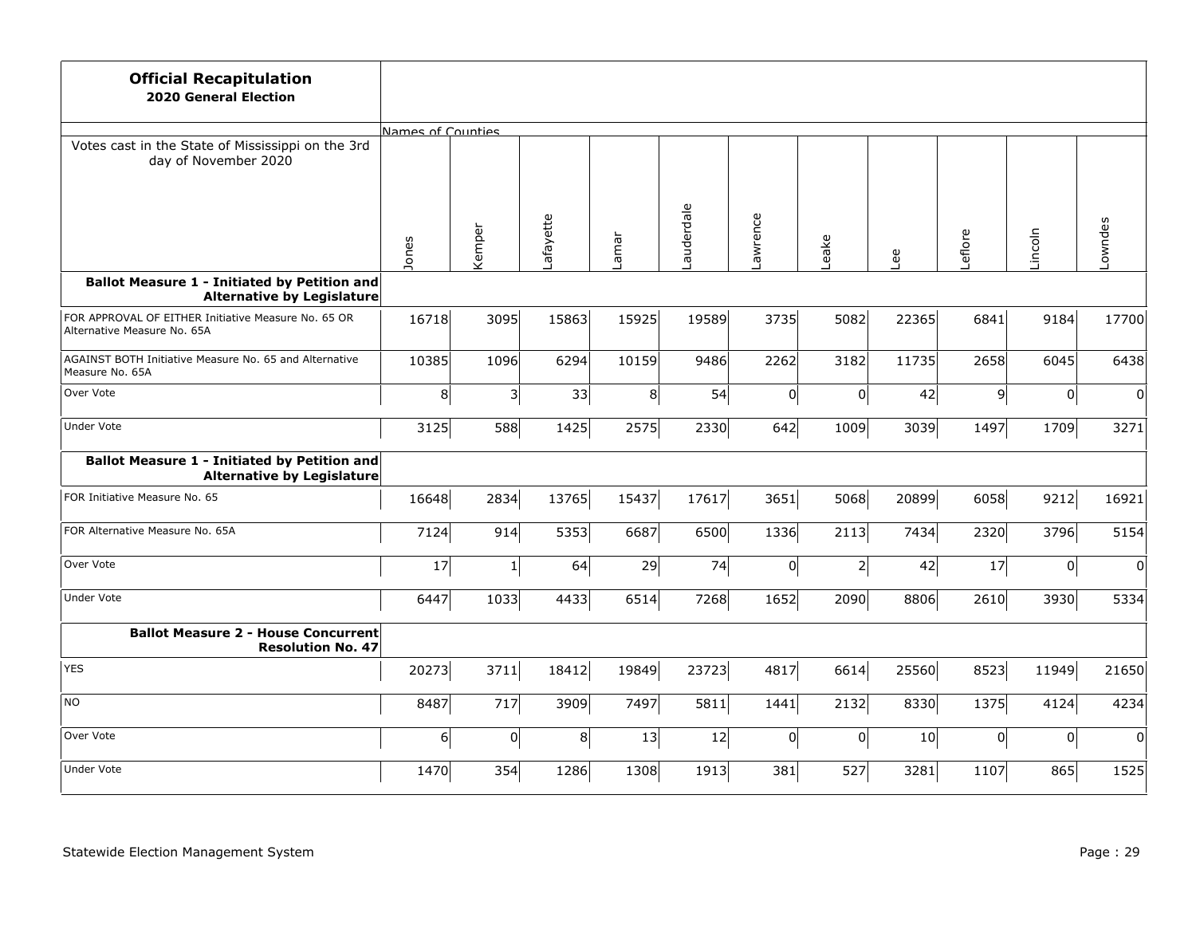| <b>Official Recapitulation</b><br><b>2020 General Election</b>                           |                   |          |           |                |           |                |          |       |                |                     |          |
|------------------------------------------------------------------------------------------|-------------------|----------|-----------|----------------|-----------|----------------|----------|-------|----------------|---------------------|----------|
|                                                                                          | Names of Counties |          |           |                |           |                |          |       |                |                     |          |
| Votes cast in the State of Mississippi on the 3rd<br>day of November 2020                |                   |          |           |                |           |                |          |       |                |                     |          |
|                                                                                          | Jones             | Kemper   | Lafayette | Lamar          | auderdale | Lawrence       | eake     | Lee   | Leflore        | Lincoln             | Lowndes  |
| <b>Ballot Measure 1 - Initiated by Petition and</b><br><b>Alternative by Legislature</b> |                   |          |           |                |           |                |          |       |                |                     |          |
| FOR APPROVAL OF EITHER Initiative Measure No. 65 OR<br>Alternative Measure No. 65A       | 16718             | 3095     | 15863     | 15925          | 19589     | 3735           | 5082     | 22365 | 6841           | 9184                | 17700    |
| AGAINST BOTH Initiative Measure No. 65 and Alternative<br>Measure No. 65A                | 10385             | 1096     | 6294      | 10159          | 9486      | 2262           | 3182     | 11735 | 2658           | 6045                | 6438     |
| Over Vote                                                                                | 8                 | 3        | 33        | 8 <sup>1</sup> | 54        | 0              | 0        | 42    | 9 <sup>1</sup> | 0                   | $\Omega$ |
| <b>Under Vote</b>                                                                        | 3125              | 588      | 1425      | 2575           | 2330      | 642            | 1009     | 3039  | 1497           | 1709                | 3271     |
| <b>Ballot Measure 1 - Initiated by Petition and</b><br><b>Alternative by Legislature</b> |                   |          |           |                |           |                |          |       |                |                     |          |
| FOR Initiative Measure No. 65                                                            | 16648             | 2834     | 13765     | 15437          | 17617     | 3651           | 5068     | 20899 | 6058           | 9212                | 16921    |
| FOR Alternative Measure No. 65A                                                          | 7124              | 914      | 5353      | 6687           | 6500      | 1336           | 2113     | 7434  | 2320           | 3796                | 5154     |
| Over Vote                                                                                | 17                | $1\vert$ | 64        | 29             | 74        | 0              | $2\vert$ | 42    | 17             | 0                   | 0        |
| <b>Under Vote</b>                                                                        | 6447              | 1033     | 4433      | 6514           | 7268      | 1652           | 2090     | 8806  | 2610           | 3930                | 5334     |
| <b>Ballot Measure 2 - House Concurrent</b><br><b>Resolution No. 47</b>                   |                   |          |           |                |           |                |          |       |                |                     |          |
| <b>YES</b>                                                                               | 20273             | 3711     | 18412     | 19849          | 23723     | 4817           | 6614     | 25560 | 8523           | 11949               | 21650    |
| <b>NO</b>                                                                                | 8487              | 717      | 3909      | 7497           | 5811      | 1441           | 2132     | 8330  | 1375           | 4124                | 4234     |
| Over Vote                                                                                | $\epsilon$        | 0        | 8         | 13             | 12        | $\overline{0}$ | 0        | 10    | 0              | $\mathsf{O}\xspace$ | $\Omega$ |
| <b>Under Vote</b>                                                                        | 1470              | 354      | 1286      | 1308           | 1913      | 381            | 527      | 3281  | 1107           | 865                 | 1525     |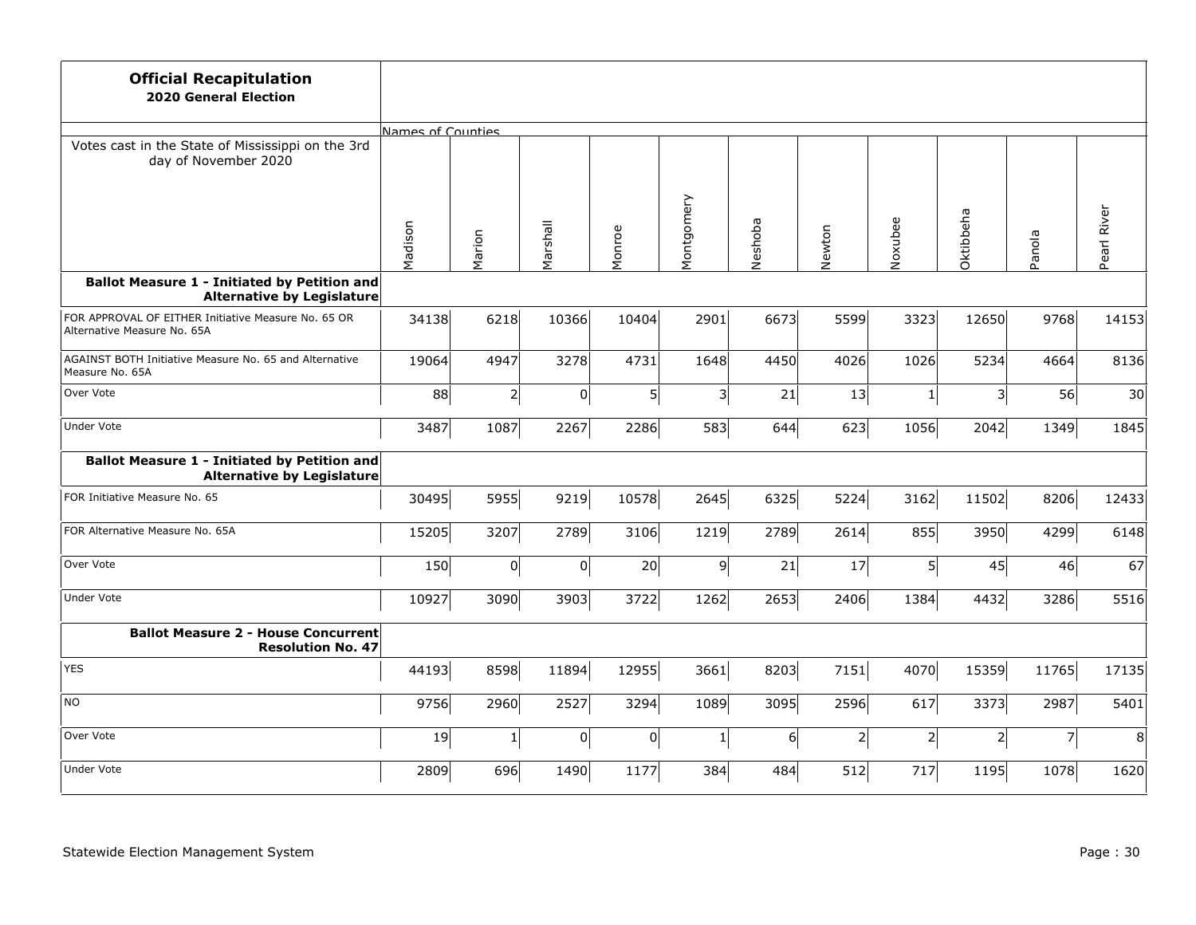| <b>Official Recapitulation</b><br><b>2020 General Election</b>                           |                   |           |                     |                |                |         |              |              |              |                |                |
|------------------------------------------------------------------------------------------|-------------------|-----------|---------------------|----------------|----------------|---------|--------------|--------------|--------------|----------------|----------------|
|                                                                                          | Names of Counties |           |                     |                |                |         |              |              |              |                |                |
| Votes cast in the State of Mississippi on the 3rd<br>day of November 2020                |                   |           |                     |                |                |         |              |              |              |                |                |
|                                                                                          | Madison           | Marion    | Marshall            | Monroe         | Montgomery     | Neshoba | Newton       | Noxubee      | Oktibbeha    | Panola         | Pearl River    |
| <b>Ballot Measure 1 - Initiated by Petition and</b><br><b>Alternative by Legislature</b> |                   |           |                     |                |                |         |              |              |              |                |                |
| FOR APPROVAL OF EITHER Initiative Measure No. 65 OR<br>Alternative Measure No. 65A       | 34138             | 6218      | 10366               | 10404          | 2901           | 6673    | 5599         | 3323         | 12650        | 9768           | 14153          |
| AGAINST BOTH Initiative Measure No. 65 and Alternative<br>Measure No. 65A                | 19064             | 4947      | 3278                | 4731           | 1648           | 4450    | 4026         | 1026         | 5234         | 4664           | 8136           |
| Over Vote                                                                                | 88                | 2         | $\mathsf{O}\xspace$ | 5 <sup>1</sup> | 3              | 21      | 13           | $\mathbf{1}$ | 3            | 56             | 30             |
| Under Vote                                                                               | 3487              | 1087      | 2267                | 2286           | 583            | 644     | 623          | 1056         | 2042         | 1349           | 1845           |
| <b>Ballot Measure 1 - Initiated by Petition and</b><br><b>Alternative by Legislature</b> |                   |           |                     |                |                |         |              |              |              |                |                |
| FOR Initiative Measure No. 65                                                            | 30495             | 5955      | 9219                | 10578          | 2645           | 6325    | 5224         | 3162         | 11502        | 8206           | 12433          |
| FOR Alternative Measure No. 65A                                                          | 15205             | 3207      | 2789                | 3106           | 1219           | 2789    | 2614         | 855          | 3950         | 4299           | 6148           |
| Over Vote                                                                                | 150               | $\pmb{0}$ | 0                   | 20             | $\overline{9}$ | 21      | 17           | $5\vert$     | 45           | 46             | 67             |
| <b>Under Vote</b>                                                                        | 10927             | 3090      | 3903                | 3722           | 1262           | 2653    | 2406         | 1384         | 4432         | 3286           | 5516           |
| <b>Ballot Measure 2 - House Concurrent</b><br><b>Resolution No. 47</b>                   |                   |           |                     |                |                |         |              |              |              |                |                |
| <b>YES</b>                                                                               | 44193             | 8598      | 11894               | 12955          | 3661           | 8203    | 7151         | 4070         | 15359        | 11765          | 17135          |
| NO                                                                                       | 9756              | 2960      | 2527                | 3294           | 1089           | 3095    | 2596         | 617          | 3373         | 2987           | 5401           |
| Over Vote                                                                                | 19                | $1\vert$  | 0                   | 0              | $\mathbf{1}$   | 6       | $\mathbf{2}$ | $2\vert$     | $\mathsf{2}$ | $\overline{7}$ | 8 <sup>1</sup> |
| <b>Under Vote</b>                                                                        | 2809              | 696       | 1490                | 1177           | 384            | 484     | 512          | 717          | 1195         | 1078           | 1620           |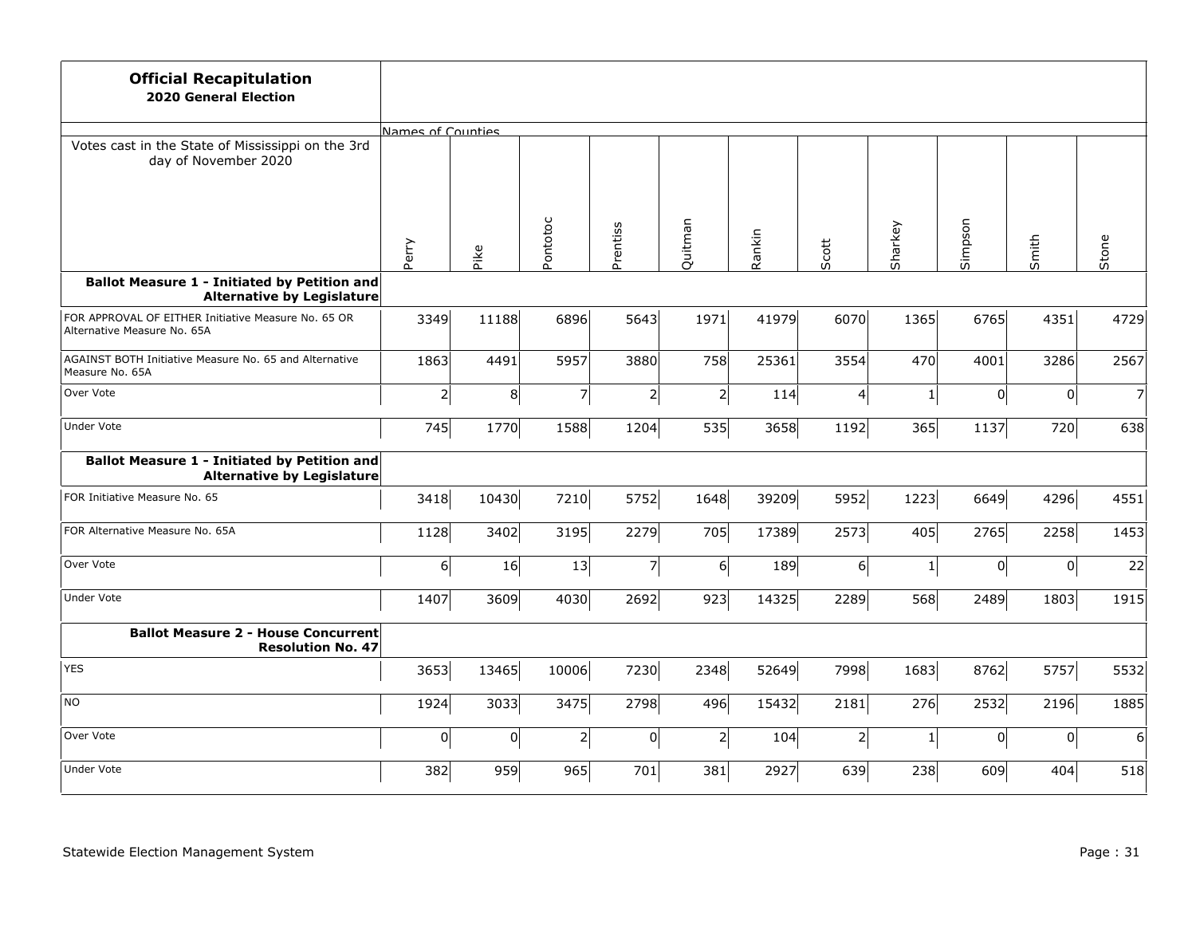| <b>Official Recapitulation</b><br><b>2020 General Election</b>                           |                   |       |                          |                |                  |        |          |              |         |                     |                |
|------------------------------------------------------------------------------------------|-------------------|-------|--------------------------|----------------|------------------|--------|----------|--------------|---------|---------------------|----------------|
|                                                                                          | Names of Counties |       |                          |                |                  |        |          |              |         |                     |                |
| Votes cast in the State of Mississippi on the 3rd<br>day of November 2020                |                   |       |                          |                |                  |        |          |              |         |                     |                |
|                                                                                          | Perry             | Pike  | Pontotoc                 | Prentiss       | Quitman          | Rankin | Scott    | Sharkey      | Simpson | Smith               | Stone          |
| <b>Ballot Measure 1 - Initiated by Petition and</b><br><b>Alternative by Legislature</b> |                   |       |                          |                |                  |        |          |              |         |                     |                |
| FOR APPROVAL OF EITHER Initiative Measure No. 65 OR<br>Alternative Measure No. 65A       | 3349              | 11188 | 6896                     | 5643           | 1971             | 41979  | 6070     | 1365         | 6765    | 4351                | 4729           |
| AGAINST BOTH Initiative Measure No. 65 and Alternative<br>Measure No. 65A                | 1863              | 4491  | 5957                     | 3880           | 758              | 25361  | 3554     | 470          | 4001    | 3286                | 2567           |
| Over Vote                                                                                | $\overline{2}$    | 8     | $\overline{\phantom{a}}$ | 2              | $\overline{2}$   | 114    | 4        | $\mathbf{1}$ | 0       | 0                   | $\overline{7}$ |
| <b>Under Vote</b>                                                                        | 745               | 1770  | 1588                     | 1204           | 535              | 3658   | 1192     | 365          | 1137    | 720                 | 638            |
| Ballot Measure 1 - Initiated by Petition and<br><b>Alternative by Legislature</b>        |                   |       |                          |                |                  |        |          |              |         |                     |                |
| FOR Initiative Measure No. 65                                                            | 3418              | 10430 | 7210                     | 5752           | 1648             | 39209  | 5952     | 1223         | 6649    | 4296                | 4551           |
| FOR Alternative Measure No. 65A                                                          | 1128              | 3402  | 3195                     | 2279           | 705              | 17389  | 2573     | 405          | 2765    | 2258                | 1453           |
| Over Vote                                                                                | $6\vert$          | 16    | 13                       | $\overline{7}$ | $6 \overline{6}$ | 189    | 6        | $1\vert$     | 0       | $\pmb{0}$           | 22             |
| Under Vote                                                                               | 1407              | 3609  | 4030                     | 2692           | 923              | 14325  | 2289     | 568          | 2489    | 1803                | 1915           |
| <b>Ballot Measure 2 - House Concurrent</b><br><b>Resolution No. 47</b>                   |                   |       |                          |                |                  |        |          |              |         |                     |                |
| <b>YES</b>                                                                               | 3653              | 13465 | 10006                    | 7230           | 2348             | 52649  | 7998     | 1683         | 8762    | 5757                | 5532           |
| NO                                                                                       | 1924              | 3033  | 3475                     | 2798           | 496              | 15432  | 2181     | 276          | 2532    | 2196                | 1885           |
| Over Vote                                                                                | 0                 | 0     | $2\vert$                 | 0              | $\mathbf{2}$     | 104    | $2\vert$ | $1\vert$     | 0       | $\mathsf{O}\xspace$ | 6 <sup>1</sup> |
| <b>Under Vote</b>                                                                        | 382               | 959   | 965                      | 701            | 381              | 2927   | 639      | 238          | 609     | 404                 | 518            |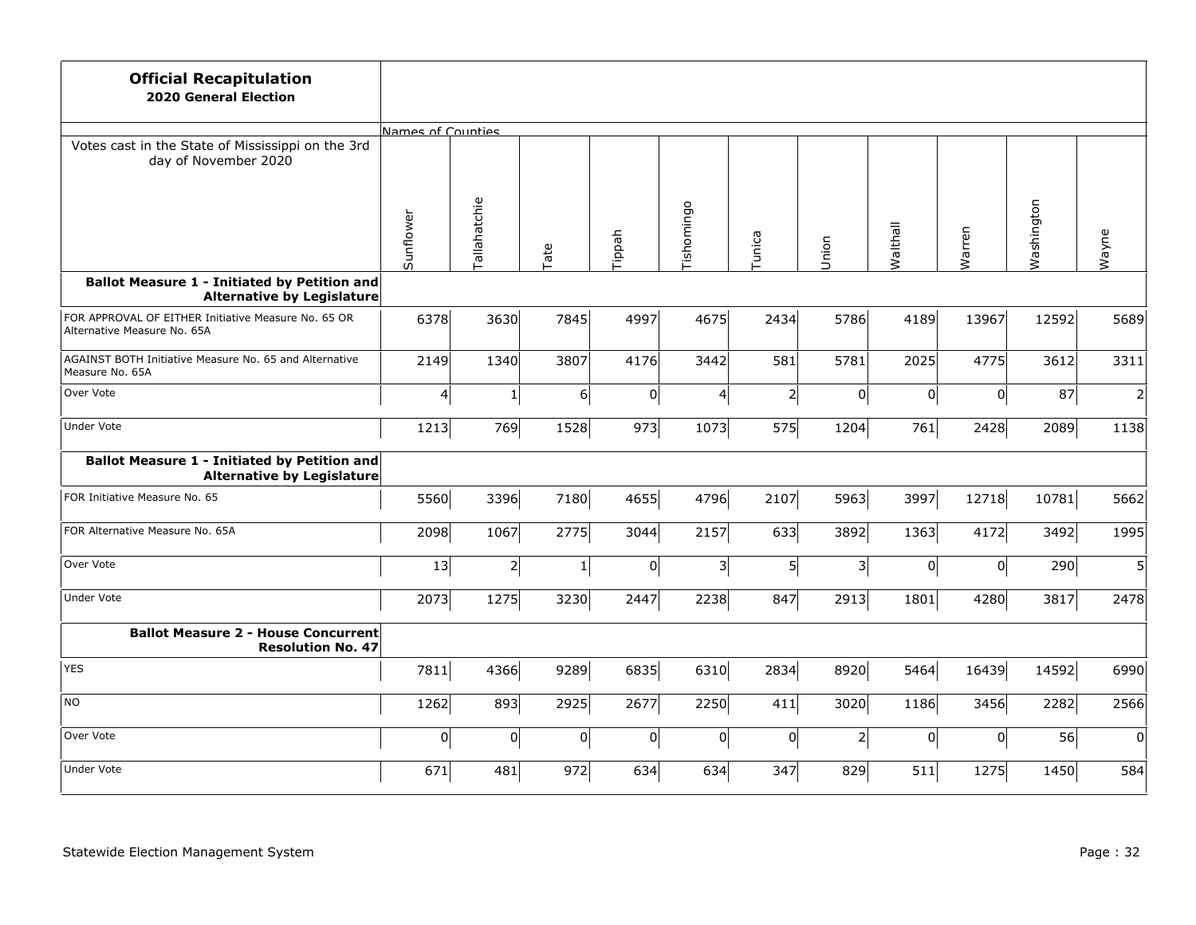| <b>Official Recapitulation</b><br><b>2020 General Election</b>                           |                   |              |          |        |                         |                |                |          |                |            |                |
|------------------------------------------------------------------------------------------|-------------------|--------------|----------|--------|-------------------------|----------------|----------------|----------|----------------|------------|----------------|
|                                                                                          | Names of Counties |              |          |        |                         |                |                |          |                |            |                |
| Votes cast in the State of Mississippi on the 3rd<br>day of November 2020                |                   |              |          |        |                         |                |                |          |                |            |                |
|                                                                                          | Sunflower         | Tallahatchie | Tate     | Tippah | Tishomingo              | Tunica         | Union          | Walthall | Warren         | Washington | Wayne          |
| <b>Ballot Measure 1 - Initiated by Petition and</b><br><b>Alternative by Legislature</b> |                   |              |          |        |                         |                |                |          |                |            |                |
| FOR APPROVAL OF EITHER Initiative Measure No. 65 OR<br>Alternative Measure No. 65A       | 6378              | 3630         | 7845     | 4997   | 4675                    | 2434           | 5786           | 4189     | 13967          | 12592      | 5689           |
| AGAINST BOTH Initiative Measure No. 65 and Alternative<br>Measure No. 65A                | 2149              | 1340         | 3807     | 4176   | 3442                    | 581            | 5781           | 2025     | 4775           | 3612       | 3311           |
| Over Vote                                                                                | 4                 | $\mathbf{1}$ | $6\vert$ | 0      | 4                       | $\overline{2}$ | $\overline{0}$ | 0        | $\overline{0}$ | 87         | $\overline{2}$ |
| <b>Under Vote</b>                                                                        | 1213              | 769          | 1528     | 973    | 1073                    | 575            | 1204           | 761      | 2428           | 2089       | 1138           |
| <b>Ballot Measure 1 - Initiated by Petition and</b><br><b>Alternative by Legislature</b> |                   |              |          |        |                         |                |                |          |                |            |                |
| FOR Initiative Measure No. 65                                                            | 5560              | 3396         | 7180     | 4655   | 4796                    | 2107           | 5963           | 3997     | 12718          | 10781      | 5662           |
| FOR Alternative Measure No. 65A                                                          | 2098              | 1067         | 2775     | 3044   | 2157                    | 633            | 3892           | 1363     | 4172           | 3492       | 1995           |
| Over Vote                                                                                | 13                | $2\vert$     | $1\vert$ | 0      | $\overline{\mathbf{3}}$ | $5\vert$       | $\vert$ 3      | 0        | 0              | 290        | 5 <sup>1</sup> |
| <b>Under Vote</b>                                                                        | 2073              | 1275         | 3230     | 2447   | 2238                    | 847            | 2913           | 1801     | 4280           | 3817       | 2478           |
| <b>Ballot Measure 2 - House Concurrent</b><br><b>Resolution No. 47</b>                   |                   |              |          |        |                         |                |                |          |                |            |                |
| <b>YES</b>                                                                               | 7811              | 4366         | 9289     | 6835   | 6310                    | 2834           | 8920           | 5464     | 16439          | 14592      | 6990           |
| <b>NO</b>                                                                                | 1262              | 893          | 2925     | 2677   | 2250                    | 411            | 3020           | 1186     | 3456           | 2282       | 2566           |
| Over Vote                                                                                | 0                 | 0            | 0        | 0      | 0                       | 0              | $2\vert$       | 0        | $\Omega$       | 56         | $\overline{0}$ |
| <b>Under Vote</b>                                                                        | 671               | 481          | 972      | 634    | 634                     | 347            | 829            | 511      | 1275           | 1450       | 584            |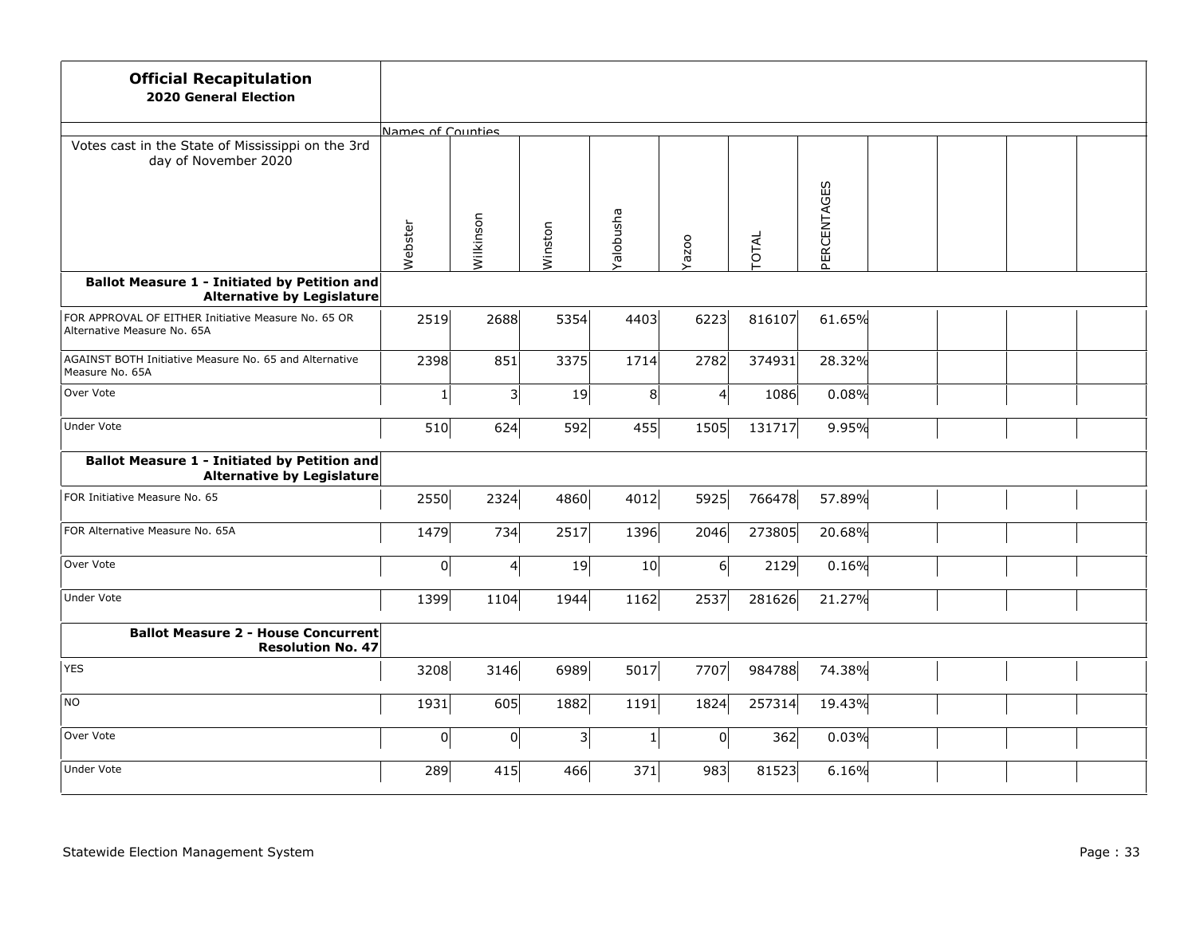| <b>Official Recapitulation</b><br><b>2020 General Election</b>                     |                   |           |           |                  |          |              |             |  |  |
|------------------------------------------------------------------------------------|-------------------|-----------|-----------|------------------|----------|--------------|-------------|--|--|
|                                                                                    | Names of Counties |           |           |                  |          |              |             |  |  |
| Votes cast in the State of Mississippi on the 3rd<br>day of November 2020          |                   |           |           |                  |          |              |             |  |  |
|                                                                                    | Webster           | Wilkinson | Winston   | <b>Ralobusha</b> | Yazoo    | <b>TOTAL</b> | PERCENTAGES |  |  |
| Ballot Measure 1 - Initiated by Petition and<br><b>Alternative by Legislature</b>  |                   |           |           |                  |          |              |             |  |  |
| FOR APPROVAL OF EITHER Initiative Measure No. 65 OR<br>Alternative Measure No. 65A | 2519              | 2688      | 5354      | 4403             | 6223     | 816107       | 61.65%      |  |  |
| AGAINST BOTH Initiative Measure No. 65 and Alternative<br>Measure No. 65A          | 2398              | 851       | 3375      | 1714             | 2782     | 374931       | 28.32%      |  |  |
| Over Vote                                                                          | $\mathbf{1}$      | 3         | 19        | 8                | 4        | 1086         | 0.08%       |  |  |
| <b>Under Vote</b>                                                                  | 510               | 624       | 592       | 455              | 1505     | 131717       | 9.95%       |  |  |
| Ballot Measure 1 - Initiated by Petition and<br><b>Alternative by Legislature</b>  |                   |           |           |                  |          |              |             |  |  |
| FOR Initiative Measure No. 65                                                      | 2550              | 2324      | 4860      | 4012             | 5925     | 766478       | 57.89%      |  |  |
| FOR Alternative Measure No. 65A                                                    | 1479              | 734       | 2517      | 1396             | 2046     | 273805       | 20.68%      |  |  |
| Over Vote                                                                          | 0                 | 4         | 19        | 10               | $6 \mid$ | 2129         | 0.16%       |  |  |
| <b>Under Vote</b>                                                                  | 1399              | 1104      | 1944      | 1162             | 2537     | 281626       | 21.27%      |  |  |
| <b>Ballot Measure 2 - House Concurrent</b><br><b>Resolution No. 47</b>             |                   |           |           |                  |          |              |             |  |  |
| <b>YES</b>                                                                         | 3208              | 3146      | 6989      | 5017             | 7707     | 984788       | 74.38%      |  |  |
| NO                                                                                 | 1931              | 605       | 1882      | 1191             | 1824     | 257314       | 19.43%      |  |  |
| Over Vote                                                                          | 0                 | 0         | $\vert$ 3 | $\mathbf 1$      | 0        | 362          | 0.03%       |  |  |
| <b>Under Vote</b>                                                                  | 289               | 415       | 466       | 371              | 983      | 81523        | 6.16%       |  |  |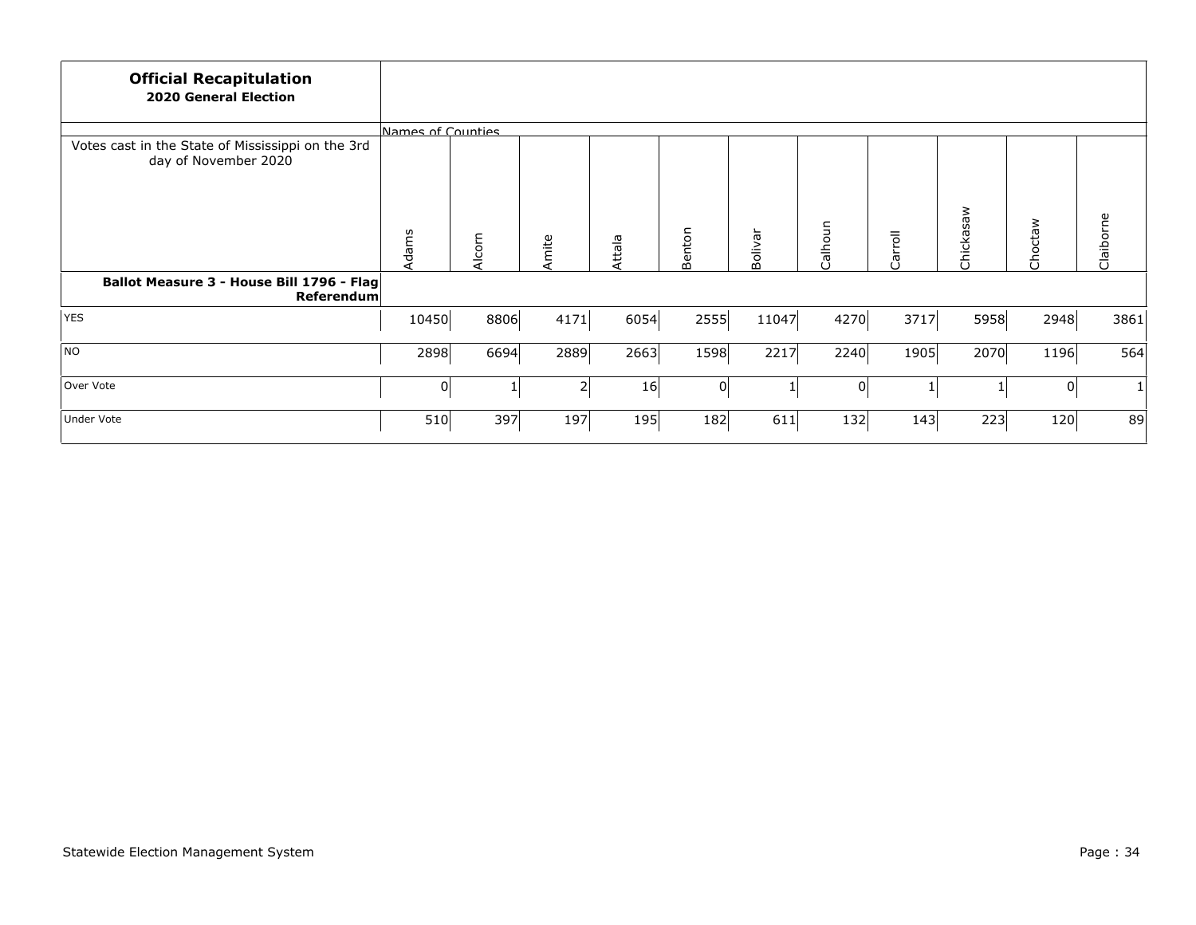| <b>Official Recapitulation</b><br><b>2020 General Election</b>            |                   |        |       |        |          |         |          |         |           |         |              |
|---------------------------------------------------------------------------|-------------------|--------|-------|--------|----------|---------|----------|---------|-----------|---------|--------------|
|                                                                           | Names of Counties |        |       |        |          |         |          |         |           |         |              |
| Votes cast in the State of Mississippi on the 3rd<br>day of November 2020 |                   |        |       |        |          |         |          |         | Chickasaw |         |              |
|                                                                           | Adams             | Alcorn | Amite | Attala | Benton   | Bolivar | Calhoun  | Carroll |           | Choctaw | Claiborne    |
| Ballot Measure 3 - House Bill 1796 - Flag<br><b>Referendum</b>            |                   |        |       |        |          |         |          |         |           |         |              |
| <b>YES</b>                                                                | 10450             | 8806   | 4171  | 6054   | 2555     | 11047   | 4270     | 3717    | 5958      | 2948    | 3861         |
| NO                                                                        | 2898              | 6694   | 2889  | 2663   | 1598     | 2217    | 2240     | 1905    | 2070      | 1196    | 564          |
| Over Vote                                                                 | 0                 |        | 2     | 16     | $\Omega$ |         | $\Omega$ |         |           | 0       | $\mathbf{1}$ |
| Under Vote                                                                | 510               | 397    | 197   | 195    | 182      | 611     | 132      | 143     | 223       | 120     | 89           |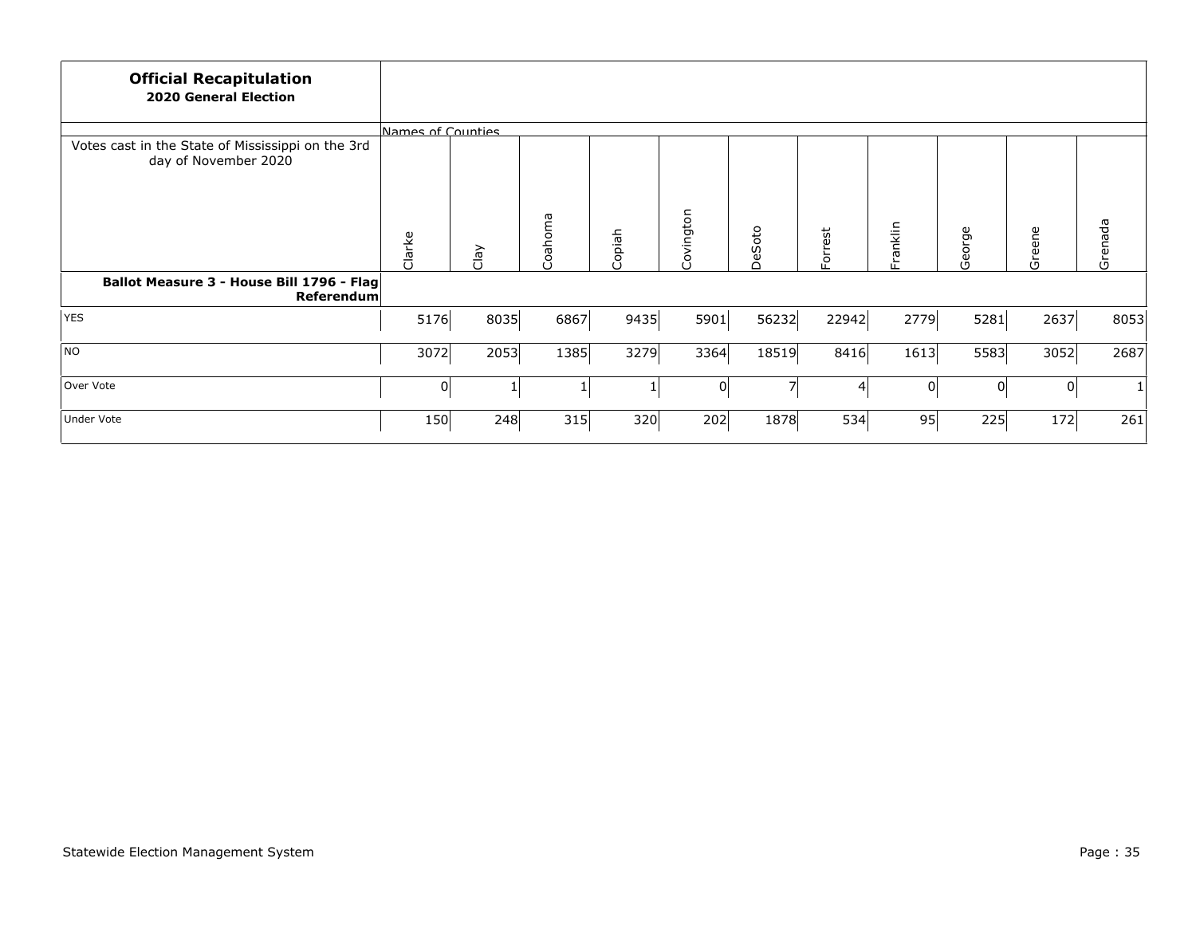| <b>Official Recapitulation</b><br><b>2020 General Election</b>            |                   |      |         |        |           |           |         |          |                |        |              |
|---------------------------------------------------------------------------|-------------------|------|---------|--------|-----------|-----------|---------|----------|----------------|--------|--------------|
|                                                                           | Names of Counties |      |         |        |           |           |         |          |                |        |              |
| Votes cast in the State of Mississippi on the 3rd<br>day of November 2020 |                   |      |         |        |           |           |         |          |                |        |              |
|                                                                           | Clarke            | Clay | Coahoma | Copiah | Covington | Soto<br>ق | Forrest | Franklin | George         | Greene | Grenada      |
| Ballot Measure 3 - House Bill 1796 - Flag<br><b>Referendum</b>            |                   |      |         |        |           |           |         |          |                |        |              |
| <b>YES</b>                                                                | 5176              | 8035 | 6867    | 9435   | 5901      | 56232     | 22942   | 2779     | 5281           | 2637   | 8053         |
| NO                                                                        | 3072              | 2053 | 1385    | 3279   | 3364      | 18519     | 8416    | 1613     | 5583           | 3052   | 2687         |
| Over Vote                                                                 | 0                 |      |         |        | $\Omega$  |           |         | 0        | $\overline{0}$ | 0      | $\mathbf{1}$ |
| Under Vote                                                                | 150               | 248  | 315     | 320    | 202       | 1878      | 534     | 95       | 225            | 172    | 261          |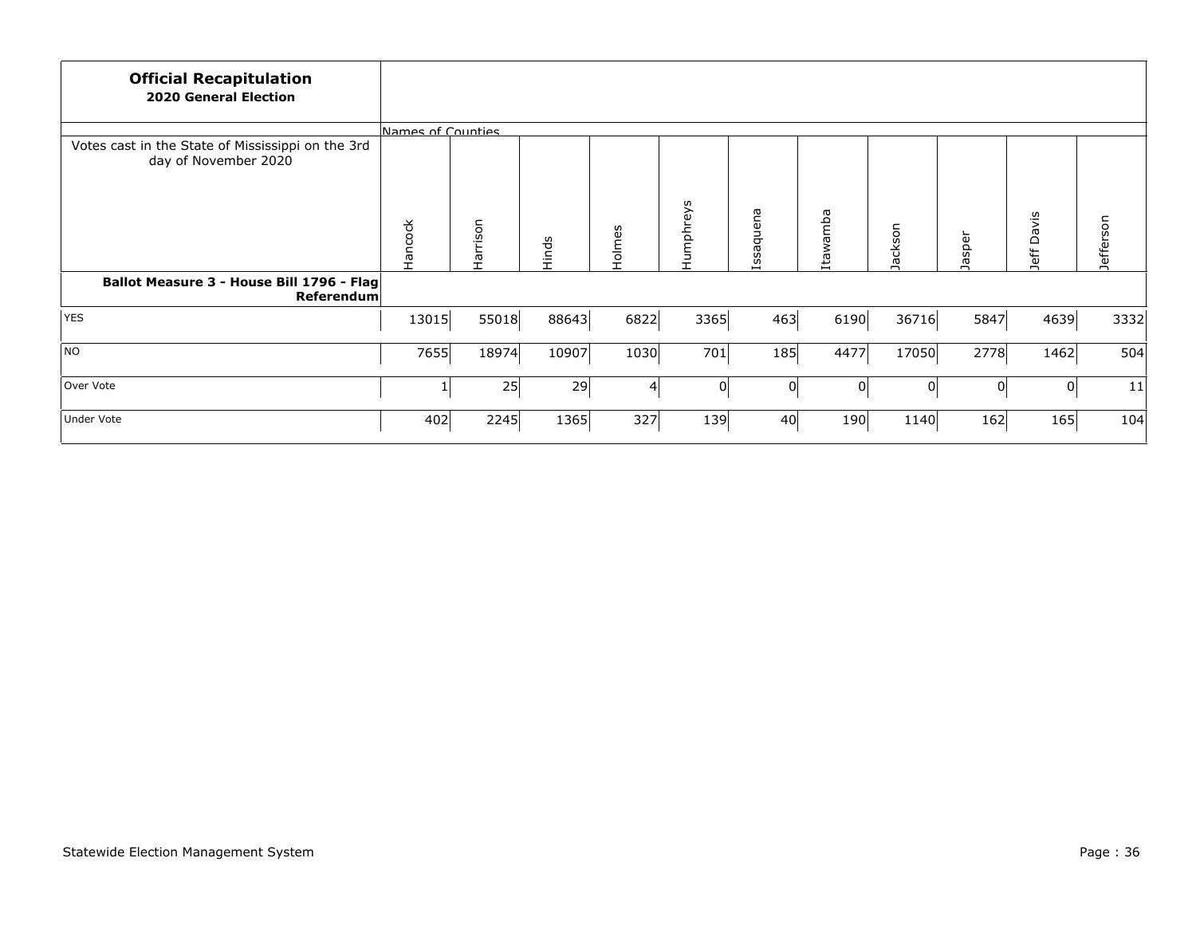| <b>Official Recapitulation</b><br><b>2020 General Election</b>            |                   |          |       |        |           |               |          |         |          |               |           |
|---------------------------------------------------------------------------|-------------------|----------|-------|--------|-----------|---------------|----------|---------|----------|---------------|-----------|
|                                                                           | Names of Counties |          |       |        |           |               |          |         |          |               |           |
| Votes cast in the State of Mississippi on the 3rd<br>day of November 2020 |                   |          |       |        |           |               |          |         |          |               |           |
|                                                                           | Hancock           | Harrison | Hinds | Holmes | Humphreys | ssaquena<br>I | tawamba  | Jackson | Jasper   | Davis<br>Jeff | Jefferson |
| Ballot Measure 3 - House Bill 1796 - Flag<br>Referendum                   |                   |          |       |        |           |               |          |         |          |               |           |
| <b>YES</b>                                                                | 13015             | 55018    | 88643 | 6822   | 3365      | 463           | 6190     | 36716   | 5847     | 4639          | 3332      |
| NO                                                                        | 7655              | 18974    | 10907 | 1030   | 701       | 185           | 4477     | 17050   | 2778     | 1462          | 504       |
| Over Vote                                                                 |                   | 25       | 29    | 4      | $\Omega$  | 0             | $\Omega$ | 0       | $\Omega$ | 0             | 11        |
| Under Vote                                                                | 402               | 2245     | 1365  | 327    | 139       | 40            | 190      | 1140    | 162      | 165           | 104       |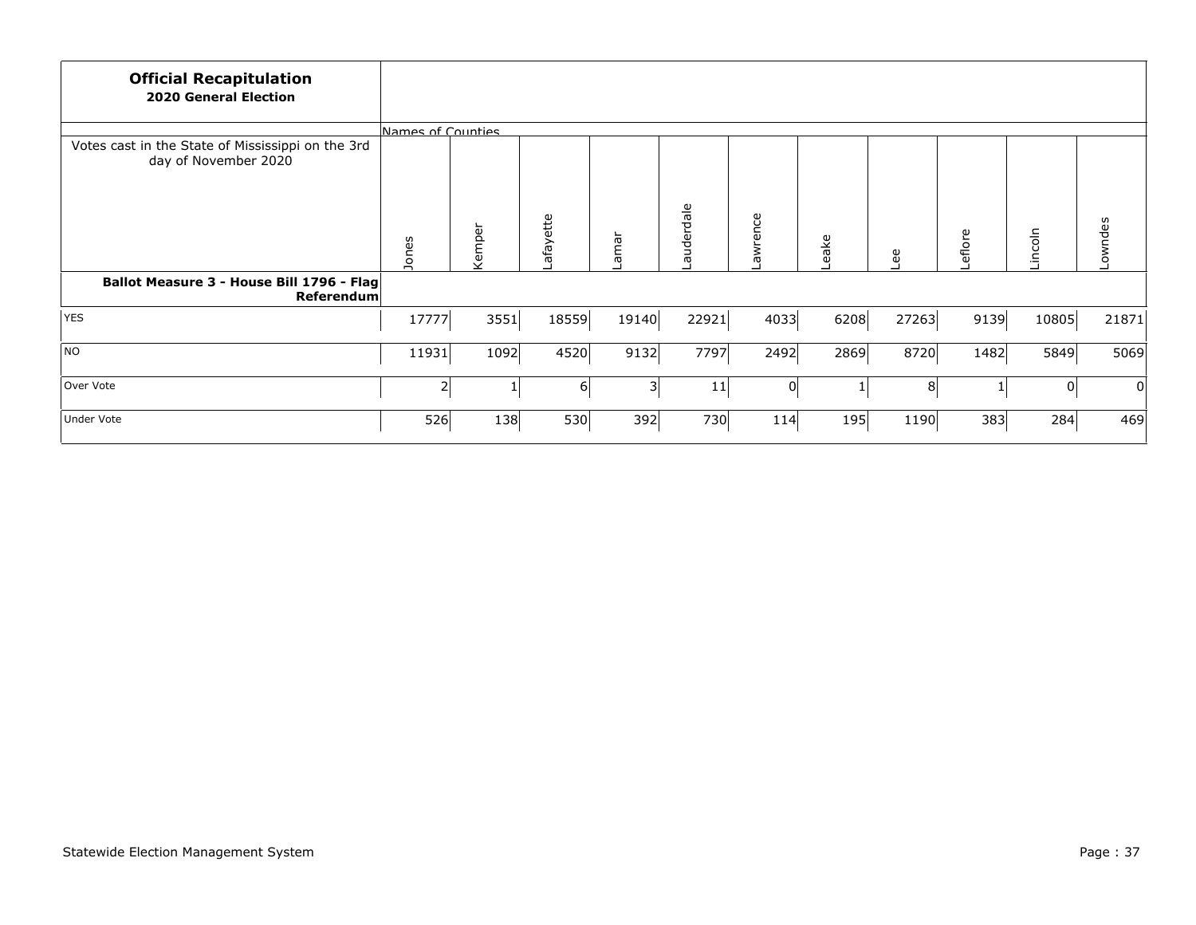| <b>Official Recapitulation</b><br><b>2020 General Election</b>            |                   |        |          |       |           |          |      |                |         |         |         |
|---------------------------------------------------------------------------|-------------------|--------|----------|-------|-----------|----------|------|----------------|---------|---------|---------|
|                                                                           | Names of Counties |        |          |       |           |          |      |                |         |         |         |
| Votes cast in the State of Mississippi on the 3rd<br>day of November 2020 |                   |        |          |       |           |          |      |                |         |         |         |
|                                                                           | Jones             | Kemper | afayette | Lamar | auderdale | awrence  | eake | eg             | Leflore | Lincoln | Lowndes |
| Ballot Measure 3 - House Bill 1796 - Flag<br>Referendum                   |                   |        |          |       |           |          |      |                |         |         |         |
| <b>YES</b>                                                                | 17777             | 3551   | 18559    | 19140 | 22921     | 4033     | 6208 | 27263          | 9139    | 10805   | 21871   |
| NO                                                                        | 11931             | 1092   | 4520     | 9132  | 7797      | 2492     | 2869 | 8720           | 1482    | 5849    | 5069    |
| Over Vote                                                                 | 2                 |        | 61       | 31    | 11        | $\Omega$ |      | 8 <sup>2</sup> |         | 0       | 0       |
| <b>Under Vote</b>                                                         | 526               | 138    | 530      | 392   | 730       | 114      | 195  | 1190           | 383     | 284     | 469     |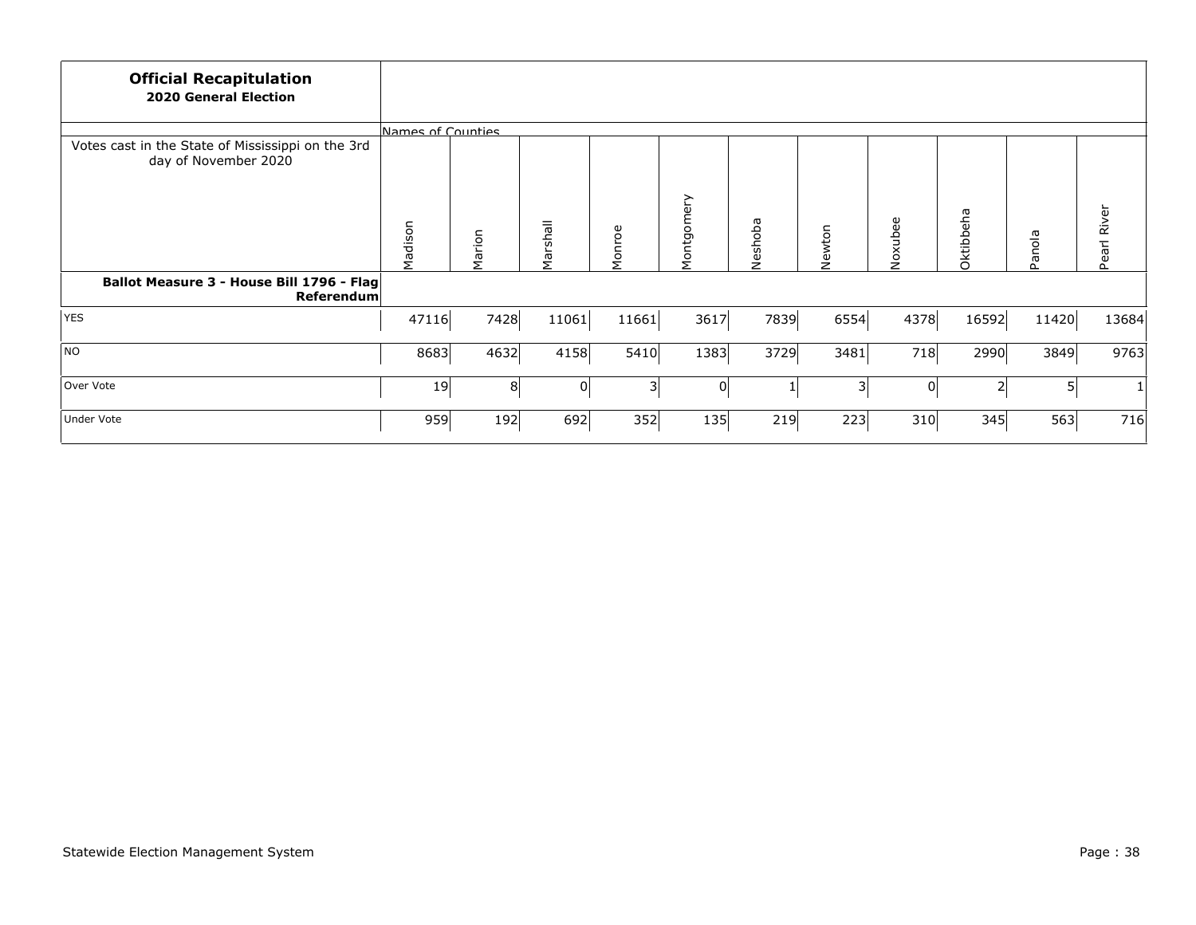| <b>Official Recapitulation</b><br><b>2020 General Election</b>            |                   |        |          |        |            |         |        |         |           |            |             |
|---------------------------------------------------------------------------|-------------------|--------|----------|--------|------------|---------|--------|---------|-----------|------------|-------------|
|                                                                           | Names of Counties |        |          |        |            |         |        |         |           |            |             |
| Votes cast in the State of Mississippi on the 3rd<br>day of November 2020 |                   |        |          |        |            |         |        |         |           |            |             |
|                                                                           | Madison           | Marion | Marshall | Monroe | Montgomery | Neshoba | Newton | Noxubee | Oktibbeha | anola<br>௳ | Pearl River |
| Ballot Measure 3 - House Bill 1796 - Flag<br>Referendum                   |                   |        |          |        |            |         |        |         |           |            |             |
| <b>YES</b>                                                                | 47116             | 7428   | 11061    | 11661  | 3617       | 7839    | 6554   | 4378    | 16592     | 11420      | 13684       |
| NO                                                                        | 8683              | 4632   | 4158     | 5410   | 1383       | 3729    | 3481   | 718     | 2990      | 3849       | 9763        |
| Over Vote                                                                 | 19                | 8      | 0        | 31     | 0          |         | 3      | 0       | 2         | $5\vert$   | $1\vert$    |
| <b>Under Vote</b>                                                         | 959               | 192    | 692      | 352    | 135        | 219     | 223    | 310     | 345       | 563        | 716         |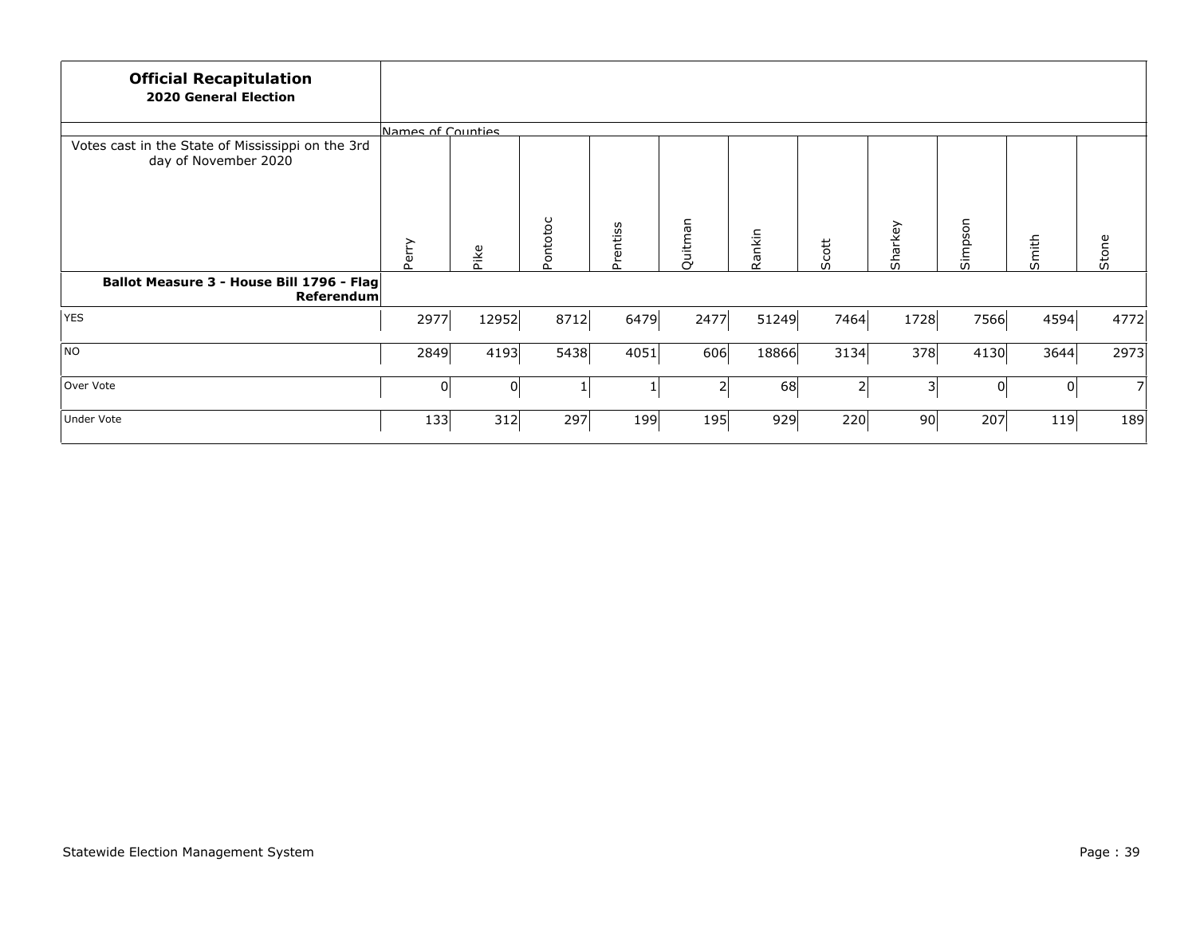| <b>Official Recapitulation</b><br><b>2020 General Election</b>            |                   |          |          |          |         |        |                |         |          |       |                |
|---------------------------------------------------------------------------|-------------------|----------|----------|----------|---------|--------|----------------|---------|----------|-------|----------------|
|                                                                           | Names of Counties |          |          |          |         |        |                |         |          |       |                |
| Votes cast in the State of Mississippi on the 3rd<br>day of November 2020 |                   |          |          |          |         |        |                |         |          |       |                |
|                                                                           | Perry             | Pike     | Pontotoc | Prentiss | Quitman | Rankin | Scott          | Sharkey | Simpson  | Smith | Stone          |
| Ballot Measure 3 - House Bill 1796 - Flag<br>Referendum                   |                   |          |          |          |         |        |                |         |          |       |                |
| <b>YES</b>                                                                | 2977              | 12952    | 8712     | 6479     | 2477    | 51249  | 7464           | 1728    | 7566     | 4594  | 4772           |
| NO                                                                        | 2849              | 4193     | 5438     | 4051     | 606     | 18866  | 3134           | 378     | 4130     | 3644  | 2973           |
| Over Vote                                                                 | $\overline{0}$    | $\Omega$ |          |          | 2       | 68     | $\overline{2}$ | 3       | $\Omega$ | 0     | $\overline{7}$ |
| <b>Under Vote</b>                                                         | 133               | 312      | 297      | 199      | 195     | 929    | 220            | 90      | 207      | 119   | 189            |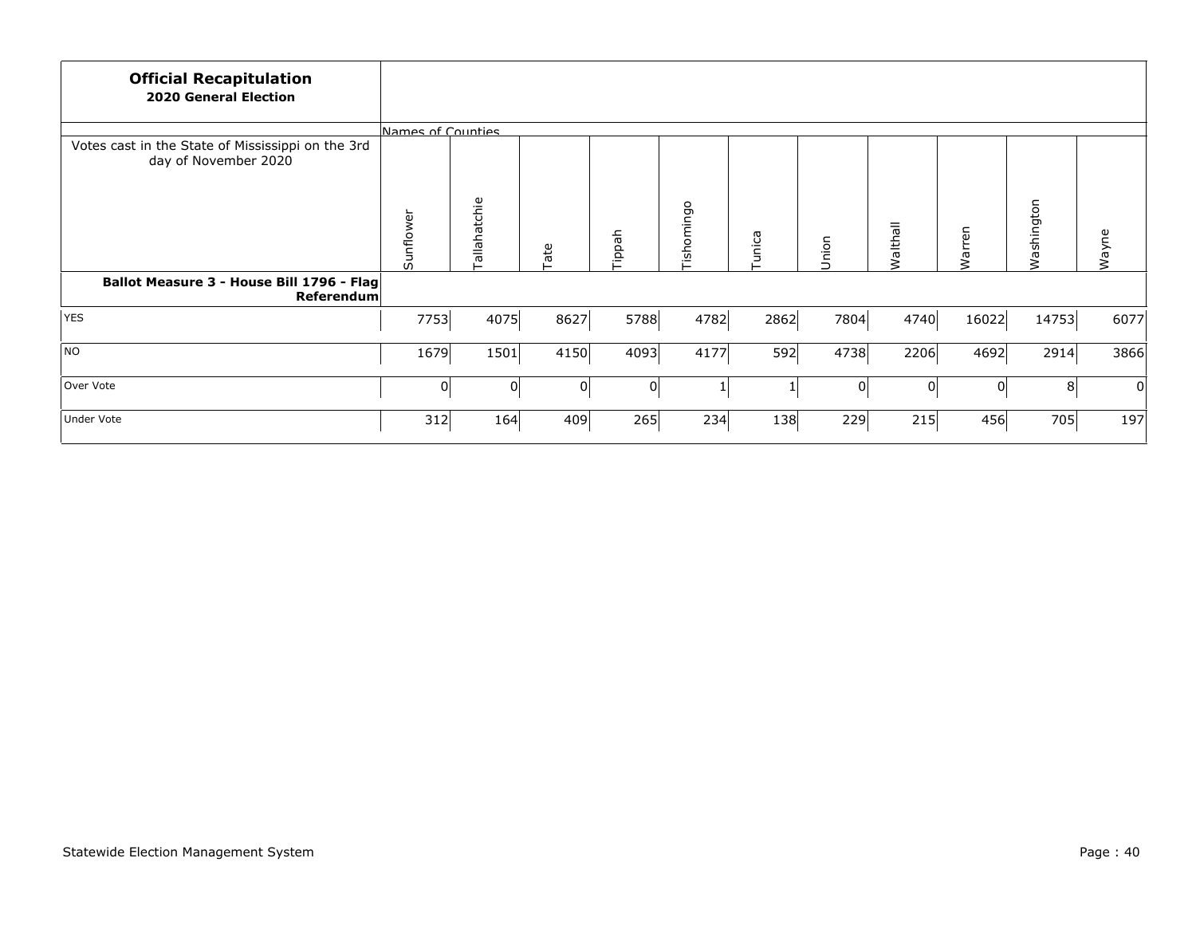| <b>Official Recapitulation</b><br><b>2020 General Election</b>            |                   |                  |      |        |            |       |          |                 |        |                |       |
|---------------------------------------------------------------------------|-------------------|------------------|------|--------|------------|-------|----------|-----------------|--------|----------------|-------|
|                                                                           | Names of Counties |                  |      |        |            |       |          |                 |        |                |       |
| Votes cast in the State of Mississippi on the 3rd<br>day of November 2020 |                   |                  |      |        |            |       |          |                 |        |                |       |
|                                                                           | Sunflower         | allahatchie<br>⊢ | Tate | Tippah | Tishomingo | unica | Union    | <b>Walthall</b> | Warren | ashington<br>₹ | Wayne |
| Ballot Measure 3 - House Bill 1796 - Flag<br><b>Referendum</b>            |                   |                  |      |        |            |       |          |                 |        |                |       |
| YES                                                                       | 7753              | 4075             | 8627 | 5788   | 4782       | 2862  | 7804     | 4740            | 16022  | 14753          | 6077  |
| NO                                                                        | 1679              | 1501             | 4150 | 4093   | 4177       | 592   | 4738     | 2206            | 4692   | 2914           | 3866  |
| Over Vote                                                                 | $\Omega$          | 0                | 01   | 0      | 1          |       | $\Omega$ | 0               | 0      | 8              | 0     |
| Under Vote                                                                | 312               | 164              | 409  | 265    | 234        | 138   | 229      | 215             | 456    | 705            | 197   |